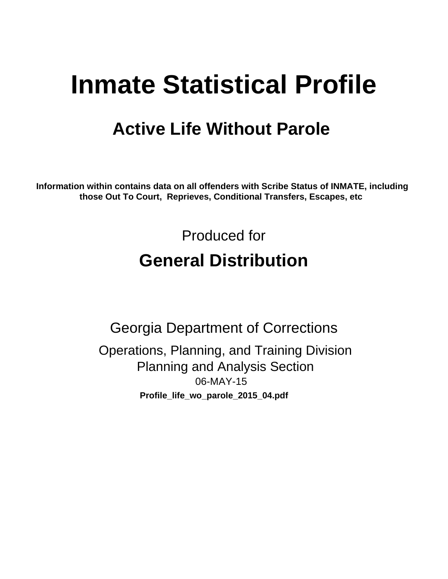# **Inmate Statistical Profile**

## **Active Life Without Parole**

Information within contains data on all offenders with Scribe Status of INMATE, including those Out To Court, Reprieves, Conditional Transfers, Escapes, etc

> Produced for **General Distribution**

**Georgia Department of Corrections** Operations, Planning, and Training Division **Planning and Analysis Section** 06-MAY-15 Profile\_life\_wo\_parole\_2015\_04.pdf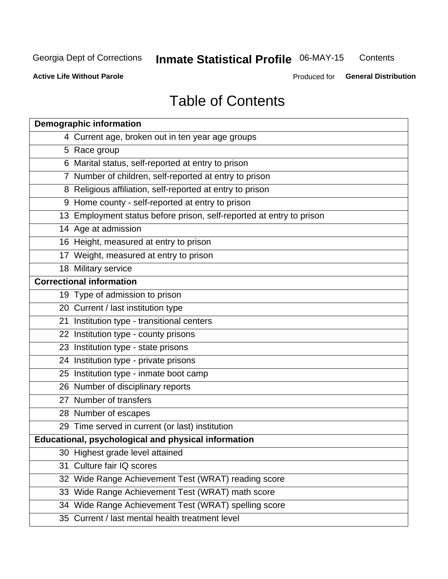#### **Inmate Statistical Profile 06-MAY-15** Contents

**Active Life Without Parole** 

Produced for General Distribution

## **Table of Contents**

| <b>Demographic information</b>                                       |
|----------------------------------------------------------------------|
| 4 Current age, broken out in ten year age groups                     |
| 5 Race group                                                         |
| 6 Marital status, self-reported at entry to prison                   |
| 7 Number of children, self-reported at entry to prison               |
| 8 Religious affiliation, self-reported at entry to prison            |
| 9 Home county - self-reported at entry to prison                     |
| 13 Employment status before prison, self-reported at entry to prison |
| 14 Age at admission                                                  |
| 16 Height, measured at entry to prison                               |
| 17 Weight, measured at entry to prison                               |
| 18 Military service                                                  |
| <b>Correctional information</b>                                      |
| 19 Type of admission to prison                                       |
| 20 Current / last institution type                                   |
| 21 Institution type - transitional centers                           |
| 22 Institution type - county prisons                                 |
| 23 Institution type - state prisons                                  |
| 24 Institution type - private prisons                                |
| 25 Institution type - inmate boot camp                               |
| 26 Number of disciplinary reports                                    |
| 27 Number of transfers                                               |
| 28 Number of escapes                                                 |
| 29 Time served in current (or last) institution                      |
| Educational, psychological and physical information                  |
| 30 Highest grade level attained                                      |
| 31 Culture fair IQ scores                                            |
| 32 Wide Range Achievement Test (WRAT) reading score                  |
| 33 Wide Range Achievement Test (WRAT) math score                     |
| 34 Wide Range Achievement Test (WRAT) spelling score                 |
| 35 Current / last mental health treatment level                      |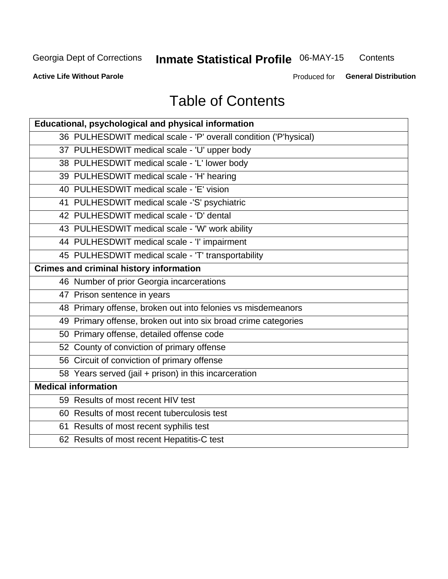#### Inmate Statistical Profile 06-MAY-15 Contents

**Active Life Without Parole** 

Produced for General Distribution

## **Table of Contents**

| <b>Educational, psychological and physical information</b>       |
|------------------------------------------------------------------|
| 36 PULHESDWIT medical scale - 'P' overall condition ('P'hysical) |
| 37 PULHESDWIT medical scale - 'U' upper body                     |
| 38 PULHESDWIT medical scale - 'L' lower body                     |
| 39 PULHESDWIT medical scale - 'H' hearing                        |
| 40 PULHESDWIT medical scale - 'E' vision                         |
| 41 PULHESDWIT medical scale -'S' psychiatric                     |
| 42 PULHESDWIT medical scale - 'D' dental                         |
| 43 PULHESDWIT medical scale - 'W' work ability                   |
| 44 PULHESDWIT medical scale - 'I' impairment                     |
| 45 PULHESDWIT medical scale - 'T' transportability               |
| <b>Crimes and criminal history information</b>                   |
| 46 Number of prior Georgia incarcerations                        |
| 47 Prison sentence in years                                      |
| 48 Primary offense, broken out into felonies vs misdemeanors     |
| 49 Primary offense, broken out into six broad crime categories   |
| 50 Primary offense, detailed offense code                        |
| 52 County of conviction of primary offense                       |
| 56 Circuit of conviction of primary offense                      |
| 58 Years served (jail + prison) in this incarceration            |
| <b>Medical information</b>                                       |
| 59 Results of most recent HIV test                               |
| 60 Results of most recent tuberculosis test                      |
| 61 Results of most recent syphilis test                          |
| 62 Results of most recent Hepatitis-C test                       |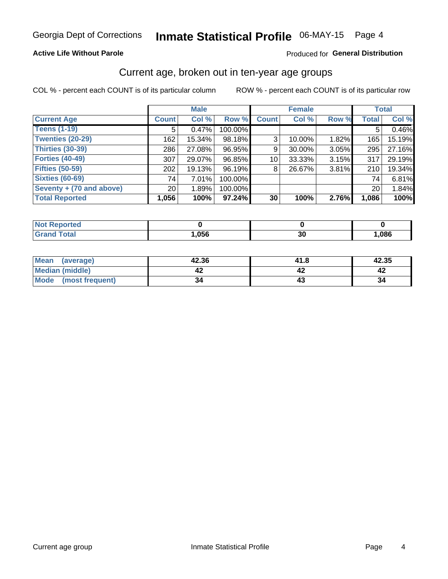#### **Active Life Without Parole**

#### Produced for General Distribution

### Current age, broken out in ten-year age groups

COL % - percent each COUNT is of its particular column

|                          |                 | <b>Male</b> |           | <b>Female</b> |           |       |              | <b>Total</b> |
|--------------------------|-----------------|-------------|-----------|---------------|-----------|-------|--------------|--------------|
| <b>Current Age</b>       | <b>Count</b>    | Col %       | Row %     | <b>Count</b>  | Col %     | Row % | <b>Total</b> | Col %        |
| <b>Teens (1-19)</b>      | 5               | 0.47%       | 100.00%   |               |           |       | 5            | 0.46%        |
| <b>Twenties (20-29)</b>  | 162             | 15.34%      | 98.18%    | 3             | 10.00%    | 1.82% | 165          | 15.19%       |
| <b>Thirties (30-39)</b>  | 286             | 27.08%      | 96.95%    | 9             | 30.00%    | 3.05% | 295          | 27.16%       |
| <b>Forties (40-49)</b>   | 307             | 29.07%      | 96.85%    | 10            | $33.33\%$ | 3.15% | 317          | 29.19%       |
| <b>Fifties (50-59)</b>   | 202             | 19.13%      | 96.19%    | 8             | 26.67%    | 3.81% | 210          | 19.34%       |
| <b>Sixties (60-69)</b>   | 74              | 7.01%       | 100.00%   |               |           |       | 74           | 6.81%        |
| Seventy + (70 and above) | 20 <sub>1</sub> | 1.89%       | 100.00%   |               |           |       | 20           | 1.84%        |
| <b>Total Reported</b>    | 1,056           | 100%        | $97.24\%$ | 30            | 100%      | 2.76% | 1,086        | 100%         |

| <b>Not Repo</b><br><b>Anorted</b><br>$\sim$ |      |    |      |
|---------------------------------------------|------|----|------|
| $T0+0$                                      | ,056 | vu | ,086 |

| Mean<br>(average)    | 42.36 | 41.8 | 42.35 |
|----------------------|-------|------|-------|
| Median (middle)      |       |      |       |
| Mode (most frequent) | 34    |      | 34    |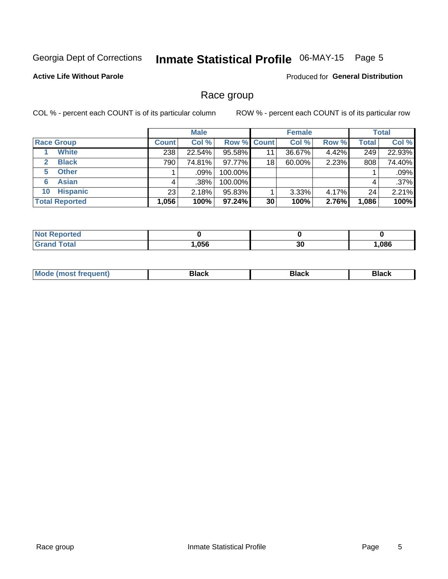#### Inmate Statistical Profile 06-MAY-15 Page 5

#### **Active Life Without Parole**

Produced for General Distribution

### Race group

COL % - percent each COUNT is of its particular column

|                              | <b>Male</b>  |         |                    | <b>Female</b> |        |       | <b>Total</b> |        |
|------------------------------|--------------|---------|--------------------|---------------|--------|-------|--------------|--------|
| <b>Race Group</b>            | <b>Count</b> | Col %   | <b>Row % Count</b> |               | Col %  | Row % | <b>Total</b> | Col %  |
| <b>White</b>                 | 238          | 22.54%  | 95.58%             | 11            | 36.67% | 4.42% | 249          | 22.93% |
| <b>Black</b><br>$\mathbf{2}$ | 790          | 74.81%  | 97.77%             | 18            | 60.00% | 2.23% | 808          | 74.40% |
| <b>Other</b><br>5.           |              | $.09\%$ | 100.00%            |               |        |       |              | .09%   |
| <b>Asian</b><br>6            | 4            | .38%    | 100.00%            |               |        |       | 4            | .37%   |
| <b>Hispanic</b><br>10        | 23           | 2.18%   | 95.83%             |               | 3.33%  | 4.17% | 24           | 2.21%  |
| <b>Total Reported</b>        | 1,056        | 100%    | $97.24\%$          | 30            | 100%   | 2.76% | 1,086        | 100%   |

| .<br>rteo<br>' NO) |      |    |      |
|--------------------|------|----|------|
| $F \cap F \cap F$  | ,056 | 30 | ,086 |

| –•••• |  | M |  |  |  |
|-------|--|---|--|--|--|
|-------|--|---|--|--|--|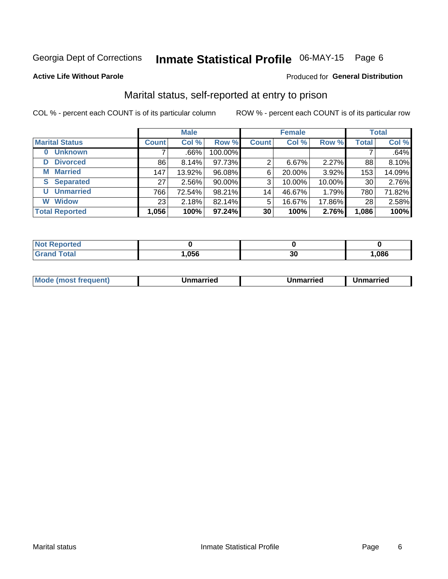## Inmate Statistical Profile 06-MAY-15 Page 6

#### **Active Life Without Parole**

#### Produced for General Distribution

### Marital status, self-reported at entry to prison

COL % - percent each COUNT is of its particular column

|                            | <b>Male</b>     |        |         |              | <b>Female</b> | <b>Total</b> |              |        |
|----------------------------|-----------------|--------|---------|--------------|---------------|--------------|--------------|--------|
| <b>Marital Status</b>      | <b>Count</b>    | Col %  | Row %   | <b>Count</b> | Col %         | Row %        | <b>Total</b> | Col %  |
| <b>Unknown</b><br>$\bf{0}$ |                 | .66%   | 100.00% |              |               |              |              | .64%   |
| <b>Divorced</b><br>D       | 86              | 8.14%  | 97.73%  | 2            | 6.67%         | 2.27%        | 88           | 8.10%  |
| <b>Married</b><br>М        | 147             | 13.92% | 96.08%  | 6            | 20.00%        | 3.92%        | 153          | 14.09% |
| <b>Separated</b><br>S      | 27              | 2.56%  | 90.00%  | 3            | 10.00%        | 10.00%       | 30           | 2.76%  |
| <b>Unmarried</b><br>U      | 766             | 72.54% | 98.21%  | 14           | 46.67%        | 1.79%        | 780          | 71.82% |
| <b>Widow</b><br>W          | 23 <sub>1</sub> | 2.18%  | 82.14%  | 5            | 16.67%        | 17.86%       | 28           | 2.58%  |
| <b>Total Reported</b>      | 1,056           | 100%   | 97.24%  | 30           | 100%          | 2.76%        | 1,086        | 100%   |

| prted<br>NOT |      |          |      |
|--------------|------|----------|------|
| <b>Fotal</b> | .056 | חפ<br>งบ | ,086 |

|  | M | . | Unmarried | າmarried<br>_____ |
|--|---|---|-----------|-------------------|
|--|---|---|-----------|-------------------|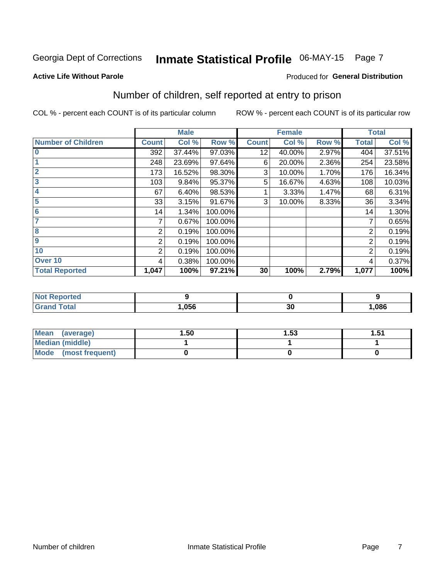## Inmate Statistical Profile 06-MAY-15 Page 7

#### **Active Life Without Parole**

#### **Produced for General Distribution**

## Number of children, self reported at entry to prison

COL % - percent each COUNT is of its particular column

|                           |                | <b>Male</b> |         |              | <b>Female</b> |       |                | <b>Total</b> |
|---------------------------|----------------|-------------|---------|--------------|---------------|-------|----------------|--------------|
| <b>Number of Children</b> | <b>Count</b>   | Col %       | Row %   | <b>Count</b> | Col %         | Row % | <b>Total</b>   | Col %        |
| $\bf{0}$                  | 392            | 37.44%      | 97.03%  | 12           | 40.00%        | 2.97% | 404            | 37.51%       |
|                           | 248            | 23.69%      | 97.64%  | 6            | 20.00%        | 2.36% | 254            | 23.58%       |
| $\overline{2}$            | 173            | 16.52%      | 98.30%  | 3            | 10.00%        | 1.70% | 176            | 16.34%       |
| 3                         | 103            | 9.84%       | 95.37%  | 5            | 16.67%        | 4.63% | 108            | 10.03%       |
| 4                         | 67             | 6.40%       | 98.53%  |              | 3.33%         | 1.47% | 68             | 6.31%        |
| 5                         | 33             | 3.15%       | 91.67%  | 3            | 10.00%        | 8.33% | 36             | 3.34%        |
| $6\phantom{1}6$           | 14             | 1.34%       | 100.00% |              |               |       | 14             | 1.30%        |
| 7                         |                | 0.67%       | 100.00% |              |               |       | 7              | 0.65%        |
| $\overline{\mathbf{8}}$   | $\overline{2}$ | 0.19%       | 100.00% |              |               |       | 2              | 0.19%        |
| $\boldsymbol{9}$          | 2              | 0.19%       | 100.00% |              |               |       | 2              | 0.19%        |
| 10                        | $\overline{2}$ | 0.19%       | 100.00% |              |               |       | $\overline{2}$ | 0.19%        |
| Over 10                   | 4              | 0.38%       | 100.00% |              |               |       | 4              | 0.37%        |
| <b>Total Reported</b>     | 1,047          | 100%        | 97.21%  | 30           | 100%          | 2.79% | 1,077          | 100%         |

| A CO |      |                  |      |
|------|------|------------------|------|
|      | ,056 | - -<br>. .<br>v, | ,086 |

| Mean<br>(average)       | 1.50 | 1.53 | 1.51 |
|-------------------------|------|------|------|
| <b>Median (middle)</b>  |      |      |      |
| Mode<br>(most frequent) |      |      |      |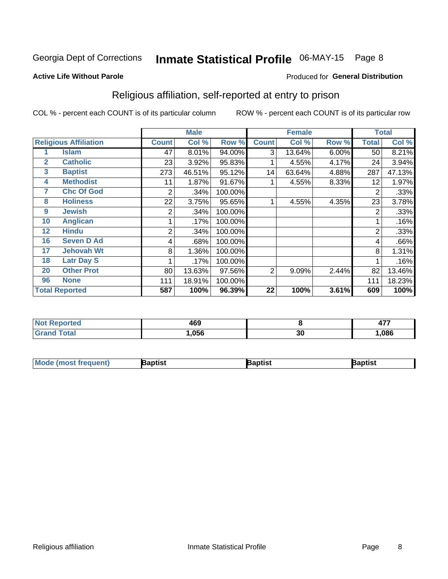## Inmate Statistical Profile 06-MAY-15 Page 8

#### **Active Life Without Parole**

#### Produced for General Distribution

### Religious affiliation, self-reported at entry to prison

COL % - percent each COUNT is of its particular column

|              |                              |              | <b>Male</b> |         |              | <b>Female</b> |       |       | <b>Total</b> |
|--------------|------------------------------|--------------|-------------|---------|--------------|---------------|-------|-------|--------------|
|              | <b>Religious Affiliation</b> | <b>Count</b> | Col %       | Row %   | <b>Count</b> | Col %         | Row % | Total | Col %        |
|              | <b>Islam</b>                 | 47           | 8.01%       | 94.00%  | 3            | 13.64%        | 6.00% | 50    | 8.21%        |
| $\mathbf{2}$ | <b>Catholic</b>              | 23           | 3.92%       | 95.83%  |              | 4.55%         | 4.17% | 24    | 3.94%        |
| 3            | <b>Baptist</b>               | 273          | 46.51%      | 95.12%  | 14           | 63.64%        | 4.88% | 287   | 47.13%       |
| 4            | <b>Methodist</b>             | 11           | 1.87%       | 91.67%  |              | 4.55%         | 8.33% | 12    | 1.97%        |
| 7            | <b>Chc Of God</b>            | 2            | .34%        | 100.00% |              |               |       | 2     | .33%         |
| 8            | <b>Holiness</b>              | 22           | 3.75%       | 95.65%  |              | 4.55%         | 4.35% | 23    | 3.78%        |
| 9            | <b>Jewish</b>                | 2            | .34%        | 100.00% |              |               |       | 2     | .33%         |
| 10           | <b>Anglican</b>              |              | .17%        | 100.00% |              |               |       |       | .16%         |
| 12           | <b>Hindu</b>                 | 2            | .34%        | 100.00% |              |               |       | 2     | .33%         |
| 16           | <b>Seven D Ad</b>            | 4            | .68%        | 100.00% |              |               |       | 4     | .66%         |
| 17           | <b>Jehovah Wt</b>            | 8            | 1.36%       | 100.00% |              |               |       | 8     | 1.31%        |
| 18           | <b>Latr Day S</b>            |              | .17%        | 100.00% |              |               |       |       | .16%         |
| 20           | <b>Other Prot</b>            | 80           | 13.63%      | 97.56%  | 2            | 9.09%         | 2.44% | 82    | 13.46%       |
| 96           | <b>None</b>                  | 111          | 18.91%      | 100.00% |              |               |       | 111   | 18.23%       |
|              | <b>Total Reported</b>        | 587          | 100%        | 96.39%  | 22           | 100%          | 3.61% | 609   | 100%         |

| rtea   | $\sqrt{2}$ |    | $-$  |
|--------|------------|----|------|
| .      | 1VJ        |    | . .  |
| ______ | .056       | 30 | .086 |

| Mode (most frequent) | Baptist | Baptist | Baptist |
|----------------------|---------|---------|---------|
|----------------------|---------|---------|---------|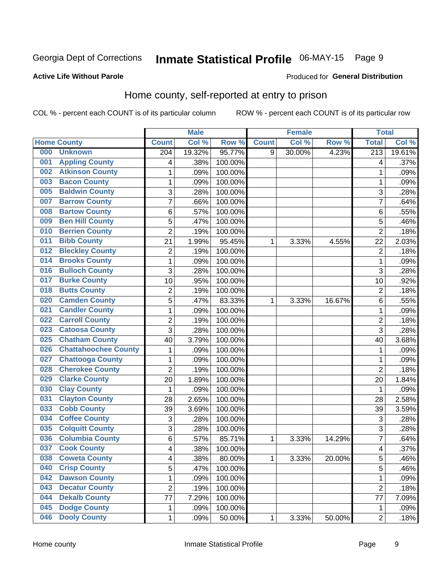## Inmate Statistical Profile 06-MAY-15 Page 9

#### **Active Life Without Parole**

#### Produced for General Distribution

### Home county, self-reported at entry to prison

COL % - percent each COUNT is of its particular column

|     |                             |                         | <b>Male</b> |         |              | <b>Female</b> |        | <b>Total</b>     |        |
|-----|-----------------------------|-------------------------|-------------|---------|--------------|---------------|--------|------------------|--------|
|     | <b>Home County</b>          | <b>Count</b>            | Col %       | Row %   | <b>Count</b> | Col %         | Row %  | <b>Total</b>     | Col %  |
| 000 | <b>Unknown</b>              | 204                     | 19.32%      | 95.77%  | 9            | 30.00%        | 4.23%  | $\overline{213}$ | 19.61% |
| 001 | <b>Appling County</b>       | 4                       | .38%        | 100.00% |              |               |        | 4                | .37%   |
| 002 | <b>Atkinson County</b>      | $\mathbf 1$             | .09%        | 100.00% |              |               |        | 1                | .09%   |
| 003 | <b>Bacon County</b>         | 1                       | .09%        | 100.00% |              |               |        | 1                | .09%   |
| 005 | <b>Baldwin County</b>       | 3                       | .28%        | 100.00% |              |               |        | 3                | .28%   |
| 007 | <b>Barrow County</b>        | $\overline{7}$          | .66%        | 100.00% |              |               |        | 7                | .64%   |
| 008 | <b>Bartow County</b>        | 6                       | .57%        | 100.00% |              |               |        | 6                | .55%   |
| 009 | <b>Ben Hill County</b>      | 5                       | .47%        | 100.00% |              |               |        | 5                | .46%   |
| 010 | <b>Berrien County</b>       | $\overline{2}$          | .19%        | 100.00% |              |               |        | $\overline{2}$   | .18%   |
| 011 | <b>Bibb County</b>          | 21                      | 1.99%       | 95.45%  | 1            | 3.33%         | 4.55%  | 22               | 2.03%  |
| 012 | <b>Bleckley County</b>      | $\overline{\mathbf{c}}$ | .19%        | 100.00% |              |               |        | $\overline{2}$   | .18%   |
| 014 | <b>Brooks County</b>        | $\mathbf 1$             | .09%        | 100.00% |              |               |        | 1                | .09%   |
| 016 | <b>Bulloch County</b>       | 3                       | .28%        | 100.00% |              |               |        | 3                | .28%   |
| 017 | <b>Burke County</b>         | 10                      | .95%        | 100.00% |              |               |        | 10               | .92%   |
| 018 | <b>Butts County</b>         | $\overline{2}$          | .19%        | 100.00% |              |               |        | $\overline{2}$   | .18%   |
| 020 | <b>Camden County</b>        | 5                       | .47%        | 83.33%  | 1            | 3.33%         | 16.67% | 6                | .55%   |
| 021 | <b>Candler County</b>       | $\mathbf 1$             | .09%        | 100.00% |              |               |        | 1                | .09%   |
| 022 | <b>Carroll County</b>       | 2                       | .19%        | 100.00% |              |               |        | $\overline{2}$   | .18%   |
| 023 | <b>Catoosa County</b>       | 3                       | .28%        | 100.00% |              |               |        | 3                | .28%   |
| 025 | <b>Chatham County</b>       | 40                      | 3.79%       | 100.00% |              |               |        | 40               | 3.68%  |
| 026 | <b>Chattahoochee County</b> | 1                       | .09%        | 100.00% |              |               |        | 1                | .09%   |
| 027 | <b>Chattooga County</b>     | $\mathbf 1$             | .09%        | 100.00% |              |               |        | 1                | .09%   |
| 028 | <b>Cherokee County</b>      | $\overline{2}$          | .19%        | 100.00% |              |               |        | $\overline{2}$   | .18%   |
| 029 | <b>Clarke County</b>        | 20                      | 1.89%       | 100.00% |              |               |        | 20               | 1.84%  |
| 030 | <b>Clay County</b>          | 1                       | .09%        | 100.00% |              |               |        | 1                | .09%   |
| 031 | <b>Clayton County</b>       | 28                      | 2.65%       | 100.00% |              |               |        | 28               | 2.58%  |
| 033 | <b>Cobb County</b>          | 39                      | 3.69%       | 100.00% |              |               |        | 39               | 3.59%  |
| 034 | <b>Coffee County</b>        | 3                       | .28%        | 100.00% |              |               |        | 3                | .28%   |
| 035 | <b>Colquitt County</b>      | 3                       | .28%        | 100.00% |              |               |        | 3                | .28%   |
| 036 | <b>Columbia County</b>      | 6                       | .57%        | 85.71%  | 1            | 3.33%         | 14.29% | 7                | .64%   |
| 037 | <b>Cook County</b>          | 4                       | .38%        | 100.00% |              |               |        | 4                | .37%   |
| 038 | <b>Coweta County</b>        | 4                       | .38%        | 80.00%  | 1            | 3.33%         | 20.00% | 5                | .46%   |
| 040 | <b>Crisp County</b>         | $\overline{5}$          | .47%        | 100.00% |              |               |        | 5                | .46%   |
| 042 | <b>Dawson County</b>        | $\mathbf{1}$            | .09%        | 100.00% |              |               |        | 1                | .09%   |
| 043 | <b>Decatur County</b>       | $\overline{2}$          | .19%        | 100.00% |              |               |        | $\overline{2}$   | .18%   |
| 044 | <b>Dekalb County</b>        | 77                      | 7.29%       | 100.00% |              |               |        | 77               | 7.09%  |
| 045 | <b>Dodge County</b>         | 1                       | .09%        | 100.00% |              |               |        | 1                | .09%   |
| 046 | <b>Dooly County</b>         | 1                       | .09%        | 50.00%  | $\mathbf 1$  | 3.33%         | 50.00% | $\overline{2}$   | .18%   |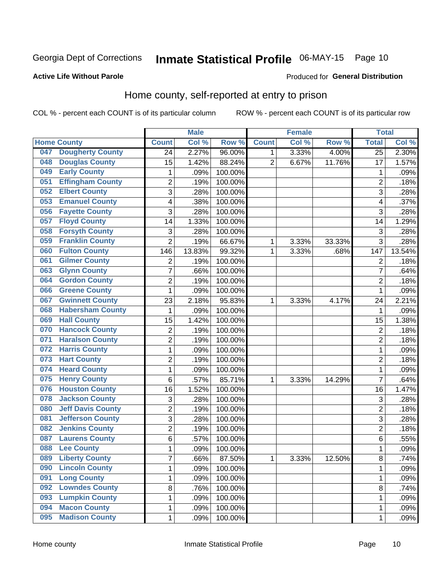## Inmate Statistical Profile 06-MAY-15 Page 10

#### **Active Life Without Parole**

#### Produced for General Distribution

### Home county, self-reported at entry to prison

COL % - percent each COUNT is of its particular column

|     |                          |                  | <b>Male</b> |         |              | <b>Female</b> |        | <b>Total</b>    |        |
|-----|--------------------------|------------------|-------------|---------|--------------|---------------|--------|-----------------|--------|
|     | <b>Home County</b>       | <b>Count</b>     | Col %       | Row %   | <b>Count</b> | Col %         | Row %  | <b>Total</b>    | Col %  |
| 047 | <b>Dougherty County</b>  | 24               | 2.27%       | 96.00%  | $\mathbf{1}$ | 3.33%         | 4.00%  | $\overline{25}$ | 2.30%  |
| 048 | <b>Douglas County</b>    | 15               | 1.42%       | 88.24%  | 2            | 6.67%         | 11.76% | 17              | 1.57%  |
| 049 | <b>Early County</b>      | $\mathbf 1$      | .09%        | 100.00% |              |               |        | 1               | .09%   |
| 051 | <b>Effingham County</b>  | $\overline{c}$   | .19%        | 100.00% |              |               |        | $\overline{2}$  | .18%   |
| 052 | <b>Elbert County</b>     | 3                | .28%        | 100.00% |              |               |        | 3               | .28%   |
| 053 | <b>Emanuel County</b>    | 4                | .38%        | 100.00% |              |               |        | 4               | .37%   |
| 056 | <b>Fayette County</b>    | 3                | .28%        | 100.00% |              |               |        | 3               | .28%   |
| 057 | <b>Floyd County</b>      | 14               | 1.33%       | 100.00% |              |               |        | 14              | 1.29%  |
| 058 | <b>Forsyth County</b>    | $\sqrt{3}$       | .28%        | 100.00% |              |               |        | 3               | .28%   |
| 059 | <b>Franklin County</b>   | $\overline{2}$   | .19%        | 66.67%  | 1            | 3.33%         | 33.33% | 3               | .28%   |
| 060 | <b>Fulton County</b>     | 146              | 13.83%      | 99.32%  | 1            | 3.33%         | .68%   | 147             | 13.54% |
| 061 | <b>Gilmer County</b>     | $\overline{2}$   | .19%        | 100.00% |              |               |        | $\overline{2}$  | .18%   |
| 063 | <b>Glynn County</b>      | 7                | .66%        | 100.00% |              |               |        | $\overline{7}$  | .64%   |
| 064 | <b>Gordon County</b>     | $\overline{2}$   | .19%        | 100.00% |              |               |        | $\overline{2}$  | .18%   |
| 066 | <b>Greene County</b>     | $\mathbf{1}$     | .09%        | 100.00% |              |               |        | 1               | .09%   |
| 067 | <b>Gwinnett County</b>   | 23               | 2.18%       | 95.83%  | 1            | 3.33%         | 4.17%  | 24              | 2.21%  |
| 068 | <b>Habersham County</b>  | 1                | .09%        | 100.00% |              |               |        | 1               | .09%   |
| 069 | <b>Hall County</b>       | 15               | 1.42%       | 100.00% |              |               |        | 15              | 1.38%  |
| 070 | <b>Hancock County</b>    | $\boldsymbol{2}$ | .19%        | 100.00% |              |               |        | $\overline{2}$  | .18%   |
| 071 | <b>Haralson County</b>   | $\overline{2}$   | .19%        | 100.00% |              |               |        | $\overline{2}$  | .18%   |
| 072 | <b>Harris County</b>     | $\mathbf 1$      | .09%        | 100.00% |              |               |        | 1               | .09%   |
| 073 | <b>Hart County</b>       | $\overline{2}$   | .19%        | 100.00% |              |               |        | $\overline{2}$  | .18%   |
| 074 | <b>Heard County</b>      | $\mathbf 1$      | .09%        | 100.00% |              |               |        | 1               | .09%   |
| 075 | <b>Henry County</b>      | 6                | .57%        | 85.71%  | 1            | 3.33%         | 14.29% | $\overline{7}$  | .64%   |
| 076 | <b>Houston County</b>    | 16               | 1.52%       | 100.00% |              |               |        | 16              | 1.47%  |
| 078 | <b>Jackson County</b>    | 3                | .28%        | 100.00% |              |               |        | 3               | .28%   |
| 080 | <b>Jeff Davis County</b> | $\overline{2}$   | .19%        | 100.00% |              |               |        | $\overline{2}$  | .18%   |
| 081 | <b>Jefferson County</b>  | 3                | .28%        | 100.00% |              |               |        | 3               | .28%   |
| 082 | <b>Jenkins County</b>    | $\overline{c}$   | .19%        | 100.00% |              |               |        | $\overline{2}$  | .18%   |
| 087 | <b>Laurens County</b>    | 6                | .57%        | 100.00% |              |               |        | 6               | .55%   |
| 088 | <b>Lee County</b>        | 1                | .09%        | 100.00% |              |               |        | 1               | .09%   |
| 089 | <b>Liberty County</b>    | $\overline{7}$   | .66%        | 87.50%  | 1            | 3.33%         | 12.50% | 8               | .74%   |
| 090 | <b>Lincoln County</b>    | 1                | .09%        | 100.00% |              |               |        | 1               | .09%   |
| 091 | <b>Long County</b>       | $\mathbf 1$      | .09%        | 100.00% |              |               |        | 1               | .09%   |
| 092 | <b>Lowndes County</b>    | 8                | .76%        | 100.00% |              |               |        | 8               | .74%   |
| 093 | <b>Lumpkin County</b>    | $\mathbf 1$      | .09%        | 100.00% |              |               |        | 1               | .09%   |
| 094 | <b>Macon County</b>      | $\mathbf{1}$     | .09%        | 100.00% |              |               |        | 1               | .09%   |
| 095 | <b>Madison County</b>    | $\mathbf{1}$     | .09%        | 100.00% |              |               |        | 1               | .09%   |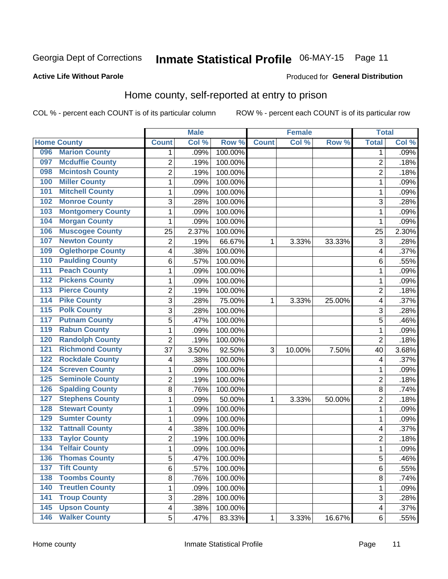#### Inmate Statistical Profile 06-MAY-15 Page 11

#### **Active Life Without Parole**

#### Produced for General Distribution

### Home county, self-reported at entry to prison

COL % - percent each COUNT is of its particular column

|                  |                          |                         | <b>Male</b> |         |              | <b>Female</b> |        | <b>Total</b>   |       |
|------------------|--------------------------|-------------------------|-------------|---------|--------------|---------------|--------|----------------|-------|
|                  | <b>Home County</b>       | <b>Count</b>            | Col %       | Row %   | <b>Count</b> | Col %         | Row %  | <b>Total</b>   | Col % |
| 096              | <b>Marion County</b>     | 1                       | .09%        | 100.00% |              |               |        | 1              | .09%  |
| 097              | <b>Mcduffie County</b>   | $\overline{2}$          | .19%        | 100.00% |              |               |        | $\overline{2}$ | .18%  |
| 098              | <b>Mcintosh County</b>   | $\overline{c}$          | .19%        | 100.00% |              |               |        | 2              | .18%  |
| 100              | <b>Miller County</b>     | 1                       | .09%        | 100.00% |              |               |        | 1              | .09%  |
| 101              | <b>Mitchell County</b>   | $\mathbf 1$             | .09%        | 100.00% |              |               |        | 1              | .09%  |
| 102              | <b>Monroe County</b>     | 3                       | .28%        | 100.00% |              |               |        | 3              | .28%  |
| 103              | <b>Montgomery County</b> | $\mathbf 1$             | .09%        | 100.00% |              |               |        | 1              | .09%  |
| 104              | <b>Morgan County</b>     | 1                       | .09%        | 100.00% |              |               |        | 1              | .09%  |
| 106              | <b>Muscogee County</b>   | 25                      | 2.37%       | 100.00% |              |               |        | 25             | 2.30% |
| 107              | <b>Newton County</b>     | 2                       | .19%        | 66.67%  | 1            | 3.33%         | 33.33% | 3              | .28%  |
| 109              | <b>Oglethorpe County</b> | 4                       | .38%        | 100.00% |              |               |        | 4              | .37%  |
| 110              | <b>Paulding County</b>   | 6                       | .57%        | 100.00% |              |               |        | 6              | .55%  |
| 111              | <b>Peach County</b>      | $\mathbf 1$             | .09%        | 100.00% |              |               |        | 1              | .09%  |
| $\overline{112}$ | <b>Pickens County</b>    | $\mathbf 1$             | .09%        | 100.00% |              |               |        | 1              | .09%  |
| 113              | <b>Pierce County</b>     | $\overline{2}$          | .19%        | 100.00% |              |               |        | $\overline{2}$ | .18%  |
| 114              | <b>Pike County</b>       | 3                       | .28%        | 75.00%  | 1            | 3.33%         | 25.00% | 4              | .37%  |
| $\overline{115}$ | <b>Polk County</b>       | 3                       | .28%        | 100.00% |              |               |        | 3              | .28%  |
| 117              | <b>Putnam County</b>     | 5                       | .47%        | 100.00% |              |               |        | 5              | .46%  |
| 119              | <b>Rabun County</b>      | $\mathbf 1$             | .09%        | 100.00% |              |               |        | 1              | .09%  |
| 120              | <b>Randolph County</b>   | $\overline{2}$          | .19%        | 100.00% |              |               |        | $\overline{2}$ | .18%  |
| 121              | <b>Richmond County</b>   | 37                      | 3.50%       | 92.50%  | 3            | 10.00%        | 7.50%  | 40             | 3.68% |
| 122              | <b>Rockdale County</b>   | 4                       | .38%        | 100.00% |              |               |        | 4              | .37%  |
| 124              | <b>Screven County</b>    | $\mathbf 1$             | .09%        | 100.00% |              |               |        | 1              | .09%  |
| 125              | <b>Seminole County</b>   | $\overline{c}$          | .19%        | 100.00% |              |               |        | $\overline{2}$ | .18%  |
| 126              | <b>Spalding County</b>   | 8                       | .76%        | 100.00% |              |               |        | 8              | .74%  |
| 127              | <b>Stephens County</b>   | 1                       | .09%        | 50.00%  | 1            | 3.33%         | 50.00% | $\overline{2}$ | .18%  |
| 128              | <b>Stewart County</b>    | $\mathbf 1$             | .09%        | 100.00% |              |               |        | 1              | .09%  |
| 129              | <b>Sumter County</b>     | 1                       | .09%        | 100.00% |              |               |        | 1              | .09%  |
| 132              | <b>Tattnall County</b>   | 4                       | .38%        | 100.00% |              |               |        | 4              | .37%  |
| 133              | <b>Taylor County</b>     | $\overline{c}$          | .19%        | 100.00% |              |               |        | 2              | .18%  |
| 134              | <b>Telfair County</b>    | $\mathbf 1$             | .09%        | 100.00% |              |               |        | 1              | .09%  |
| 136              | <b>Thomas County</b>     | 5                       | .47%        | 100.00% |              |               |        | 5              | .46%  |
| 137              | <b>Tift County</b>       | 6                       | .57%        | 100.00% |              |               |        | 6              | .55%  |
| 138              | <b>Toombs County</b>     | 8                       | .76%        | 100.00% |              |               |        | 8              | .74%  |
| 140              | <b>Treutlen County</b>   | $\mathbf 1$             | .09%        | 100.00% |              |               |        | 1              | .09%  |
| 141              | <b>Troup County</b>      | 3                       | .28%        | 100.00% |              |               |        | 3              | .28%  |
| 145              | <b>Upson County</b>      | $\overline{\mathbf{4}}$ | .38%        | 100.00% |              |               |        | 4              | .37%  |
| 146              | <b>Walker County</b>     | 5                       | .47%        | 83.33%  | 1            | 3.33%         | 16.67% | $6\phantom{a}$ | .55%  |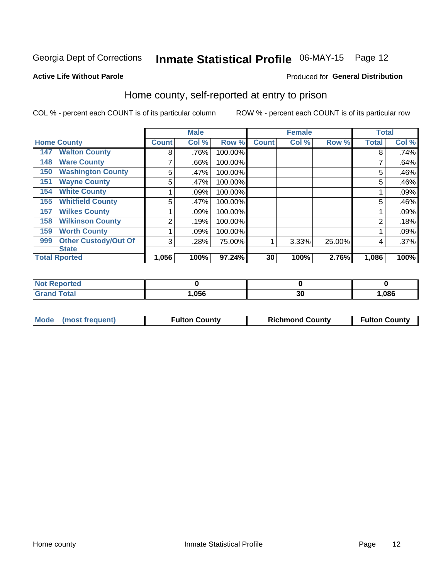## Inmate Statistical Profile 06-MAY-15 Page 12

#### **Active Life Without Parole**

#### Produced for General Distribution

### Home county, self-reported at entry to prison

COL % - percent each COUNT is of its particular column

|     |                             |                | <b>Male</b> |         |              | <b>Female</b> |        | <b>Total</b> |       |
|-----|-----------------------------|----------------|-------------|---------|--------------|---------------|--------|--------------|-------|
|     | <b>Home County</b>          | <b>Count</b>   | Col %       | Row %   | <b>Count</b> | Col %         | Row %  | <b>Total</b> | Col % |
| 147 | <b>Walton County</b>        | 8              | .76%        | 100.00% |              |               |        | 8            | .74%  |
| 148 | <b>Ware County</b>          | ⇁              | .66%        | 100.00% |              |               |        |              | .64%  |
| 150 | <b>Washington County</b>    | 5              | .47%        | 100.00% |              |               |        | 5            | .46%  |
| 151 | <b>Wayne County</b>         | 5              | .47%        | 100.00% |              |               |        | 5            | .46%  |
| 154 | <b>White County</b>         |                | .09%        | 100.00% |              |               |        |              | .09%  |
| 155 | <b>Whitfield County</b>     | 5              | .47%        | 100.00% |              |               |        | 5            | .46%  |
| 157 | <b>Wilkes County</b>        |                | $.09\%$     | 100.00% |              |               |        |              | .09%  |
| 158 | <b>Wilkinson County</b>     | $\overline{2}$ | .19%        | 100.00% |              |               |        | 2            | .18%  |
| 159 | <b>Worth County</b>         |                | .09%        | 100.00% |              |               |        |              | .09%  |
| 999 | <b>Other Custody/Out Of</b> | 3              | .28%        | 75.00%  | 4            | 3.33%         | 25.00% | 4            | .37%  |
|     | <b>State</b>                |                |             |         |              |               |        |              |       |
|     | <b>Total Rported</b>        | 1,056          | 100%        | 97.24%  | 30           | 100%          | 2.76%  | 1,086        | 100%  |

| 'Not<br><b>Reported</b> |      |             |       |
|-------------------------|------|-------------|-------|
| <b>Total</b>            | ,056 | $\sim$<br>u | 1,086 |

| Mode (most frequent) | <b>Fulton County</b> | <b>Richmond County</b> | <b>Fulton County</b> |
|----------------------|----------------------|------------------------|----------------------|
|----------------------|----------------------|------------------------|----------------------|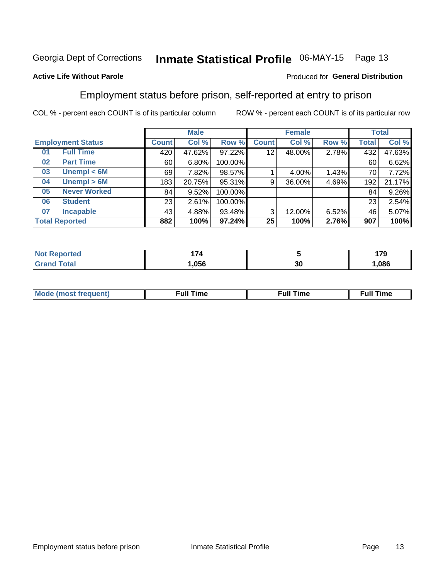## Inmate Statistical Profile 06-MAY-15 Page 13

#### **Active Life Without Parole**

#### Produced for General Distribution

### Employment status before prison, self-reported at entry to prison

COL % - percent each COUNT is of its particular column

|                           |         | <b>Male</b> |         |              | <b>Female</b> |       |       | <b>Total</b> |
|---------------------------|---------|-------------|---------|--------------|---------------|-------|-------|--------------|
| <b>Employment Status</b>  | Count l | Col %       | Row %   | <b>Count</b> | Col %         | Row % | Total | Col %        |
| <b>Full Time</b><br>01    | 420     | 47.62%      | 97.22%  | 12           | 48.00%        | 2.78% | 432   | 47.63%       |
| <b>Part Time</b><br>02    | 60      | 6.80%       | 100.00% |              |               |       | 60    | 6.62%        |
| Unempl $< 6M$<br>03       | 69      | 7.82%       | 98.57%  |              | 4.00%         | 1.43% | 70    | 7.72%        |
| Unempl > 6M<br>04         | 183     | 20.75%      | 95.31%  | 9            | 36.00%        | 4.69% | 192   | 21.17%       |
| <b>Never Worked</b><br>05 | 84      | 9.52%       | 100.00% |              |               |       | 84    | 9.26%        |
| <b>Student</b><br>06      | 23      | 2.61%       | 100.00% |              |               |       | 23    | 2.54%        |
| <b>Incapable</b><br>07    | 43      | 4.88%       | 93.48%  | 3            | 12.00%        | 6.52% | 46    | 5.07%        |
| <b>Total Reported</b>     | 882     | 100%        | 97.24%  | 25           | 100%          | 2.76% | 907   | 100%         |

|             | .<br>74 |    | 170<br>. |
|-------------|---------|----|----------|
| $C = 4 - 7$ | .056    | 30 | .086     |

| Mc | ∙u∥<br>----<br>ıme | ίuΙ<br>Πmε |
|----|--------------------|------------|
|    |                    |            |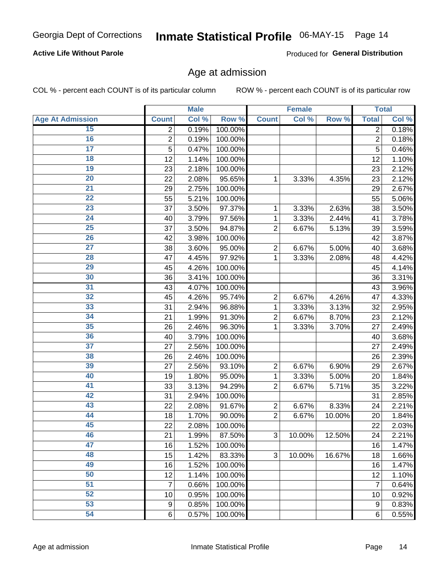#### **Active Life Without Parole**

Produced for General Distribution

### Age at admission

COL % - percent each COUNT is of its particular column

|                         |                | <b>Male</b> |         |                | <b>Female</b> |        |                  | <b>Total</b> |
|-------------------------|----------------|-------------|---------|----------------|---------------|--------|------------------|--------------|
| <b>Age At Admission</b> | <b>Count</b>   | Col %       | Row %   | <b>Count</b>   | Col %         | Row %  | <b>Total</b>     | Col %        |
| 15                      | 2              | 0.19%       | 100.00% |                |               |        | $\overline{2}$   | 0.18%        |
| 16                      | $\overline{2}$ | 0.19%       | 100.00% |                |               |        | $\overline{2}$   | 0.18%        |
| $\overline{17}$         | 5              | 0.47%       | 100.00% |                |               |        | $\overline{5}$   | 0.46%        |
| 18                      | 12             | 1.14%       | 100.00% |                |               |        | 12               | 1.10%        |
| 19                      | 23             | 2.18%       | 100.00% |                |               |        | 23               | 2.12%        |
| $\overline{20}$         | 22             | 2.08%       | 95.65%  | 1              | 3.33%         | 4.35%  | 23               | 2.12%        |
| $\overline{21}$         | 29             | 2.75%       | 100.00% |                |               |        | 29               | 2.67%        |
| 22                      | 55             | 5.21%       | 100.00% |                |               |        | 55               | 5.06%        |
| 23                      | 37             | 3.50%       | 97.37%  | 1              | 3.33%         | 2.63%  | 38               | 3.50%        |
| 24                      | 40             | 3.79%       | 97.56%  | 1              | 3.33%         | 2.44%  | 41               | 3.78%        |
| $\overline{25}$         | 37             | 3.50%       | 94.87%  | $\overline{2}$ | 6.67%         | 5.13%  | 39               | 3.59%        |
| 26                      | 42             | 3.98%       | 100.00% |                |               |        | 42               | 3.87%        |
| $\overline{27}$         | 38             | 3.60%       | 95.00%  | $\overline{2}$ | 6.67%         | 5.00%  | 40               | 3.68%        |
| 28                      | 47             | 4.45%       | 97.92%  | 1              | 3.33%         | 2.08%  | 48               | 4.42%        |
| 29                      | 45             | 4.26%       | 100.00% |                |               |        | 45               | 4.14%        |
| 30                      | 36             | 3.41%       | 100.00% |                |               |        | 36               | 3.31%        |
| 31                      | 43             | 4.07%       | 100.00% |                |               |        | 43               | 3.96%        |
| 32                      | 45             | 4.26%       | 95.74%  | $\overline{2}$ | 6.67%         | 4.26%  | 47               | 4.33%        |
| 33                      | 31             | 2.94%       | 96.88%  | 1              | 3.33%         | 3.13%  | 32               | 2.95%        |
| 34                      | 21             | 1.99%       | 91.30%  | $\overline{2}$ | 6.67%         | 8.70%  | 23               | 2.12%        |
| 35                      | 26             | 2.46%       | 96.30%  | 1              | 3.33%         | 3.70%  | 27               | 2.49%        |
| 36                      | 40             | 3.79%       | 100.00% |                |               |        | 40               | 3.68%        |
| $\overline{37}$         | 27             | 2.56%       | 100.00% |                |               |        | 27               | 2.49%        |
| 38                      | 26             | 2.46%       | 100.00% |                |               |        | 26               | 2.39%        |
| 39                      | 27             | 2.56%       | 93.10%  | $\overline{2}$ | 6.67%         | 6.90%  | 29               | 2.67%        |
| 40                      | 19             | 1.80%       | 95.00%  | 1              | 3.33%         | 5.00%  | 20               | 1.84%        |
| 41                      | 33             | 3.13%       | 94.29%  | $\overline{2}$ | 6.67%         | 5.71%  | 35               | 3.22%        |
| 42                      | 31             | 2.94%       | 100.00% |                |               |        | 31               | 2.85%        |
| 43                      | 22             | 2.08%       | 91.67%  | $\overline{2}$ | 6.67%         | 8.33%  | 24               | 2.21%        |
| 44                      | 18             | 1.70%       | 90.00%  | $\overline{2}$ | 6.67%         | 10.00% | 20               | 1.84%        |
| 45                      | 22             | 2.08%       | 100.00% |                |               |        | 22               | 2.03%        |
| 46                      | 21             | 1.99%       | 87.50%  | 3              | 10.00%        | 12.50% | 24               | 2.21%        |
| 47                      | 16             | 1.52%       | 100.00% |                |               |        | 16               | 1.47%        |
| 48                      | 15             | 1.42%       | 83.33%  | 3              | 10.00%        | 16.67% | 18               | 1.66%        |
| 49                      | 16             | 1.52%       | 100.00% |                |               |        | 16               | 1.47%        |
| 50                      | 12             | 1.14%       | 100.00% |                |               |        | 12               | 1.10%        |
| $\overline{51}$         | 7              | 0.66%       | 100.00% |                |               |        | $\overline{7}$   | 0.64%        |
| 52                      | 10             | 0.95%       | 100.00% |                |               |        | 10               | 0.92%        |
| 53                      | 9              | 0.85%       | 100.00% |                |               |        | $\boldsymbol{9}$ | 0.83%        |
| 54                      | 6              | 0.57%       | 100.00% |                |               |        | 6                | 0.55%        |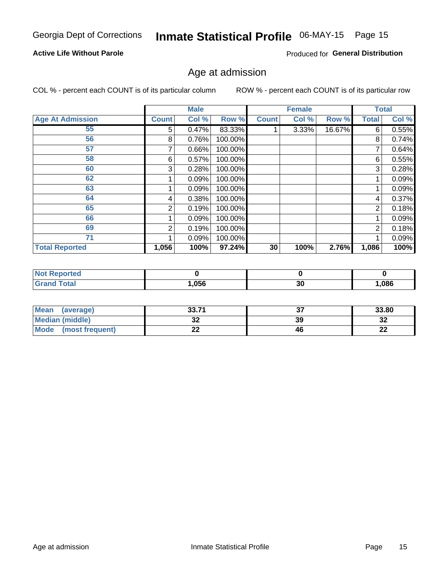## Inmate Statistical Profile 06-MAY-15 Page 15

#### **Active Life Without Parole**

Produced for General Distribution

### Age at admission

COL % - percent each COUNT is of its particular column

|                         |                | <b>Male</b> |         |              | <b>Female</b> |        |                | <b>Total</b> |
|-------------------------|----------------|-------------|---------|--------------|---------------|--------|----------------|--------------|
| <b>Age At Admission</b> | <b>Count</b>   | Col %       | Row %   | <b>Count</b> | Col %         | Row %  | <b>Total</b>   | Col %        |
| 55                      | 5              | 0.47%       | 83.33%  |              | $3.33\%$      | 16.67% | 6              | 0.55%        |
| 56                      | 8              | 0.76%       | 100.00% |              |               |        | 8              | 0.74%        |
| 57                      |                | 0.66%       | 100.00% |              |               |        |                | 0.64%        |
| 58                      | 6              | 0.57%       | 100.00% |              |               |        | 6              | 0.55%        |
| 60                      | 3              | 0.28%       | 100.00% |              |               |        | 3              | 0.28%        |
| 62                      |                | 0.09%       | 100.00% |              |               |        |                | 0.09%        |
| 63                      |                | 0.09%       | 100.00% |              |               |        |                | 0.09%        |
| 64                      | 4              | 0.38%       | 100.00% |              |               |        | 4              | 0.37%        |
| 65                      | $\overline{2}$ | 0.19%       | 100.00% |              |               |        | 2              | 0.18%        |
| 66                      |                | 0.09%       | 100.00% |              |               |        |                | 0.09%        |
| 69                      | 2              | 0.19%       | 100.00% |              |               |        | $\overline{2}$ | 0.18%        |
| 71                      |                | 0.09%       | 100.00% |              |               |        |                | 0.09%        |
| <b>Total Reported</b>   | 1,056          | 100%        | 97.24%  | 30           | 100%          | 2.76%  | 1,086          | 100%         |

| <b>Reported</b><br><b>NOT</b> |      |           |      |
|-------------------------------|------|-----------|------|
| <b>Fotal</b>                  | ,056 | or.<br>οU | ,086 |

| Mean<br>(average)              | 2271<br> | ^¬<br>J, | 33.80     |
|--------------------------------|----------|----------|-----------|
| <b>Median (middle)</b>         | ◡▵       | 39       | າາ<br>∠د  |
| <b>Mode</b><br>(most frequent) | --       | 46       | ng,<br>LL |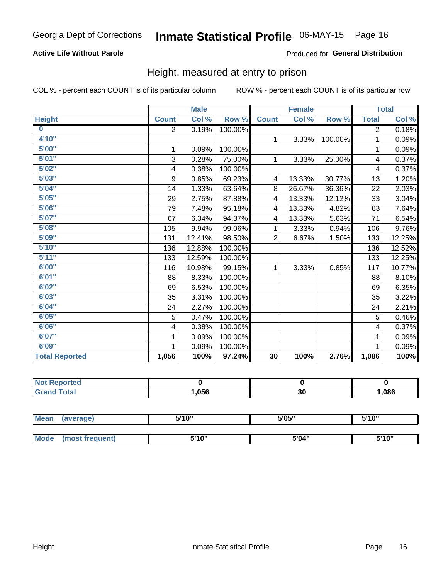#### **Active Life Without Parole**

#### Produced for General Distribution

### Height, measured at entry to prison

COL % - percent each COUNT is of its particular column

|                       |              | <b>Male</b> |         |                | <b>Female</b> |         |                | <b>Total</b> |
|-----------------------|--------------|-------------|---------|----------------|---------------|---------|----------------|--------------|
| <b>Height</b>         | <b>Count</b> | Col %       | Row %   | <b>Count</b>   | Col %         | Row %   | <b>Total</b>   | Col %        |
| $\bf{0}$              | 2            | 0.19%       | 100.00% |                |               |         | $\overline{2}$ | 0.18%        |
| 4'10''                |              |             |         | $\mathbf{1}$   | 3.33%         | 100.00% | 1              | 0.09%        |
| 5'00''                | 1            | 0.09%       | 100.00% |                |               |         | 1              | 0.09%        |
| 5'01"                 | 3            | 0.28%       | 75.00%  | $\mathbf 1$    | 3.33%         | 25.00%  | 4              | 0.37%        |
| 5'02"                 | 4            | 0.38%       | 100.00% |                |               |         | 4              | 0.37%        |
| 5'03''                | 9            | 0.85%       | 69.23%  | 4              | 13.33%        | 30.77%  | 13             | 1.20%        |
| 5'04"                 | 14           | 1.33%       | 63.64%  | 8              | 26.67%        | 36.36%  | 22             | 2.03%        |
| 5'05"                 | 29           | 2.75%       | 87.88%  | 4              | 13.33%        | 12.12%  | 33             | 3.04%        |
| 5'06''                | 79           | 7.48%       | 95.18%  | 4              | 13.33%        | 4.82%   | 83             | 7.64%        |
| 5'07''                | 67           | 6.34%       | 94.37%  | 4              | 13.33%        | 5.63%   | 71             | 6.54%        |
| 5'08''                | 105          | 9.94%       | 99.06%  | 1              | 3.33%         | 0.94%   | 106            | 9.76%        |
| 5'09''                | 131          | 12.41%      | 98.50%  | $\overline{2}$ | 6.67%         | 1.50%   | 133            | 12.25%       |
| 5'10''                | 136          | 12.88%      | 100.00% |                |               |         | 136            | 12.52%       |
| 5'11''                | 133          | 12.59%      | 100.00% |                |               |         | 133            | 12.25%       |
| 6'00''                | 116          | 10.98%      | 99.15%  | 1.             | 3.33%         | 0.85%   | 117            | 10.77%       |
| 6'01''                | 88           | 8.33%       | 100.00% |                |               |         | 88             | 8.10%        |
| 6'02"                 | 69           | 6.53%       | 100.00% |                |               |         | 69             | 6.35%        |
| 6'03''                | 35           | 3.31%       | 100.00% |                |               |         | 35             | 3.22%        |
| 6'04"                 | 24           | 2.27%       | 100.00% |                |               |         | 24             | 2.21%        |
| 6'05"                 | 5            | 0.47%       | 100.00% |                |               |         | 5              | 0.46%        |
| 6'06''                | 4            | 0.38%       | 100.00% |                |               |         | 4              | 0.37%        |
| 6'07''                | 1            | 0.09%       | 100.00% |                |               |         | 1              | 0.09%        |
| 6'09''                | 1            | 0.09%       | 100.00% |                |               |         | 1              | 0.09%        |
| <b>Total Reported</b> | 1,056        | 100%        | 97.24%  | 30             | 100%          | 2.76%   | 1,086          | 100%         |

| <b>Reported</b><br>. |      |    |     |
|----------------------|------|----|-----|
|                      | .056 | აυ | 086 |

| <b>Mean</b> | (average)       | 5'10" | 5'05" | 5'10" |  |
|-------------|-----------------|-------|-------|-------|--|
|             |                 |       |       |       |  |
| Mode        | (most frequent) | 5'10" | 5'04" | 5'10" |  |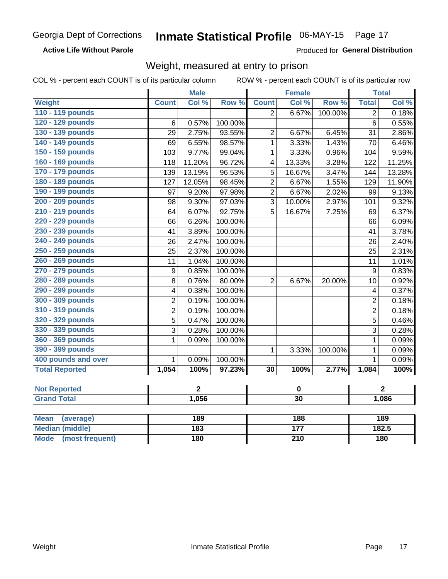**Active Life Without Parole** 

Produced for General Distribution

### Weight, measured at entry to prison

COL % - percent each COUNT is of its particular column ROW % - percent each COUNT is of its particular row

|                                |                  | <b>Male</b>    |         |                         | <b>Female</b> |         |                         | <b>Total</b>   |  |
|--------------------------------|------------------|----------------|---------|-------------------------|---------------|---------|-------------------------|----------------|--|
| <b>Weight</b>                  | <b>Count</b>     | Col %          | Row %   | <b>Count</b>            | Col %         | Row %   | <b>Total</b>            | Col %          |  |
| 110 - 119 pounds               |                  |                |         | $\overline{2}$          | 6.67%         | 100.00% | $\overline{2}$          | 0.18%          |  |
| 120 - 129 pounds               | 6                | 0.57%          | 100.00% |                         |               |         | $6\phantom{1}$          | 0.55%          |  |
| 130 - 139 pounds               | 29               | 2.75%          | 93.55%  | $\overline{2}$          | 6.67%         | 6.45%   | 31                      | 2.86%          |  |
| 140 - 149 pounds               | 69               | 6.55%          | 98.57%  | $\mathbf{1}$            | 3.33%         | 1.43%   | 70                      | 6.46%          |  |
| 150 - 159 pounds               | 103              | 9.77%          | 99.04%  | $\mathbf{1}$            | 3.33%         | 0.96%   | 104                     | 9.59%          |  |
| 160 - 169 pounds               | 118              | 11.20%         | 96.72%  | $\overline{\mathbf{4}}$ | 13.33%        | 3.28%   | 122                     | 11.25%         |  |
| 170 - 179 pounds               | 139              | 13.19%         | 96.53%  | 5                       | 16.67%        | 3.47%   | 144                     | 13.28%         |  |
| 180 - 189 pounds               | 127              | 12.05%         | 98.45%  | $\overline{2}$          | 6.67%         | 1.55%   | 129                     | 11.90%         |  |
| 190 - 199 pounds               | 97               | 9.20%          | 97.98%  | $\overline{2}$          | 6.67%         | 2.02%   | 99                      | 9.13%          |  |
| 200 - 209 pounds               | 98               | 9.30%          | 97.03%  | 3                       | 10.00%        | 2.97%   | 101                     | 9.32%          |  |
| 210 - 219 pounds               | 64               | 6.07%          | 92.75%  | $\overline{5}$          | 16.67%        | 7.25%   | 69                      | 6.37%          |  |
| 220 - 229 pounds               | 66               | 6.26%          | 100.00% |                         |               |         | 66                      | 6.09%          |  |
| 230 - 239 pounds               | 41               | 3.89%          | 100.00% |                         |               |         | 41                      | 3.78%          |  |
| 240 - 249 pounds               | 26               | 2.47%          | 100.00% |                         |               |         | 26                      | 2.40%          |  |
| 250 - 259 pounds               | 25               | 2.37%          | 100.00% |                         |               |         | 25                      | 2.31%          |  |
| 260 - 269 pounds               | 11               | 1.04%          | 100.00% |                         |               |         | 11                      | 1.01%          |  |
| 270 - 279 pounds               | $\boldsymbol{9}$ | 0.85%          | 100.00% |                         |               |         | $\boldsymbol{9}$        | 0.83%          |  |
| 280 - 289 pounds               | 8                | 0.76%          | 80.00%  | $\overline{2}$          | 6.67%         | 20.00%  | 10                      | 0.92%          |  |
| 290 - 299 pounds               | 4                | 0.38%          | 100.00% |                         |               |         | $\overline{\mathbf{4}}$ | 0.37%          |  |
| 300 - 309 pounds               | 2                | 0.19%          | 100.00% |                         |               |         | $\overline{2}$          | 0.18%          |  |
| 310 - 319 pounds               | $\overline{2}$   | 0.19%          | 100.00% |                         |               |         | $\overline{2}$          | 0.18%          |  |
| 320 - 329 pounds               | $\overline{5}$   | 0.47%          | 100.00% |                         |               |         | $\overline{5}$          | 0.46%          |  |
| 330 - 339 pounds               | 3                | 0.28%          | 100.00% |                         |               |         | 3                       | 0.28%          |  |
| 360 - 369 pounds               | 1                | 0.09%          | 100.00% |                         |               |         | $\mathbf 1$             | 0.09%          |  |
| 390 - 399 pounds               |                  |                |         | $\mathbf{1}$            | 3.33%         | 100.00% | $\mathbf{1}$            | 0.09%          |  |
| 400 pounds and over            | $\mathbf{1}$     | 0.09%          | 100.00% |                         |               |         | $\mathbf{1}$            | 0.09%          |  |
| <b>Total Reported</b>          | 1,054            | 100%           | 97.23%  | $\overline{30}$         | 100%          | 2.77%   | 1,084                   | 100%           |  |
|                                |                  |                |         |                         |               |         |                         |                |  |
| <b>Not Reported</b>            |                  | $\overline{2}$ |         |                         | $\mathbf 0$   |         |                         | $\overline{2}$ |  |
| <b>Grand Total</b>             |                  | 1,056          |         | $\overline{30}$         |               |         |                         | 1,086          |  |
|                                |                  |                |         |                         |               |         |                         |                |  |
| <b>Mean</b><br>(average)       |                  | 189            |         |                         | 188           |         |                         | 189            |  |
| <b>Median (middle)</b>         |                  | 183            |         |                         | 177           |         | 182.5                   |                |  |
| <b>Mode</b><br>(most frequent) |                  | <b>180</b>     |         | $\overline{210}$        |               |         | 180                     |                |  |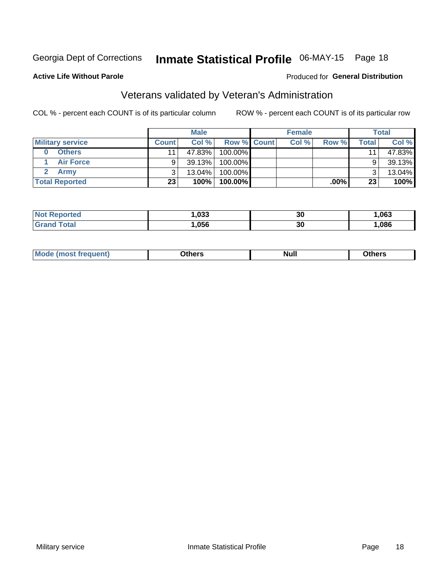## Inmate Statistical Profile 06-MAY-15 Page 18

#### **Active Life Without Parole**

#### Produced for General Distribution

## Veterans validated by Veteran's Administration

COL % - percent each COUNT is of its particular column

|                         |              | <b>Male</b> |                    | <b>Female</b> |         |              | <b>Total</b> |
|-------------------------|--------------|-------------|--------------------|---------------|---------|--------------|--------------|
| <b>Military service</b> | <b>Count</b> | Col%        | <b>Row % Count</b> | Col %         | Row %   | <b>Total</b> | Col %        |
| <b>Others</b>           |              | 47.83%      | 100.00%            |               |         | 11           | 47.83%       |
| <b>Air Force</b>        |              | 39.13%      | 100.00%            |               |         | 9            | 39.13%       |
| <b>Army</b>             |              | $13.04\%$   | 100.00%            |               |         | 2            | 13.04%       |
| <b>Total Reported</b>   | 23           | 100%        | $100.00\%$         |               | $.00\%$ | 23           | 100%         |

| .033 | 30 | ,063 |
|------|----|------|
| በ56  | 30 | ,086 |

| <b>Mode</b><br>uent)<br>IMOST Trea | <b>Dthers</b><br>____ | <b>Null</b> | ⊃thers |
|------------------------------------|-----------------------|-------------|--------|
|                                    |                       |             |        |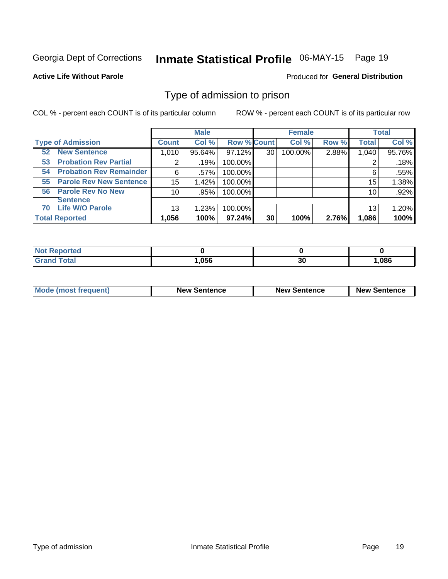## Inmate Statistical Profile 06-MAY-15 Page 19

#### **Active Life Without Parole**

#### Produced for General Distribution

### Type of admission to prison

COL % - percent each COUNT is of its particular column

|                                      |                       | <b>Male</b> |                    |    | <b>Female</b> |       |              | <b>Total</b> |
|--------------------------------------|-----------------------|-------------|--------------------|----|---------------|-------|--------------|--------------|
| <b>Type of Admission</b>             | <b>Count</b>          | Col %       | <b>Row % Count</b> |    | Col %         | Row % | <b>Total</b> | Col %        |
| <b>New Sentence</b><br>52            | 1,010                 | 95.64%      | 97.12%             | 30 | 100.00%       | 2.88% | 1,040        | 95.76%       |
| <b>Probation Rev Partial</b><br>53   | $\mathbf{2}^{\prime}$ | .19%        | 100.00%            |    |               |       |              | .18%         |
| <b>Probation Rev Remainder</b><br>54 | 6                     | .57%        | 100.00%            |    |               |       | 6            | .55%         |
| <b>Parole Rev New Sentence</b><br>55 | 15                    | 1.42%       | 100.00%            |    |               |       | 15           | 1.38%        |
| 56 Parole Rev No New                 | 10 <sup>1</sup>       | .95%        | 100.00%            |    |               |       | 10           | .92%         |
| <b>Sentence</b>                      |                       |             |                    |    |               |       |              |              |
| <b>Life W/O Parole</b><br>70         | 13                    | 1.23%       | 100.00%            |    |               |       | 13           | $1.20\%$     |
| <b>Total Reported</b>                | 1,056                 | 100%        | 97.24%             | 30 | 100%          | 2.76% | 1,086        | 100%         |

| ported<br>NO                 |                       |    |       |
|------------------------------|-----------------------|----|-------|
| <b>cotal</b><br>$\mathbf{v}$ | $n_{\rm{EC}}$<br>סכט, | 30 | 0.086 |

| <b>Mode (most frequent)</b> | <b>New Sentence</b> | <b>New Sentence</b> | <b>New Sentence</b> |
|-----------------------------|---------------------|---------------------|---------------------|
|                             |                     |                     |                     |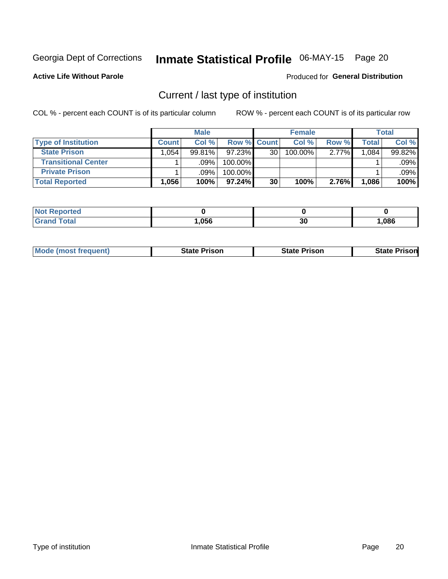## Inmate Statistical Profile 06-MAY-15 Page 20

**Active Life Without Parole** 

#### Produced for General Distribution

## Current / last type of institution

COL % - percent each COUNT is of its particular column

|                            |              | <b>Male</b> |             |                 | <b>Female</b> |          |       | <b>Total</b> |
|----------------------------|--------------|-------------|-------------|-----------------|---------------|----------|-------|--------------|
| <b>Type of Institution</b> | <b>Count</b> | Col %       | Row % Count |                 | Col %         | Row %    | Total | Col %        |
| <b>State Prison</b>        | 1.054        | $99.81\%$   | 97.23%      | 30 <sub>1</sub> | 100.00%       | $2.77\%$ | .084  | 99.82%       |
| <b>Transitional Center</b> |              | .09%        | 100.00%     |                 |               |          |       | .09%         |
| <b>Private Prison</b>      |              | .09%        | 100.00%     |                 |               |          |       | .09%         |
| <b>Total Reported</b>      | 1,056        | 100%        | $97.24\%$   | 30              | 100%          | 2.76%    | 1,086 | 100%         |

| ported<br><b>ANDER THE TELL AND THE T</b> |      |    |      |
|-------------------------------------------|------|----|------|
| <b>otal</b>                               | ,056 | 30 | ,086 |

| <b>Mode (most frequent)</b> | <b>State Prison</b> | <b>State Prison</b> | <b>State Prisonl</b> |
|-----------------------------|---------------------|---------------------|----------------------|
|                             |                     |                     |                      |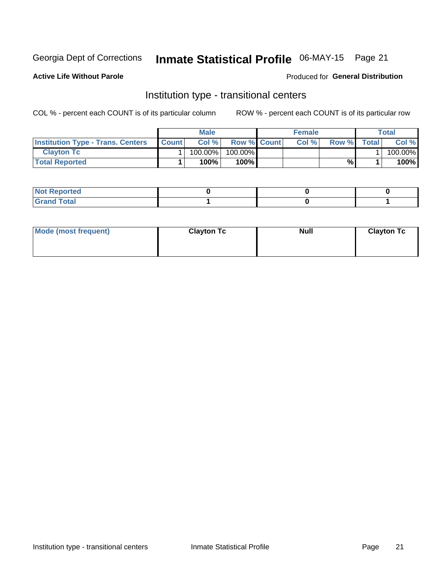## Inmate Statistical Profile 06-MAY-15 Page 21

#### **Active Life Without Parole**

#### Produced for General Distribution

### Institution type - transitional centers

COL % - percent each COUNT is of its particular column

|                                          |              | <b>Male</b> |                    | <b>Female</b> |       |              | <b>Total</b> |
|------------------------------------------|--------------|-------------|--------------------|---------------|-------|--------------|--------------|
| <b>Institution Type - Trans. Centers</b> | <b>Count</b> | Col%        | <b>Row % Count</b> | Col%          | Row % | <b>Total</b> | Col %        |
| <b>Clayton Tc</b>                        |              | 100.00%     | 100.00%            |               |       |              | 100.00%      |
| <b>Total Reported</b>                    |              | $100\%$     | 100%               |               | %     |              | 100%         |

| <b>Not Reported</b>    |  |  |
|------------------------|--|--|
| <b>Total</b><br>re e d |  |  |

| Mode (most frequent) | <b>Clayton Tc</b> | <b>Null</b> | <b>Clayton Tc</b> |
|----------------------|-------------------|-------------|-------------------|
|                      |                   |             |                   |
|                      |                   |             |                   |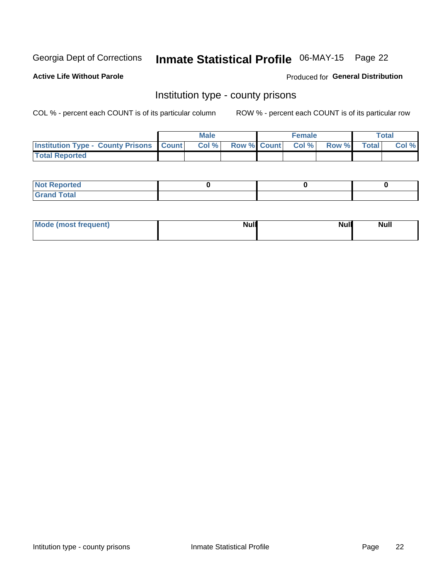## Inmate Statistical Profile 06-MAY-15 Page 22

**Active Life Without Parole** 

Produced for General Distribution

### Institution type - county prisons

COL % - percent each COUNT is of its particular column

|                                                    | <b>Male</b> |  | <b>Female</b>            |             | <b>Total</b> |
|----------------------------------------------------|-------------|--|--------------------------|-------------|--------------|
| <b>Institution Type - County Prisons   Count  </b> | Col %       |  | <b>Row % Count Col %</b> | Row % Total | Col %        |
| <b>Total Reported</b>                              |             |  |                          |             |              |

| <b>Not</b><br>: Reported<br> |  |  |
|------------------------------|--|--|
| <b>Total</b><br>---          |  |  |

| Mode (most frequent) | <b>Null</b> | <b>Null</b><br><b>Null</b> |
|----------------------|-------------|----------------------------|
|                      |             |                            |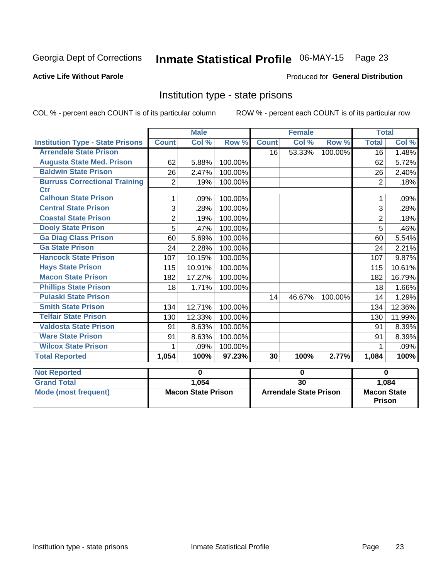## Inmate Statistical Profile 06-MAY-15 Page 23

#### **Active Life Without Parole**

#### Produced for General Distribution

### Institution type - state prisons

COL % - percent each COUNT is of its particular column ROW % - percent each COUNT is of its particular row

|                                         | <b>Male</b>               |        |         | <b>Female</b>                 |        |         | <b>Total</b>                        |        |
|-----------------------------------------|---------------------------|--------|---------|-------------------------------|--------|---------|-------------------------------------|--------|
| <b>Institution Type - State Prisons</b> | <b>Count</b>              | Col %  | Row %   | <b>Count</b>                  | Col %  | Row %   | <b>Total</b>                        | Col %  |
| <b>Arrendale State Prison</b>           |                           |        |         | 16                            | 53.33% | 100.00% | $\overline{16}$                     | 1.48%  |
| <b>Augusta State Med. Prison</b>        | 62                        | 5.88%  | 100.00% |                               |        |         | 62                                  | 5.72%  |
| <b>Baldwin State Prison</b>             | 26                        | 2.47%  | 100.00% |                               |        |         | 26                                  | 2.40%  |
| <b>Burruss Correctional Training</b>    | $\overline{2}$            | .19%   | 100.00% |                               |        |         | $\overline{2}$                      | .18%   |
| <b>Ctr</b>                              |                           |        |         |                               |        |         |                                     |        |
| <b>Calhoun State Prison</b>             | 1                         | .09%   | 100.00% |                               |        |         | 1                                   | .09%   |
| <b>Central State Prison</b>             | 3                         | .28%   | 100.00% |                               |        |         | 3                                   | .28%   |
| <b>Coastal State Prison</b>             | $\overline{2}$            | .19%   | 100.00% |                               |        |         | $\overline{2}$                      | .18%   |
| <b>Dooly State Prison</b>               | 5                         | .47%   | 100.00% |                               |        |         | 5                                   | .46%   |
| <b>Ga Diag Class Prison</b>             | 60                        | 5.69%  | 100.00% |                               |        |         | 60                                  | 5.54%  |
| <b>Ga State Prison</b>                  | 24                        | 2.28%  | 100.00% |                               |        |         | 24                                  | 2.21%  |
| <b>Hancock State Prison</b>             | 107                       | 10.15% | 100.00% |                               |        |         | 107                                 | 9.87%  |
| <b>Hays State Prison</b>                | 115                       | 10.91% | 100.00% |                               |        |         | 115                                 | 10.61% |
| <b>Macon State Prison</b>               | 182                       | 17.27% | 100.00% |                               |        |         | 182                                 | 16.79% |
| <b>Phillips State Prison</b>            | 18                        | 1.71%  | 100.00% |                               |        |         | 18                                  | 1.66%  |
| <b>Pulaski State Prison</b>             |                           |        |         | 14                            | 46.67% | 100.00% | 14                                  | 1.29%  |
| <b>Smith State Prison</b>               | 134                       | 12.71% | 100.00% |                               |        |         | 134                                 | 12.36% |
| <b>Telfair State Prison</b>             | 130                       | 12.33% | 100.00% |                               |        |         | 130                                 | 11.99% |
| <b>Valdosta State Prison</b>            | 91                        | 8.63%  | 100.00% |                               |        |         | 91                                  | 8.39%  |
| <b>Ware State Prison</b>                | 91                        | 8.63%  | 100.00% |                               |        |         | 91                                  | 8.39%  |
| <b>Wilcox State Prison</b>              | 1                         | .09%   | 100.00% |                               |        |         | 1                                   | .09%   |
| <b>Total Reported</b>                   | 1,054                     | 100%   | 97.23%  | 30                            | 100%   | 2.77%   | 1,084                               | 100%   |
| <b>Not Reported</b>                     | $\bf{0}$                  |        |         | $\bf{0}$                      |        |         | $\bf{0}$                            |        |
| <b>Grand Total</b>                      |                           | 1,054  |         | 30                            |        |         | 1,084                               |        |
| <b>Mode (most frequent)</b>             | <b>Macon State Prison</b> |        |         | <b>Arrendale State Prison</b> |        |         | <b>Macon State</b><br><b>Prison</b> |        |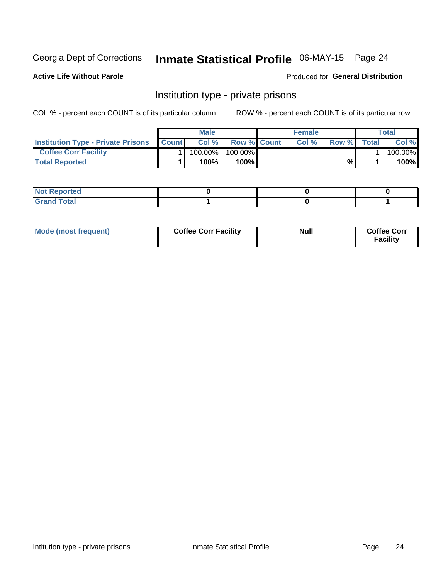## Inmate Statistical Profile 06-MAY-15 Page 24

**Active Life Without Parole** 

Produced for General Distribution

### Institution type - private prisons

COL % - percent each COUNT is of its particular column

|                                           | <b>Male</b>  |         |                    | <b>Female</b> |       |       | Total        |         |
|-------------------------------------------|--------------|---------|--------------------|---------------|-------|-------|--------------|---------|
| <b>Institution Type - Private Prisons</b> | <b>Count</b> | Col%    | <b>Row % Count</b> |               | Col % | Row % | <b>Total</b> | Col %   |
| <b>Coffee Corr Facility</b>               |              | 100.00% | 100.00%            |               |       |       |              | 100.00% |
| <b>Total Reported</b>                     |              | $100\%$ | 100%               |               |       | %     |              | 100%    |

| Not Reported |  |  |
|--------------|--|--|
|              |  |  |

| Mode (most frequent) | <b>Coffee Corr Facility</b> | <b>Null</b> | <b>Coffee Corr</b><br><b>Facility</b> |
|----------------------|-----------------------------|-------------|---------------------------------------|
|----------------------|-----------------------------|-------------|---------------------------------------|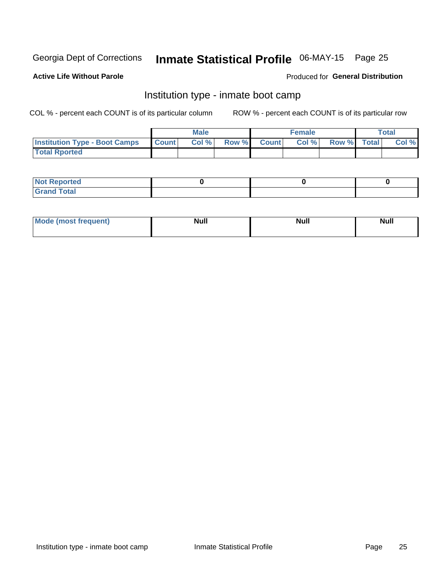## Inmate Statistical Profile 06-MAY-15 Page 25

#### **Active Life Without Parole**

#### Produced for General Distribution

### Institution type - inmate boot camp

COL % - percent each COUNT is of its particular column

|                                      | <b>Male</b>  |       |               | <b>Female</b> |       |             | <b>Total</b> |       |
|--------------------------------------|--------------|-------|---------------|---------------|-------|-------------|--------------|-------|
| <b>Institution Type - Boot Camps</b> | <b>Count</b> | Col % | <b>Row %I</b> | <b>Count</b>  | Col % | Row % Total |              | Col % |
| <b>Total Rported</b>                 |              |       |               |               |       |             |              |       |

| <b>Not Reported</b>            |  |  |
|--------------------------------|--|--|
| <b>Total</b><br>C <sub>r</sub> |  |  |

| Mod<br>uamo | Nul.<br>$- - - - - -$ | <b>Null</b> | . .<br>uu.<br>------ |
|-------------|-----------------------|-------------|----------------------|
|             |                       |             |                      |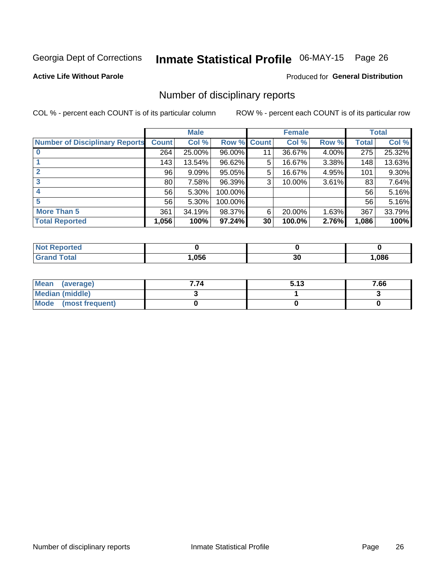## Inmate Statistical Profile 06-MAY-15 Page 26

#### **Active Life Without Parole**

#### Produced for General Distribution

### Number of disciplinary reports

COL % - percent each COUNT is of its particular column

|                                       | <b>Male</b>     |        |         | <b>Female</b> |        |          | <b>Total</b> |        |
|---------------------------------------|-----------------|--------|---------|---------------|--------|----------|--------------|--------|
| <b>Number of Disciplinary Reports</b> | <b>Count</b>    | Col %  | Row %   | <b>Count</b>  | Col %  | Row %    | <b>Total</b> | Col %  |
|                                       | 264             | 25.00% | 96.00%  | 11            | 36.67% | 4.00%    | 275          | 25.32% |
|                                       | 143             | 13.54% | 96.62%  | 5             | 16.67% | 3.38%    | 148          | 13.63% |
| 2                                     | 96              | 9.09%  | 95.05%  | 5             | 16.67% | 4.95%    | 101          | 9.30%  |
| 3                                     | 80 <sub>1</sub> | 7.58%  | 96.39%  | 3             | 10.00% | $3.61\%$ | 83           | 7.64%  |
|                                       | 56              | 5.30%  | 100.00% |               |        |          | 56           | 5.16%  |
| 5                                     | 56              | 5.30%  | 100.00% |               |        |          | 56           | 5.16%  |
| <b>More Than 5</b>                    | 361             | 34.19% | 98.37%  | 6             | 20.00% | 1.63%    | 367          | 33.79% |
| <b>Total Reported</b>                 | 1,056           | 100%   | 97.24%  | 30            | 100.0% | 2.76%    | 1,086        | 100%   |

| orted<br>NOT |      |    |      |
|--------------|------|----|------|
| <b>Total</b> | ,056 | 30 | ,086 |

| Mean (average)       | 7.74 | 5.13 | 7.66 |
|----------------------|------|------|------|
| Median (middle)      |      |      |      |
| Mode (most frequent) |      |      |      |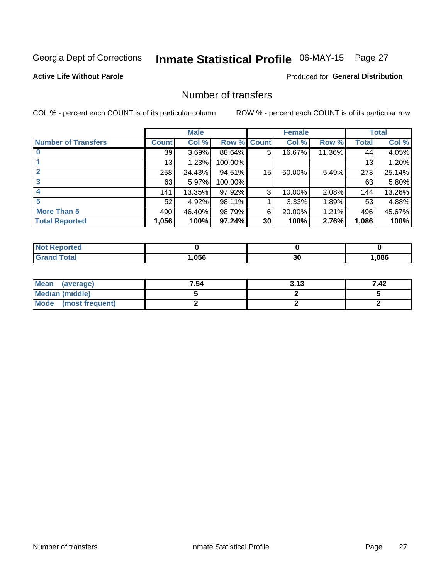## Inmate Statistical Profile 06-MAY-15 Page 27

#### **Active Life Without Parole**

#### Produced for General Distribution

### Number of transfers

COL % - percent each COUNT is of its particular column

|                            | <b>Male</b> |        |         | <b>Female</b> |        |        | <b>Total</b> |        |
|----------------------------|-------------|--------|---------|---------------|--------|--------|--------------|--------|
| <b>Number of Transfers</b> | Count l     | Col %  | Row %   | <b>Count</b>  | Col %  | Row %  | <b>Total</b> | Col %  |
|                            | 39          | 3.69%  | 88.64%  | 5             | 16.67% | 11.36% | 44           | 4.05%  |
|                            | 13          | 1.23%  | 100.00% |               |        |        | 13           | 1.20%  |
|                            | 258         | 24.43% | 94.51%  | 15            | 50.00% | 5.49%  | 273          | 25.14% |
| 3                          | 63          | 5.97%  | 100.00% |               |        |        | 63           | 5.80%  |
|                            | 141         | 13.35% | 97.92%  | 3             | 10.00% | 2.08%  | 144          | 13.26% |
| 5                          | 52          | 4.92%  | 98.11%  |               | 3.33%  | 1.89%  | 53           | 4.88%  |
| <b>More Than 5</b>         | 490         | 46.40% | 98.79%  | 6             | 20.00% | 1.21%  | 496          | 45.67% |
| <b>Total Reported</b>      | 1,056       | 100%   | 97.24%  | 30            | 100%   | 2.76%  | 1,086        | 100%   |

| NO<br>тес |      |    |      |
|-----------|------|----|------|
| Гоtal     | .056 | 30 | ,086 |

| Mean (average)       | 7.54 | 3.13 | 7.42 |
|----------------------|------|------|------|
| Median (middle)      |      |      |      |
| Mode (most frequent) |      |      |      |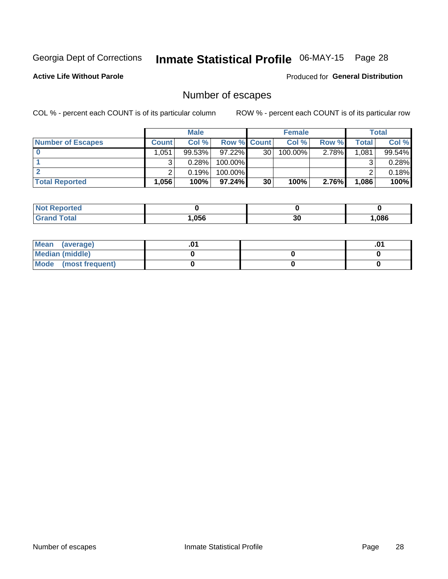## Inmate Statistical Profile 06-MAY-15 Page 28

**Active Life Without Parole** 

Produced for General Distribution

## Number of escapes

COL % - percent each COUNT is of its particular column

|                          | <b>Male</b>       |           |                    | <b>Female</b> |         |       | Total |        |
|--------------------------|-------------------|-----------|--------------------|---------------|---------|-------|-------|--------|
| <b>Number of Escapes</b> | <b>Count</b>      | Col%      | <b>Row % Count</b> |               | Col %   | Row % | Total | Col %  |
|                          | .051              | $99.53\%$ | $97.22\%$          | 30            | 100.00% | 2.78% | 1,081 | 99.54% |
|                          |                   | 0.28%     | 100.00%            |               |         |       |       | 0.28%  |
|                          |                   | 0.19%     | 100.00%            |               |         |       |       | 0.18%  |
| <b>Total Reported</b>    | $.056$ $^{\circ}$ | 100%      | $97.24\%$          | 30            | 100%    | 2.76% | 1,086 | 100%   |

| <b>rted</b><br><b>NOT</b> |      |    |      |
|---------------------------|------|----|------|
| 'otal<br>Grand            | .056 | 30 | .086 |

| Mean (average)       |  | י ש |
|----------------------|--|-----|
| Median (middle)      |  |     |
| Mode (most frequent) |  |     |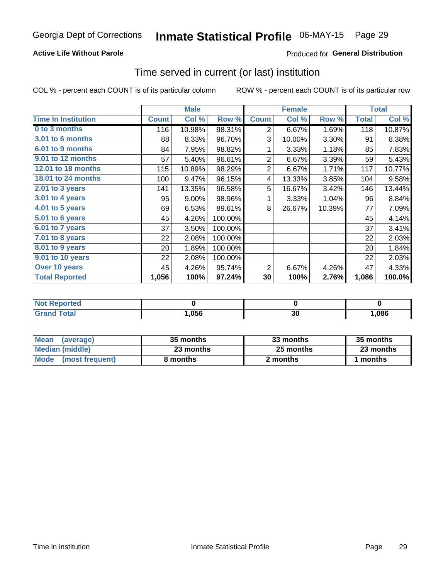#### **Active Life Without Parole**

#### **Produced for General Distribution**

### Time served in current (or last) institution

COL % - percent each COUNT is of its particular column

|                              |              | <b>Male</b> |         |                | <b>Female</b> |        |              | <b>Total</b> |
|------------------------------|--------------|-------------|---------|----------------|---------------|--------|--------------|--------------|
| <b>Time In Institution</b>   | <b>Count</b> | Col %       | Row %   | <b>Count</b>   | Col %         | Row %  | <b>Total</b> | Col %        |
| 0 to 3 months                | 116          | 10.98%      | 98.31%  | 2              | 6.67%         | 1.69%  | 118          | 10.87%       |
| <b>3.01 to 6 months</b>      | 88           | 8.33%       | 96.70%  | 3              | 10.00%        | 3.30%  | 91           | 8.38%        |
| 6.01 to 9 months             | 84           | 7.95%       | 98.82%  | 1              | 3.33%         | 1.18%  | 85           | 7.83%        |
| 9.01 to 12 months            | 57           | 5.40%       | 96.61%  | $\overline{2}$ | 6.67%         | 3.39%  | 59           | 5.43%        |
| <b>12.01 to 18 months</b>    | 115          | 10.89%      | 98.29%  | $\overline{2}$ | 6.67%         | 1.71%  | 117          | 10.77%       |
| 18.01 to 24 months           | 100          | 9.47%       | 96.15%  | 4              | 13.33%        | 3.85%  | 104          | 9.58%        |
| $2.01$ to 3 years            | 141          | 13.35%      | 96.58%  | 5              | 16.67%        | 3.42%  | 146          | 13.44%       |
| 3.01 to 4 years              | 95           | 9.00%       | 98.96%  | 1              | 3.33%         | 1.04%  | 96           | 8.84%        |
| 4.01 to 5 years              | 69           | 6.53%       | 89.61%  | 8              | 26.67%        | 10.39% | 77           | 7.09%        |
| $\overline{5.01}$ to 6 years | 45           | 4.26%       | 100.00% |                |               |        | 45           | 4.14%        |
| 6.01 to 7 years              | 37           | 3.50%       | 100.00% |                |               |        | 37           | 3.41%        |
| $7.01$ to 8 years            | 22           | 2.08%       | 100.00% |                |               |        | 22           | 2.03%        |
| 8.01 to 9 years              | 20           | 1.89%       | 100.00% |                |               |        | 20           | 1.84%        |
| 9.01 to 10 years             | 22           | 2.08%       | 100.00% |                |               |        | 22           | 2.03%        |
| Over 10 years                | 45           | 4.26%       | 95.74%  | 2              | 6.67%         | 4.26%  | 47           | 4.33%        |
| <b>Total Reported</b>        | 1,056        | 100%        | 97.24%  | 30             | 100%          | 2.76%  | 1,086        | 100.0%       |

| <b>Not Reported</b> |       |                                |     |
|---------------------|-------|--------------------------------|-----|
| $f \circ f \circ f$ | .,056 | $\overline{\phantom{a}}$<br>ას | 086 |

| <b>Mean</b><br>(average) | 35 months | 33 months | 35 months |  |  |
|--------------------------|-----------|-----------|-----------|--|--|
| Median (middle)          | 23 months | 25 months | 23 months |  |  |
| Mode (most frequent)     | 8 months  | 2 months  | 1 months  |  |  |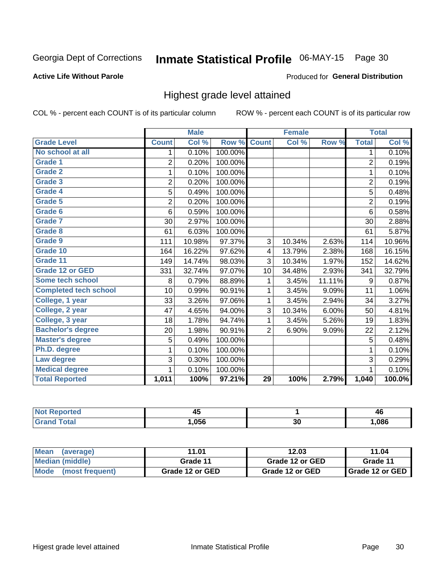## Inmate Statistical Profile 06-MAY-15 Page 30

#### **Active Life Without Parole**

#### Produced for General Distribution

### Highest grade level attained

COL % - percent each COUNT is of its particular column

|                              |                | <b>Male</b> |         |                | <b>Female</b> |        |                | <b>Total</b> |
|------------------------------|----------------|-------------|---------|----------------|---------------|--------|----------------|--------------|
| <b>Grade Level</b>           | <b>Count</b>   | Col %       | Row %   | <b>Count</b>   | Col %         | Row %  | <b>Total</b>   | Col %        |
| No school at all             | 1              | 0.10%       | 100.00% |                |               |        | 1              | 0.10%        |
| Grade 1                      | $\overline{2}$ | 0.20%       | 100.00% |                |               |        | $\overline{2}$ | 0.19%        |
| <b>Grade 2</b>               | 1              | 0.10%       | 100.00% |                |               |        | 1              | 0.10%        |
| Grade 3                      | $\overline{2}$ | 0.20%       | 100.00% |                |               |        | $\overline{c}$ | 0.19%        |
| <b>Grade 4</b>               | 5              | 0.49%       | 100.00% |                |               |        | 5              | 0.48%        |
| Grade 5                      | $\overline{2}$ | 0.20%       | 100.00% |                |               |        | $\overline{2}$ | 0.19%        |
| Grade 6                      | 6              | 0.59%       | 100.00% |                |               |        | 6              | 0.58%        |
| <b>Grade 7</b>               | 30             | 2.97%       | 100.00% |                |               |        | 30             | 2.88%        |
| Grade 8                      | 61             | 6.03%       | 100.00% |                |               |        | 61             | 5.87%        |
| Grade 9                      | 111            | 10.98%      | 97.37%  | 3              | 10.34%        | 2.63%  | 114            | 10.96%       |
| Grade 10                     | 164            | 16.22%      | 97.62%  | 4              | 13.79%        | 2.38%  | 168            | 16.15%       |
| Grade 11                     | 149            | 14.74%      | 98.03%  | 3              | 10.34%        | 1.97%  | 152            | 14.62%       |
| <b>Grade 12 or GED</b>       | 331            | 32.74%      | 97.07%  | 10             | 34.48%        | 2.93%  | 341            | 32.79%       |
| <b>Some tech school</b>      | 8              | 0.79%       | 88.89%  | 1              | 3.45%         | 11.11% | 9              | 0.87%        |
| <b>Completed tech school</b> | 10             | 0.99%       | 90.91%  | 1              | 3.45%         | 9.09%  | 11             | 1.06%        |
| College, 1 year              | 33             | 3.26%       | 97.06%  | 1              | 3.45%         | 2.94%  | 34             | 3.27%        |
| College, 2 year              | 47             | 4.65%       | 94.00%  | 3              | 10.34%        | 6.00%  | 50             | 4.81%        |
| College, 3 year              | 18             | 1.78%       | 94.74%  | 1              | 3.45%         | 5.26%  | 19             | 1.83%        |
| <b>Bachelor's degree</b>     | 20             | 1.98%       | 90.91%  | $\overline{2}$ | 6.90%         | 9.09%  | 22             | 2.12%        |
| <b>Master's degree</b>       | 5              | 0.49%       | 100.00% |                |               |        | 5              | 0.48%        |
| Ph.D. degree                 | 1              | 0.10%       | 100.00% |                |               |        | 1              | 0.10%        |
| Law degree                   | 3              | 0.30%       | 100.00% |                |               |        | 3              | 0.29%        |
| <b>Medical degree</b>        |                | 0.10%       | 100.00% |                |               |        |                | 0.10%        |
| <b>Total Reported</b>        | 1,011          | 100%        | 97.21%  | 29             | 100%          | 2.79%  | 1,040          | 100.0%       |

| ттео        | - -<br>.<br>∼ |           | 46   |
|-------------|---------------|-----------|------|
| <b>otal</b> | .056          | 00<br>ึงบ | .086 |

| <b>Mean</b><br>(average)       | 11.01           | 12.03           | 11.04             |
|--------------------------------|-----------------|-----------------|-------------------|
| Median (middle)                | Grade 11        | Grade 12 or GED | Grade 11          |
| <b>Mode</b><br>(most frequent) | Grade 12 or GED | Grade 12 or GED | I Grade 12 or GED |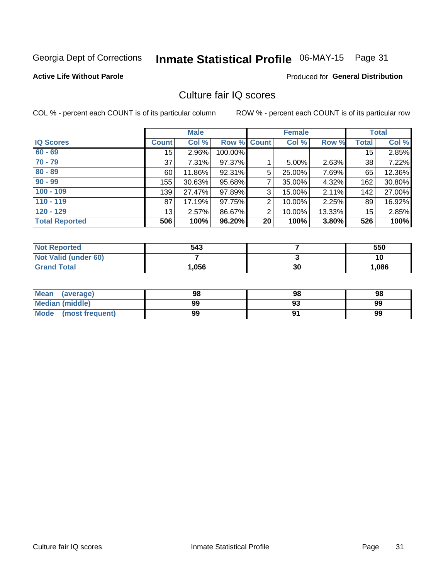## Inmate Statistical Profile 06-MAY-15 Page 31

#### **Active Life Without Parole**

#### Produced for General Distribution

### Culture fair IQ scores

COL % - percent each COUNT is of its particular column

|                       |              | <b>Male</b> |             |                | <b>Female</b> |        |              | <b>Total</b> |
|-----------------------|--------------|-------------|-------------|----------------|---------------|--------|--------------|--------------|
| <b>IQ Scores</b>      | <b>Count</b> | Col %       | Row % Count |                | Col %         | Row %  | <b>Total</b> | Col %        |
| $60 - 69$             | 15           | 2.96%       | 100.00%     |                |               |        | 15           | 2.85%        |
| $70 - 79$             | 37           | 7.31%       | 97.37%      |                | 5.00%         | 2.63%  | 38           | 7.22%        |
| $80 - 89$             | 60           | 11.86%      | 92.31%      | 5              | 25.00%        | 7.69%  | 65           | 12.36%       |
| $90 - 99$             | 155          | 30.63%      | 95.68%      | 7              | 35.00%        | 4.32%  | 162          | 30.80%       |
| $100 - 109$           | 139          | 27.47%      | 97.89%      | 3              | 15.00%        | 2.11%  | 142          | 27.00%       |
| $110 - 119$           | 87           | 17.19%      | 97.75%      | 2              | 10.00%        | 2.25%  | 89           | 16.92%       |
| $120 - 129$           | 13           | 2.57%       | 86.67%      | $\overline{2}$ | 10.00%        | 13.33% | 15           | 2.85%        |
| <b>Total Reported</b> | 506          | 100%        | 96.20%      | 20             | 100%          | 3.80%  | 526          | 100%         |

| <b>Not Reported</b>         | 543  |    | 550   |
|-----------------------------|------|----|-------|
| <b>Not Valid (under 60)</b> |      |    |       |
| <b>Grand Total</b>          | .056 | 30 | 1,086 |

| <b>Mean</b><br>(average) | 98 | 98 | 98 |
|--------------------------|----|----|----|
| <b>Median (middle)</b>   | 99 |    | 99 |
| Mode<br>(most frequent)  | 99 |    | 99 |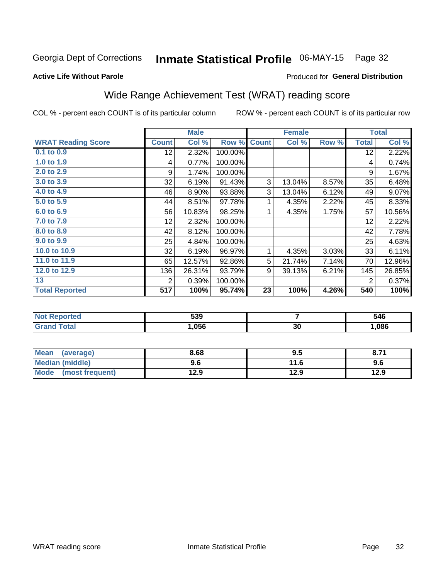## Inmate Statistical Profile 06-MAY-15 Page 32

#### **Active Life Without Parole**

#### Produced for General Distribution

## Wide Range Achievement Test (WRAT) reading score

COL % - percent each COUNT is of its particular column

|                           |                 | <b>Male</b> |         |              | <b>Female</b> |       |                | <b>Total</b> |
|---------------------------|-----------------|-------------|---------|--------------|---------------|-------|----------------|--------------|
| <b>WRAT Reading Score</b> | <b>Count</b>    | Col %       | Row %   | <b>Count</b> | Col %         | Row % | <b>Total</b>   | Col %        |
| 0.1 to 0.9                | 12 <sub>2</sub> | 2.32%       | 100.00% |              |               |       | 12             | 2.22%        |
| 1.0 to 1.9                | 4               | 0.77%       | 100.00% |              |               |       | 4              | 0.74%        |
| 2.0 to 2.9                | 9               | 1.74%       | 100.00% |              |               |       | 9              | 1.67%        |
| 3.0 to 3.9                | 32              | 6.19%       | 91.43%  | 3            | 13.04%        | 8.57% | 35             | 6.48%        |
| 4.0 to 4.9                | 46              | 8.90%       | 93.88%  | 3            | 13.04%        | 6.12% | 49             | 9.07%        |
| 5.0 to 5.9                | 44              | 8.51%       | 97.78%  | 1            | 4.35%         | 2.22% | 45             | 8.33%        |
| 6.0 to 6.9                | 56              | 10.83%      | 98.25%  | 1            | 4.35%         | 1.75% | 57             | 10.56%       |
| 7.0 to 7.9                | 12              | 2.32%       | 100.00% |              |               |       | 12             | 2.22%        |
| 8.0 to 8.9                | 42              | 8.12%       | 100.00% |              |               |       | 42             | 7.78%        |
| 9.0 to 9.9                | 25              | 4.84%       | 100.00% |              |               |       | 25             | 4.63%        |
| 10.0 to 10.9              | 32              | 6.19%       | 96.97%  | 1            | 4.35%         | 3.03% | 33             | 6.11%        |
| 11.0 to 11.9              | 65              | 12.57%      | 92.86%  | 5            | 21.74%        | 7.14% | 70             | 12.96%       |
| 12.0 to 12.9              | 136             | 26.31%      | 93.79%  | 9            | 39.13%        | 6.21% | 145            | 26.85%       |
| 13                        | 2               | 0.39%       | 100.00% |              |               |       | $\overline{2}$ | 0.37%        |
| <b>Total Reported</b>     | 517             | 100%        | 95.74%  | 23           | 100%          | 4.26% | 540            | 100%         |
|                           |                 |             |         |              |               |       |                |              |

| <b>Not Reported</b>   | 539  |     | 546   |
|-----------------------|------|-----|-------|
| <b>Total</b><br>Grand | .056 | ึงบ | 0.086 |

| Mean<br>(average)              | 8.68 | 9.5  | 8.71 |
|--------------------------------|------|------|------|
| <b>Median (middle)</b>         | 9.6  | 11.6 | 9.6  |
| <b>Mode</b><br>(most frequent) | 12.9 | 12.9 | 12.9 |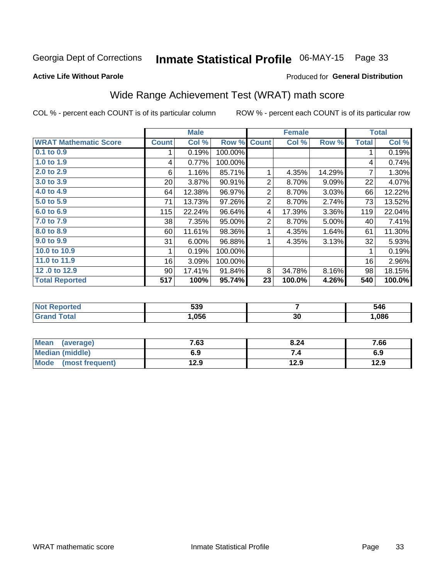## Inmate Statistical Profile 06-MAY-15 Page 33

#### **Active Life Without Parole**

#### Produced for General Distribution

## Wide Range Achievement Test (WRAT) math score

COL % - percent each COUNT is of its particular column

|                              |                 | <b>Male</b> |         |                | <b>Female</b> |        |              | <b>Total</b> |
|------------------------------|-----------------|-------------|---------|----------------|---------------|--------|--------------|--------------|
| <b>WRAT Mathematic Score</b> | <b>Count</b>    | Col %       | Row %   | <b>Count</b>   | Col %         | Row %  | <b>Total</b> | Col %        |
| 0.1 to 0.9                   |                 | 0.19%       | 100.00% |                |               |        | 1            | 0.19%        |
| 1.0 to 1.9                   | 4               | 0.77%       | 100.00% |                |               |        | 4            | 0.74%        |
| 2.0 to 2.9                   | 6               | 1.16%       | 85.71%  | 1              | 4.35%         | 14.29% | 7            | 1.30%        |
| 3.0 to 3.9                   | 20 <sub>1</sub> | 3.87%       | 90.91%  | 2              | 8.70%         | 9.09%  | 22           | 4.07%        |
| 4.0 to 4.9                   | 64              | 12.38%      | 96.97%  | 2              | 8.70%         | 3.03%  | 66           | 12.22%       |
| 5.0 to 5.9                   | 71              | 13.73%      | 97.26%  | $\overline{2}$ | 8.70%         | 2.74%  | 73           | 13.52%       |
| 6.0 to 6.9                   | 115             | 22.24%      | 96.64%  | 4              | 17.39%        | 3.36%  | 119          | 22.04%       |
| 7.0 to 7.9                   | 38 <sup>1</sup> | 7.35%       | 95.00%  | $\overline{2}$ | 8.70%         | 5.00%  | 40           | 7.41%        |
| 8.0 to 8.9                   | 60              | 11.61%      | 98.36%  |                | 4.35%         | 1.64%  | 61           | 11.30%       |
| 9.0 to 9.9                   | 31              | 6.00%       | 96.88%  |                | 4.35%         | 3.13%  | 32           | 5.93%        |
| 10.0 to 10.9                 |                 | 0.19%       | 100.00% |                |               |        | 1            | 0.19%        |
| 11.0 to 11.9                 | 16              | 3.09%       | 100.00% |                |               |        | 16           | 2.96%        |
| 12.0 to 12.9                 | 90              | 17.41%      | 91.84%  | 8              | 34.78%        | 8.16%  | 98           | 18.15%       |
| <b>Total Reported</b>        | 517             | 100%        | 95.74%  | 23             | 100.0%        | 4.26%  | 540          | 100.0%       |

| eported    | 539  |    | 546  |
|------------|------|----|------|
| <b>ota</b> | ,056 | 30 | ,086 |

| <b>Mean</b><br>(average) | 7.63 | 8.24 | 7.66 |
|--------------------------|------|------|------|
| Median (middle)          | 6.9  |      | 6.9  |
| Mode (most frequent)     | 12.9 | 12.9 | 12.9 |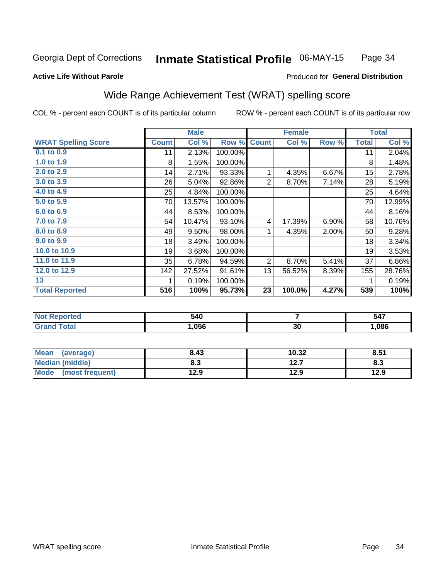#### Inmate Statistical Profile 06-MAY-15 Page 34

#### **Active Life Without Parole**

#### Produced for General Distribution

## Wide Range Achievement Test (WRAT) spelling score

COL % - percent each COUNT is of its particular column

| Row %<br>100.00%<br>100.00%<br>93.33%<br>92.86%<br>100.00%<br>100.00%<br>100.00%<br>93.10% | <b>Count</b><br>1<br>$\overline{2}$<br>4 | Col %<br>4.35%<br>8.70%<br>17.39% | Row %<br>6.67%<br>7.14%<br>6.90% | <b>Total</b><br>11<br>8<br>15<br>28<br>25<br>70<br>44 | Col %<br>2.04%<br>1.48%<br>2.78%<br>5.19%<br>4.64%<br>12.99%<br>8.16% |
|--------------------------------------------------------------------------------------------|------------------------------------------|-----------------------------------|----------------------------------|-------------------------------------------------------|-----------------------------------------------------------------------|
|                                                                                            |                                          |                                   |                                  |                                                       |                                                                       |
|                                                                                            |                                          |                                   |                                  |                                                       |                                                                       |
|                                                                                            |                                          |                                   |                                  |                                                       |                                                                       |
|                                                                                            |                                          |                                   |                                  |                                                       |                                                                       |
|                                                                                            |                                          |                                   |                                  |                                                       |                                                                       |
|                                                                                            |                                          |                                   |                                  |                                                       |                                                                       |
|                                                                                            |                                          |                                   |                                  |                                                       |                                                                       |
|                                                                                            |                                          |                                   |                                  |                                                       |                                                                       |
|                                                                                            |                                          |                                   |                                  | 58                                                    | 10.76%                                                                |
| 98.00%                                                                                     | 1                                        | 4.35%                             | $2.00\%$                         | 50                                                    | 9.28%                                                                 |
| 100.00%                                                                                    |                                          |                                   |                                  | 18                                                    | 3.34%                                                                 |
| 100.00%                                                                                    |                                          |                                   |                                  | 19                                                    | 3.53%                                                                 |
| 94.59%                                                                                     | 2                                        | 8.70%                             | 5.41%                            | 37                                                    | 6.86%                                                                 |
| 91.61%                                                                                     | 13                                       | 56.52%                            | 8.39%                            | 155                                                   | 28.76%                                                                |
| 100.00%                                                                                    |                                          |                                   |                                  | 1                                                     | 0.19%                                                                 |
| 95.73%                                                                                     | 23                                       | 100.0%                            | 4.27%                            | 539                                                   | 100%                                                                  |
|                                                                                            |                                          |                                   |                                  |                                                       |                                                                       |

| <b>Not Reported</b>          | 540   |    | 547  |
|------------------------------|-------|----|------|
| <b>Total</b><br><b>Grand</b> | 1,056 | 30 | ,086 |

| <b>Mean</b><br>(average) | 8.43 | 10.32    | 8.51 |
|--------------------------|------|----------|------|
| <b>Median (middle)</b>   | 8.3  | 127<br>. | ი.ა  |
| Mode (most frequent)     | 12.9 | 12.9     | 12.9 |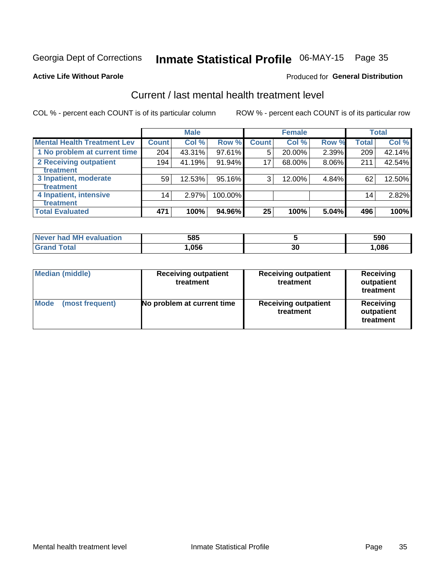## Inmate Statistical Profile 06-MAY-15 Page 35

#### **Active Life Without Parole**

#### **Produced for General Distribution**

## Current / last mental health treatment level

COL % - percent each COUNT is of its particular column

|                                    |                 | <b>Male</b> |           |              | <b>Female</b> |       |                 | <b>Total</b> |
|------------------------------------|-----------------|-------------|-----------|--------------|---------------|-------|-----------------|--------------|
| <b>Mental Health Treatment Lev</b> | <b>Count</b>    | Col%        | Row %     | <b>Count</b> | Col %         | Row % | Total           | Col %        |
| 1 No problem at current time       | 204             | 43.31%      | $97.61\%$ | 5            | 20.00%        | 2.39% | 209             | 42.14%       |
| 2 Receiving outpatient             | 194             | 41.19%      | 91.94%    | 17           | 68.00%        | 8.06% | 211             | 42.54%       |
| Treatment                          |                 |             |           |              |               |       |                 |              |
| 3 Inpatient, moderate              | 59              | 12.53%      | $95.16\%$ | 3            | 12.00%        | 4.84% | 62              | 12.50%       |
| Treatment                          |                 |             |           |              |               |       |                 |              |
| 4 Inpatient, intensive             | 14 <sub>1</sub> | 2.97%       | 100.00%   |              |               |       | 14 <sub>1</sub> | 2.82%        |
| Treatment                          |                 |             |           |              |               |       |                 |              |
| <b>Total Evaluated</b>             | 471             | 100%        | 94.96%    | 25           | 100%          | 5.04% | 496             | 100%         |

| Never had MH evaluation | 585  |    | 590  |
|-------------------------|------|----|------|
| $\tau$ otal             | 056, | 30 | ,086 |

| <b>Median (middle)</b>         | <b>Receiving outpatient</b><br>treatment | <b>Receiving outpatient</b><br>treatment | <b>Receiving</b><br>outpatient<br>treatment |
|--------------------------------|------------------------------------------|------------------------------------------|---------------------------------------------|
| <b>Mode</b><br>(most frequent) | No problem at current time               | <b>Receiving outpatient</b><br>treatment | Receiving<br>outpatient<br>treatment        |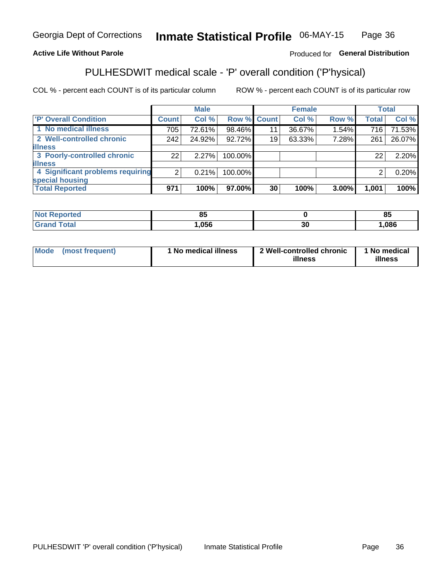#### Inmate Statistical Profile 06-MAY-15 Page 36

#### **Active Life Without Parole**

#### Produced for General Distribution

## PULHESDWIT medical scale - 'P' overall condition ('P'hysical)

COL % - percent each COUNT is of its particular column

|                                  |                | <b>Male</b> |             |    | <b>Female</b> |       |              | <b>Total</b> |
|----------------------------------|----------------|-------------|-------------|----|---------------|-------|--------------|--------------|
| 'P' Overall Condition            | Count l        | Col %       | Row % Count |    | Col %         | Row % | <b>Total</b> | Col %        |
| 1 No medical illness             | 705            | 72.61%      | 98.46%      | 11 | 36.67%        | 1.54% | 716          | 71.53%       |
| 2 Well-controlled chronic        | 242            | 24.92%      | 92.72%      | 19 | 63.33%        | 7.28% | 261          | 26.07%       |
| <b>illness</b>                   |                |             |             |    |               |       |              |              |
| 3 Poorly-controlled chronic      | 22             | 2.27%       | 100.00%     |    |               |       | 22           | 2.20%        |
| <b>illness</b>                   |                |             |             |    |               |       |              |              |
| 4 Significant problems requiring | $\overline{2}$ | 0.21%       | 100.00%     |    |               |       | 2            | 0.20%        |
| special housing                  |                |             |             |    |               |       |              |              |
| <b>Total Reported</b>            | 971            | 100%        | 97.00%      | 30 | 100%          | 3.00% | 1,001        | 100%         |

| те с | ၀၁   |                    | - -<br>01<br>οJ |
|------|------|--------------------|-----------------|
| $-1$ | ,056 | $\mathcal{L}$<br>◡ | ,086            |

| <b>Mode</b> | (most frequent) | 1 No medical illness | 2 Well-controlled chronic<br>illness | 1 No medical<br>illness |
|-------------|-----------------|----------------------|--------------------------------------|-------------------------|
|-------------|-----------------|----------------------|--------------------------------------|-------------------------|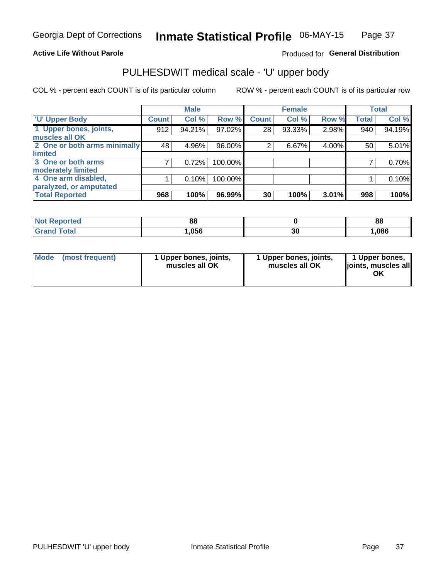#### **Active Life Without Parole**

#### Produced for General Distribution

## PULHESDWIT medical scale - 'U' upper body

COL % - percent each COUNT is of its particular column

|                              |              | <b>Male</b> |         |                | <b>Female</b> |       |              | <b>Total</b> |
|------------------------------|--------------|-------------|---------|----------------|---------------|-------|--------------|--------------|
| <b>'U' Upper Body</b>        | <b>Count</b> | Col %       | Row %   | <b>Count</b>   | Col %         | Row % | <b>Total</b> | Col %        |
| 1 Upper bones, joints,       | 912          | 94.21%      | 97.02%  | 28             | 93.33%        | 2.98% | 940          | 94.19%       |
| muscles all OK               |              |             |         |                |               |       |              |              |
| 2 One or both arms minimally | 48           | 4.96%       | 96.00%  | $\overline{2}$ | 6.67%         | 4.00% | 50           | 5.01%        |
| limited                      |              |             |         |                |               |       |              |              |
| 3 One or both arms           | 7            | 0.72%       | 100.00% |                |               |       |              | 0.70%        |
| moderately limited           |              |             |         |                |               |       |              |              |
| 4 One arm disabled,          |              | 0.10%       | 100.00% |                |               |       |              | 0.10%        |
| paralyzed, or amputated      |              |             |         |                |               |       |              |              |
| <b>Total Reported</b>        | 968          | 100%        | 96.99%  | 30             | 100%          | 3.01% | 998          | 100%         |

| <b>Not Reported</b> | n r<br>oo |          | 88   |
|---------------------|-----------|----------|------|
| Total               | ,056      | ^^<br>งบ | ,086 |

| Mode | (most frequent) | 1 Upper bones, joints,<br>muscles all OK | 1 Upper bones, joints,<br>muscles all OK | 1 Upper bones,<br>ljoints, muscles all<br>OK |
|------|-----------------|------------------------------------------|------------------------------------------|----------------------------------------------|
|------|-----------------|------------------------------------------|------------------------------------------|----------------------------------------------|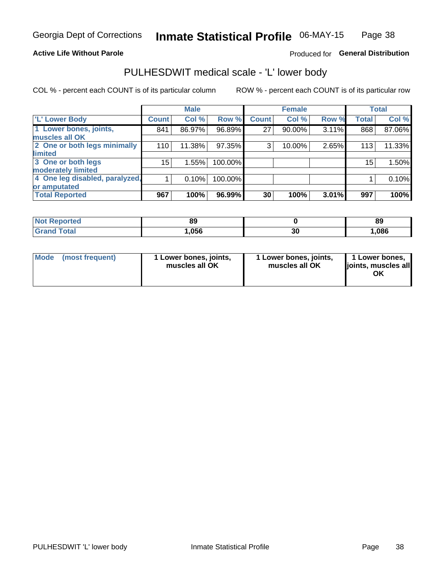#### **Active Life Without Parole**

#### Produced for General Distribution

### PULHESDWIT medical scale - 'L' lower body

COL % - percent each COUNT is of its particular column

|                                |              | <b>Male</b> |         |              | <b>Female</b> |       |                 | <b>Total</b> |
|--------------------------------|--------------|-------------|---------|--------------|---------------|-------|-----------------|--------------|
| 'L' Lower Body                 | <b>Count</b> | Col %       | Row %   | <b>Count</b> | Col %         | Row % | <b>Total</b>    | Col %        |
| 1 Lower bones, joints,         | 841          | 86.97%      | 96.89%  | 27           | 90.00%        | 3.11% | 868             | 87.06%       |
| muscles all OK                 |              |             |         |              |               |       |                 |              |
| 2 One or both legs minimally   | 110          | 11.38%      | 97.35%  | 3            | 10.00%        | 2.65% | 113             | 11.33%       |
| limited                        |              |             |         |              |               |       |                 |              |
| 3 One or both legs             | 15           | 1.55%       | 100.00% |              |               |       | 15 <sub>1</sub> | 1.50%        |
| moderately limited             |              |             |         |              |               |       |                 |              |
| 4 One leg disabled, paralyzed, |              | 0.10%       | 100.00% |              |               |       |                 | 0.10%        |
| or amputated                   |              |             |         |              |               |       |                 |              |
| <b>Total Reported</b>          | 967          | 100%        | 96.99%  | 30           | 100%          | 3.01% | 997             | 100%         |

| <b>Not Reported</b> | 0J   |          | 89   |
|---------------------|------|----------|------|
| <b>Total</b>        | ,056 | ^^<br>ას | ,086 |

| Mode | (most frequent) | 1 Lower bones, joints,<br>muscles all OK | 1 Lower bones, joints,<br>muscles all OK | 1 Lower bones,<br>ljoints, muscles all<br>OK |
|------|-----------------|------------------------------------------|------------------------------------------|----------------------------------------------|
|------|-----------------|------------------------------------------|------------------------------------------|----------------------------------------------|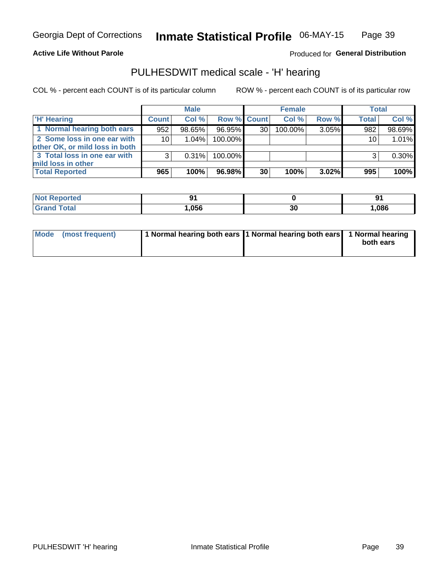#### **Active Life Without Parole**

Produced for General Distribution

### PULHESDWIT medical scale - 'H' hearing

COL % - percent each COUNT is of its particular column

|                                                               |                 | <b>Male</b> |             |    | <b>Female</b> |       | <b>Total</b> |          |
|---------------------------------------------------------------|-----------------|-------------|-------------|----|---------------|-------|--------------|----------|
| <b>H'</b> Hearing                                             | <b>Count</b>    | Col %       | Row % Count |    | Col%          | Row % | <b>Total</b> | Col %    |
| 1 Normal hearing both ears                                    | 952             | 98.65%      | 96.95%      | 30 | 100.00%       | 3.05% | 982          | 98.69%   |
| 2 Some loss in one ear with<br>other OK, or mild loss in both | 10 <sup>1</sup> | 1.04%       | 100.00%     |    |               |       | 10           | 1.01%    |
| 3 Total loss in one ear with<br>mild loss in other            | 3               | 0.31%       | 100.00%     |    |               |       | 3            | $0.30\%$ |
| <b>Total Reported</b>                                         | 965             | 100%        | 96.98%      | 30 | 100%          | 3.02% | 995          | 100%     |

| Reported<br>. NOT |      |    | ъ.   |
|-------------------|------|----|------|
| <b>otal</b>       | ,056 | 30 | ,086 |

| Mode (most frequent) | 1 Normal hearing both ears 1 Normal hearing both ears 1 Normal hearing |           |
|----------------------|------------------------------------------------------------------------|-----------|
|                      |                                                                        | both ears |
|                      |                                                                        |           |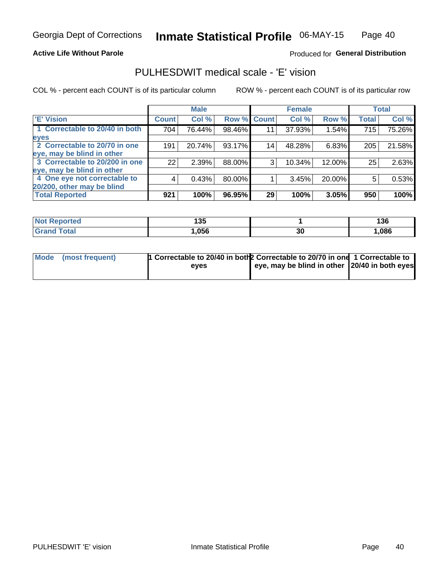#### **Active Life Without Parole**

#### Produced for General Distribution

### PULHESDWIT medical scale - 'E' vision

COL % - percent each COUNT is of its particular column

|                                |              | <b>Male</b> |             |    | <b>Female</b> |        |              | <b>Total</b> |
|--------------------------------|--------------|-------------|-------------|----|---------------|--------|--------------|--------------|
| <b>E' Vision</b>               | <b>Count</b> | Col %       | Row % Count |    | Col %         | Row %  | <b>Total</b> | Col %        |
| 1 Correctable to 20/40 in both | 704          | 76.44%      | 98.46%      | 11 | 37.93%        | 1.54%  | 715          | 75.26%       |
| eyes                           |              |             |             |    |               |        |              |              |
| 2 Correctable to 20/70 in one  | 191          | 20.74%      | 93.17%      | 14 | 48.28%        | 6.83%  | 205          | 21.58%       |
| eye, may be blind in other     |              |             |             |    |               |        |              |              |
| 3 Correctable to 20/200 in one | 22           | 2.39%       | 88.00%      | 3  | 10.34%        | 12.00% | 25           | 2.63%        |
| eye, may be blind in other     |              |             |             |    |               |        |              |              |
| 4 One eye not correctable to   | 4            | 0.43%       | 80.00%      |    | 3.45%         | 20.00% | 5            | 0.53%        |
| 20/200, other may be blind     |              |             |             |    |               |        |              |              |
| <b>Total Reported</b>          | 921          | 100%        | 96.95%      | 29 | 100%          | 3.05%  | 950          | 100%         |

| <b>Not Reported</b>   | 125<br>טטו |    | 136  |
|-----------------------|------------|----|------|
| <b>Total</b><br>Grand | ,056       | 30 | ,086 |

| Mode (most frequent) | 1 Correctable to 20/40 in both 2 Correctable to 20/70 in one 1 Correctable to<br>eves | eye, may be blind in other 20/40 in both eyes |  |
|----------------------|---------------------------------------------------------------------------------------|-----------------------------------------------|--|
|                      |                                                                                       |                                               |  |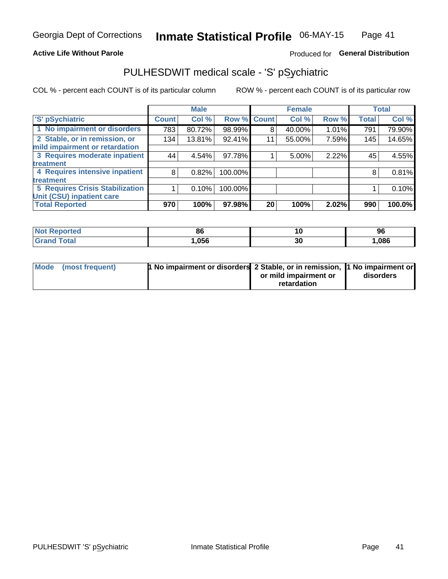#### **Active Life Without Parole**

#### Produced for General Distribution

## PULHESDWIT medical scale - 'S' pSychiatric

COL % - percent each COUNT is of its particular column

|                                        |              | <b>Male</b> |         |             | <b>Female</b> |       |              | <b>Total</b> |
|----------------------------------------|--------------|-------------|---------|-------------|---------------|-------|--------------|--------------|
| 'S' pSychiatric                        | <b>Count</b> | Col %       |         | Row % Count | Col %         | Row % | <b>Total</b> | Col %        |
| 1 No impairment or disorders           | 783          | 80.72%      | 98.99%  | 8           | 40.00%        | 1.01% | 791          | 79.90%       |
| 2 Stable, or in remission, or          | 134          | 13.81%      | 92.41%  | 11          | 55.00%        | 7.59% | 145          | 14.65%       |
| mild impairment or retardation         |              |             |         |             |               |       |              |              |
| 3 Requires moderate inpatient          | 44           | 4.54%       | 97.78%  |             | 5.00%         | 2.22% | 45           | 4.55%        |
| treatment                              |              |             |         |             |               |       |              |              |
| 4 Requires intensive inpatient         | 8            | 0.82%       | 100.00% |             |               |       | 8            | 0.81%        |
| treatment                              |              |             |         |             |               |       |              |              |
| <b>5 Requires Crisis Stabilization</b> |              | 0.10%       | 100.00% |             |               |       |              | 0.10%        |
| Unit (CSU) inpatient care              |              |             |         |             |               |       |              |              |
| <b>Total Reported</b>                  | 970          | 100%        | 97.98%  | 20          | 100%          | 2.02% | 990          | 100.0%       |

| <b>Not Reported</b>   | 01<br>oc | 10 | 96    |
|-----------------------|----------|----|-------|
| Total<br><b>Grand</b> | .056     | 30 | 1,086 |

| Mode (most frequent) | <b>1 No impairment or disorders</b> 2 Stable, or in remission, 11 No impairment or |                       |           |
|----------------------|------------------------------------------------------------------------------------|-----------------------|-----------|
|                      |                                                                                    | or mild impairment or | disorders |
|                      |                                                                                    | retardation           |           |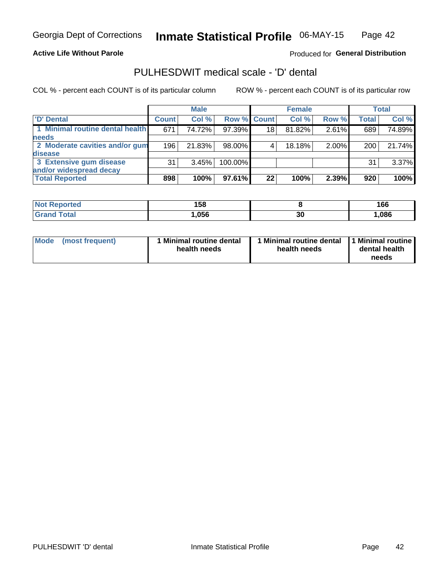**Active Life Without Parole** 

Produced for General Distribution

### PULHESDWIT medical scale - 'D' dental

COL % - percent each COUNT is of its particular column

|                                 |              | <b>Male</b> |             |    | <b>Female</b> |       |              | <b>Total</b> |
|---------------------------------|--------------|-------------|-------------|----|---------------|-------|--------------|--------------|
| 'D' Dental                      | <b>Count</b> | Col %       | Row % Count |    | Col %         | Row % | <b>Total</b> | Col %        |
| 1 Minimal routine dental health | 671          | 74.72%      | 97.39%      | 18 | 81.82%        | 2.61% | 689          | 74.89%       |
| <b>needs</b>                    |              |             |             |    |               |       |              |              |
| 2 Moderate cavities and/or gum  | 196          | 21.83%      | 98.00%      |    | 18.18%        | 2.00% | 200          | 21.74%       |
| disease                         |              |             |             |    |               |       |              |              |
| 3 Extensive gum disease         | 31           | 3.45%       | 100.00%     |    |               |       | 31           | 3.37%        |
| and/or widespread decay         |              |             |             |    |               |       |              |              |
| <b>Total Reported</b>           | 898          | 100%        | 97.61%      | 22 | 100%          | 2.39% | 920          | 100%         |

| prteol<br>' NOI | 158  |    | 166  |
|-----------------|------|----|------|
| ſotal           | .056 | 30 | ,086 |

| Mode<br>(most frequent) | Minimal routine dental<br>health needs | <b>Minimal routine dental</b><br>health needs | 1 Minimal routine<br>dental health<br>needs |
|-------------------------|----------------------------------------|-----------------------------------------------|---------------------------------------------|
|-------------------------|----------------------------------------|-----------------------------------------------|---------------------------------------------|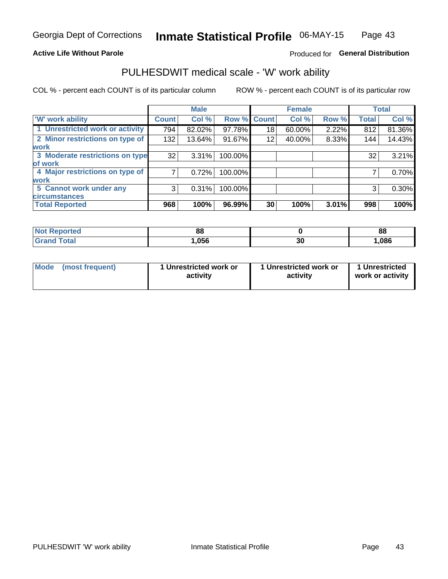#### **Active Life Without Parole**

#### Produced for General Distribution

### PULHESDWIT medical scale - 'W' work ability

COL % - percent each COUNT is of its particular column

|                                 |              | <b>Male</b> |         |             | <b>Female</b> |       |              | <b>Total</b> |
|---------------------------------|--------------|-------------|---------|-------------|---------------|-------|--------------|--------------|
| <b>W' work ability</b>          | <b>Count</b> | Col %       |         | Row % Count | Col %         | Row % | <b>Total</b> | Col %        |
| 1 Unrestricted work or activity | 794          | 82.02%      | 97.78%  | 18          | 60.00%        | 2.22% | 812          | 81.36%       |
| 2 Minor restrictions on type of | 132          | 13.64%      | 91.67%  | 12          | 40.00%        | 8.33% | 144          | 14.43%       |
| <b>work</b>                     |              |             |         |             |               |       |              |              |
| 3 Moderate restrictions on type | 32           | 3.31%       | 100.00% |             |               |       | 32           | 3.21%        |
| lof work                        |              |             |         |             |               |       |              |              |
| 4 Major restrictions on type of |              | 0.72%       | 100.00% |             |               |       |              | 0.70%        |
| <b>work</b>                     |              |             |         |             |               |       |              |              |
| 5 Cannot work under any         | 3            | 0.31%       | 100.00% |             |               |       | 3            | 0.30%        |
| <b>circumstances</b>            |              |             |         |             |               |       |              |              |
| <b>Total Reported</b>           | 968          | 100%        | 96.99%  | 30          | 100%          | 3.01% | 998          | 100%         |

| <b>Not Reported</b>   | 88   |          | 88  |
|-----------------------|------|----------|-----|
| <b>Total</b><br>Cron. | ,056 | n,<br>งบ | 086 |

| <b>Mode</b> | (most frequent) | 1 Unrestricted work or<br>activity | 1 Unrestricted work or<br>activity | 1 Unrestricted<br>work or activity |
|-------------|-----------------|------------------------------------|------------------------------------|------------------------------------|
|-------------|-----------------|------------------------------------|------------------------------------|------------------------------------|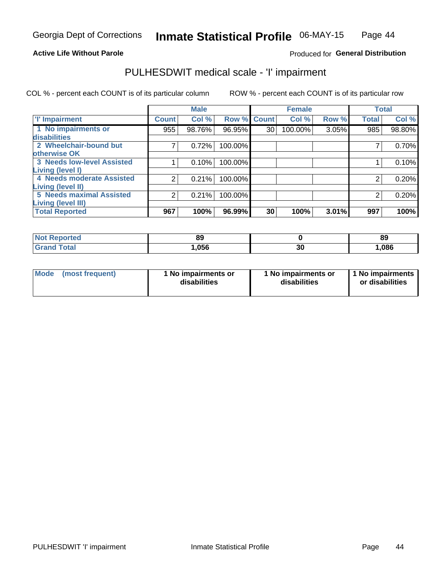### **Active Life Without Parole**

#### Produced for General Distribution

## PULHESDWIT medical scale - 'I' impairment

COL % - percent each COUNT is of its particular column ROW % - percent each COUNT is of its particular row

|                                   |              | <b>Male</b> |             |    | <b>Female</b> |       |              | <b>Total</b> |
|-----------------------------------|--------------|-------------|-------------|----|---------------|-------|--------------|--------------|
| <b>T' Impairment</b>              | <b>Count</b> | Col %       | Row % Count |    | Col %         | Row % | <b>Total</b> | Col %        |
| 1 No impairments or               | 955          | 98.76%      | 96.95%      | 30 | 100.00%       | 3.05% | 985          | 98.80%       |
| disabilities                      |              |             |             |    |               |       |              |              |
| 2 Wheelchair-bound but            |              | 0.72%       | 100.00%     |    |               |       |              | 0.70%        |
| otherwise OK                      |              |             |             |    |               |       |              |              |
| <b>3 Needs low-level Assisted</b> |              | 0.10%       | 100.00%     |    |               |       |              | 0.10%        |
| Living (level I)                  |              |             |             |    |               |       |              |              |
| 4 Needs moderate Assisted         | 2            | 0.21%       | 100.00%     |    |               |       |              | 0.20%        |
| Living (level II)                 |              |             |             |    |               |       |              |              |
| <b>5 Needs maximal Assisted</b>   | 2            | 0.21%       | 100.00%     |    |               |       | 2            | 0.20%        |
| <b>Living (level III)</b>         |              |             |             |    |               |       |              |              |
| <b>Total Reported</b>             | 967          | 100%        | 96.99%      | 30 | 100%          | 3.01% | 997          | 100%         |

| orted       | 89   |    | 89    |
|-------------|------|----|-------|
| <b>otal</b> | ,056 | 30 | 1,086 |

| Mode | (most frequent) | 1 No impairments or<br>disabilities | 1 No impairments or<br>disabilities | 1 No impairments<br>or disabilities |
|------|-----------------|-------------------------------------|-------------------------------------|-------------------------------------|
|------|-----------------|-------------------------------------|-------------------------------------|-------------------------------------|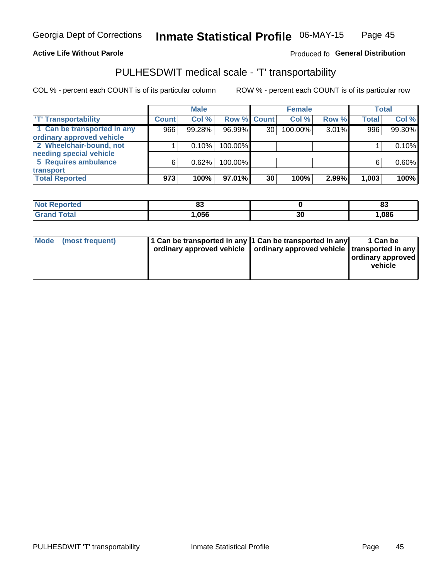#### **Active Life Without Parole**

#### Produced fo General Distribution

## PULHESDWIT medical scale - 'T' transportability

COL % - percent each COUNT is of its particular column

|                             |              | <b>Male</b> |             |    | <b>Female</b> |       |              | <b>Total</b> |
|-----------------------------|--------------|-------------|-------------|----|---------------|-------|--------------|--------------|
| <b>T' Transportability</b>  | <b>Count</b> | Col %       | Row % Count |    | Col %         | Row % | <b>Total</b> | Col %        |
| 1 Can be transported in any | 966          | 99.28%      | 96.99%      | 30 | 100.00%       | 3.01% | 996          | 99.30%       |
| ordinary approved vehicle   |              |             |             |    |               |       |              |              |
| 2 Wheelchair-bound, not     |              | 0.10%       | 100.00%     |    |               |       |              | 0.10%        |
| needing special vehicle     |              |             |             |    |               |       |              |              |
| 5 Requires ambulance        | 6            | 0.62%       | 100.00%     |    |               |       |              | 0.60%        |
| transport                   |              |             |             |    |               |       |              |              |
| <b>Total Reported</b>       | 973          | 100%        | 97.01%      | 30 | 100%          | 2.99% | 1,003        | 100%         |

| orteo       | o.<br>$\bullet$ |    | $\sim$<br>ია |
|-------------|-----------------|----|--------------|
| <b>otal</b> | .056            | Jυ | 1,086        |

| <b>Mode</b> | (most frequent) | 1 Can be transported in any 1 Can be transported in any | ordinary approved vehicle   ordinary approved vehicle   transported in any | 1 Can be<br>  ordinary approved<br>vehicle |
|-------------|-----------------|---------------------------------------------------------|----------------------------------------------------------------------------|--------------------------------------------|
|             |                 |                                                         |                                                                            |                                            |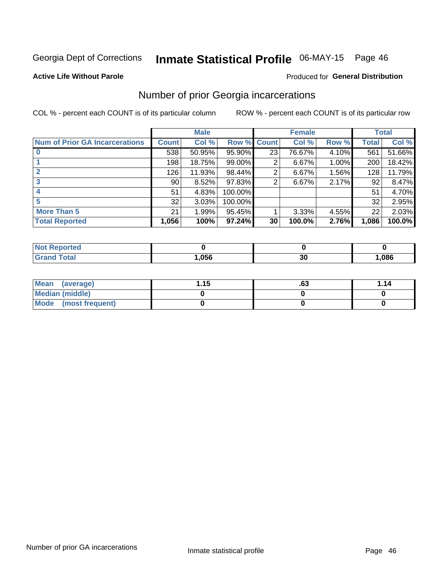## Inmate Statistical Profile 06-MAY-15 Page 46

#### **Active Life Without Parole**

#### **Produced for General Distribution**

### Number of prior Georgia incarcerations

COL % - percent each COUNT is of its particular column

|                                       |                 | <b>Male</b> |             |    | <b>Female</b> |       |       | <b>Total</b> |  |
|---------------------------------------|-----------------|-------------|-------------|----|---------------|-------|-------|--------------|--|
| <b>Num of Prior GA Incarcerations</b> | Count           | Col %       | Row % Count |    | Col %         | Row % | Total | Col %        |  |
|                                       | 538             | 50.95%      | 95.90%      | 23 | 76.67%        | 4.10% | 561   | 51.66%       |  |
|                                       | 198             | 18.75%      | $99.00\%$   | 2  | 6.67%         | 1.00% | 200   | 18.42%       |  |
|                                       | 126             | 11.93%      | 98.44%      | 2  | 6.67%         | 1.56% | 128   | 11.79%       |  |
| 3                                     | 90 <sub>1</sub> | 8.52%       | $97.83\%$   | 2  | 6.67%         | 2.17% | 92    | 8.47%        |  |
| 4                                     | 51              | 4.83%       | 100.00%     |    |               |       | 51    | 4.70%        |  |
| 5                                     | 32              | 3.03%       | 100.00%     |    |               |       | 32    | 2.95%        |  |
| <b>More Than 5</b>                    | 21              | 1.99%       | 95.45%      |    | 3.33%         | 4.55% | 22    | 2.03%        |  |
| <b>Total Reported</b>                 | 1,056           | 100%        | $97.24\%$   | 30 | 100.0%        | 2.76% | 1,086 | 100.0%       |  |

| orted<br><b>NOT</b> |      |    |      |
|---------------------|------|----|------|
| <b>Total</b>        | .056 | 30 | ,086 |

| Mean (average)       | 1.15 | .ט | 1.14 |
|----------------------|------|----|------|
| Median (middle)      |      |    |      |
| Mode (most frequent) |      |    |      |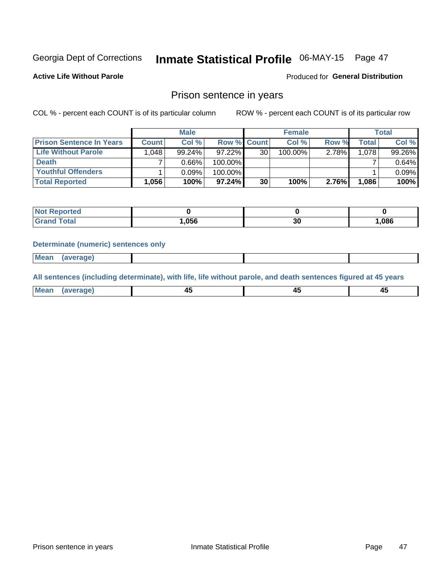#### **Inmate Statistical Profile 06-MAY-15** Page 47

**Active Life Without Parole** 

Produced for General Distribution

### Prison sentence in years

COL % - percent each COUNT is of its particular column

ROW % - percent each COUNT is of its particular row

|                                 | <b>Male</b>  |        |                    | <b>Female</b> |         |          | Total              |        |
|---------------------------------|--------------|--------|--------------------|---------------|---------|----------|--------------------|--------|
| <b>Prison Sentence In Years</b> | <b>Count</b> | Col %  | <b>Row % Count</b> |               | Col %   | Row %    | Total <sub>1</sub> | Col %  |
| Life Without Parole             | 1,048        | 99.24% | $97.22\%$          | 30            | 100.00% | $2.78\%$ | 1.078              | 99.26% |
| <b>Death</b>                    |              | 0.66%  | 100.00%            |               |         |          |                    | 0.64%  |
| <b>Youthful Offenders</b>       |              | 0.09%  | 100.00%            |               |         |          |                    | 0.09%  |
| <b>Total Reported</b>           | 1,056        | 100%   | 97.24%             | 30            | 100%    | 2.76%    | 1.086              | 100%   |

| oorted<br>NOT |      |           |       |
|---------------|------|-----------|-------|
| <b>ota</b>    | .056 | or.<br>ას | 1,086 |

#### **Determinate (numeric) sentences only**

**Mean** (average)

All sentences (including determinate), with life, life without parole, and death sentences figured at 45 years

| l Mea | --     | --     |  |
|-------|--------|--------|--|
| апе   | $\sim$ | $\sim$ |  |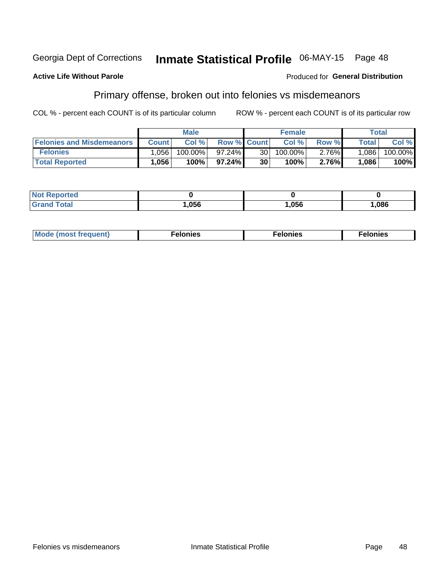#### Inmate Statistical Profile 06-MAY-15 Page 48 Georgia Dept of Corrections

#### **Active Life Without Parole**

#### Produced for General Distribution

### Primary offense, broken out into felonies vs misdemeanors

COL % - percent each COUNT is of its particular column

|                                  |              | <b>Male</b> |                    |      | <b>Female</b> |          |              | <b>Total</b> |
|----------------------------------|--------------|-------------|--------------------|------|---------------|----------|--------------|--------------|
| <b>Felonies and Misdemeanors</b> | <b>Count</b> | Col %       | <b>Row % Count</b> |      | Col%          | Row %    | <b>Total</b> | Col %        |
| <b>Felonies</b>                  | .056         | $100.00\%$  | 97.24%             | 30 I | 100.00%       | $2.76\%$ | 1.086        | $100.00\%$   |
| <b>Total Reported</b>            | .056         | 100%        | 97.24%             | 30   | 100%          | 2.76%    | 1,086        | 100%         |

| <b>Not Reported</b>          |      |      |      |
|------------------------------|------|------|------|
| <b>Total</b><br><b>Grand</b> | ,056 | ,056 | ,086 |

| $Mc$<br>equent)<br>нез<br>$\sim$<br>. | onies<br>. | <b>onies</b><br>. |
|---------------------------------------|------------|-------------------|
|---------------------------------------|------------|-------------------|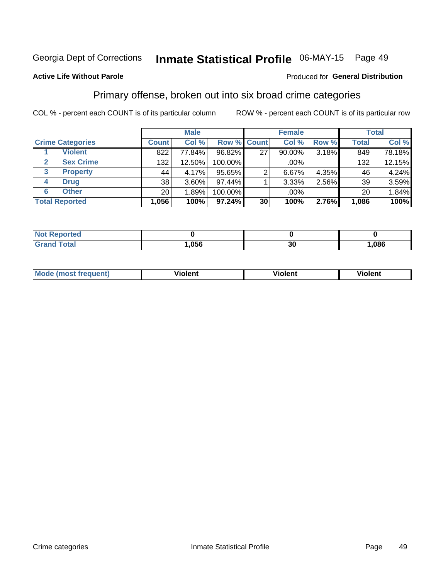## Inmate Statistical Profile 06-MAY-15 Page 49

#### **Active Life Without Parole**

#### Produced for General Distribution

### Primary offense, broken out into six broad crime categories

COL % - percent each COUNT is of its particular column

|                                  |              | <b>Male</b> |           |                    | <b>Female</b> |       |              | <b>Total</b> |
|----------------------------------|--------------|-------------|-----------|--------------------|---------------|-------|--------------|--------------|
| <b>Crime Categories</b>          | <b>Count</b> | Col %       |           | <b>Row % Count</b> | Col %         | Row % | <b>Total</b> | Col %        |
| <b>Violent</b>                   | 822          | 77.84%      | 96.82%    | 27                 | 90.00%        | 3.18% | 849          | 78.18%       |
| <b>Sex Crime</b><br>$\mathbf{2}$ | 132          | 12.50%      | 100.00%   |                    | .00%          |       | 132          | 12.15%       |
| <b>Property</b><br>3             | 44           | 4.17%       | $95.65\%$ | 2                  | 6.67%         | 4.35% | 46           | 4.24%        |
| <b>Drug</b><br>4                 | 38           | 3.60%       | 97.44%    |                    | 3.33%         | 2.56% | 39           | 3.59%        |
| <b>Other</b><br>6                | 20           | 1.89%       | 100.00%   |                    | .00%          |       | 201          | 1.84%        |
| <b>Total Reported</b>            | 1,056        | 100%        | 97.24%    | 30                 | 100%          | 2.76% | 1,086        | 100%         |

| <b>Not Reported</b> |      |    |             |
|---------------------|------|----|-------------|
| <b>Grand Total</b>  | ,056 | 30 | <b>086,</b> |

| М | ,,, | - -- -<br>וחו | m |
|---|-----|---------------|---|
|   |     |               |   |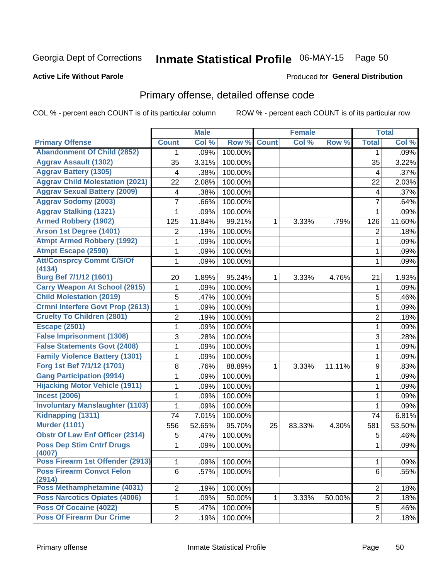## Inmate Statistical Profile 06-MAY-15 Page 50

#### **Active Life Without Parole**

#### Produced for General Distribution

## Primary offense, detailed offense code

COL % - percent each COUNT is of its particular column

|                                                                         |                | <b>Male</b> |         |              | <b>Female</b> |        |                | <b>Total</b> |
|-------------------------------------------------------------------------|----------------|-------------|---------|--------------|---------------|--------|----------------|--------------|
| <b>Primary Offense</b>                                                  | <b>Count</b>   | Col %       | Row %   | <b>Count</b> | Col %         | Row %  | <b>Total</b>   | Col %        |
| <b>Abandonment Of Child (2852)</b>                                      | 1              | .09%        | 100.00% |              |               |        | 1              | .09%         |
| <b>Aggrav Assault (1302)</b>                                            | 35             | 3.31%       | 100.00% |              |               |        | 35             | 3.22%        |
| <b>Aggrav Battery (1305)</b>                                            | 4              | .38%        | 100.00% |              |               |        | 4              | .37%         |
| <b>Aggrav Child Molestation (2021)</b>                                  | 22             | 2.08%       | 100.00% |              |               |        | 22             | 2.03%        |
| <b>Aggrav Sexual Battery (2009)</b>                                     | 4              | .38%        | 100.00% |              |               |        | 4              | .37%         |
| <b>Aggrav Sodomy (2003)</b>                                             | 7              | .66%        | 100.00% |              |               |        | $\overline{7}$ | .64%         |
| <b>Aggrav Stalking (1321)</b>                                           | 1              | .09%        | 100.00% |              |               |        | $\mathbf{1}$   | .09%         |
| <b>Armed Robbery (1902)</b>                                             | 125            | 11.84%      | 99.21%  | 1            | 3.33%         | .79%   | 126            | 11.60%       |
| Arson 1st Degree (1401)                                                 | 2              | .19%        | 100.00% |              |               |        | 2              | .18%         |
| <b>Atmpt Armed Robbery (1992)</b>                                       | 1              | .09%        | 100.00% |              |               |        | 1              | .09%         |
| <b>Atmpt Escape (2590)</b>                                              | 1              | .09%        | 100.00% |              |               |        | 1              | .09%         |
| <b>Att/Consprcy Commt C/S/Of</b>                                        | 1              | .09%        | 100.00% |              |               |        | $\mathbf{1}$   | .09%         |
| (4134)                                                                  |                |             |         |              |               |        |                |              |
| Burg Bef 7/1/12 (1601)                                                  | 20             | 1.89%       | 95.24%  | 1            | 3.33%         | 4.76%  | 21             | 1.93%        |
| <b>Carry Weapon At School (2915)</b><br><b>Child Molestation (2019)</b> | 1              | .09%        | 100.00% |              |               |        | 1              | .09%         |
|                                                                         | 5              | .47%        | 100.00% |              |               |        | 5              | .46%         |
| <b>Crmnl Interfere Govt Prop (2613)</b>                                 | 1              | .09%        | 100.00% |              |               |        | $\mathbf{1}$   | .09%         |
| <b>Cruelty To Children (2801)</b>                                       | $\overline{2}$ | .19%        | 100.00% |              |               |        | $\overline{2}$ | .18%         |
| <b>Escape (2501)</b>                                                    | 1              | .09%        | 100.00% |              |               |        | $\mathbf{1}$   | .09%         |
| <b>False Imprisonment (1308)</b>                                        | 3              | .28%        | 100.00% |              |               |        | 3              | .28%         |
| <b>False Statements Govt (2408)</b>                                     | 1              | .09%        | 100.00% |              |               |        | 1              | .09%         |
| <b>Family Violence Battery (1301)</b>                                   | 1              | .09%        | 100.00% |              |               |        | $\mathbf{1}$   | .09%         |
| Forg 1st Bef 7/1/12 (1701)                                              | $\bf 8$        | .76%        | 88.89%  | 1            | 3.33%         | 11.11% | 9              | .83%         |
| <b>Gang Participation (9914)</b>                                        | 1              | .09%        | 100.00% |              |               |        | 1              | .09%         |
| <b>Hijacking Motor Vehicle (1911)</b>                                   | 1              | .09%        | 100.00% |              |               |        | $\mathbf{1}$   | .09%         |
| <b>Incest (2006)</b>                                                    | 1              | .09%        | 100.00% |              |               |        | $\mathbf{1}$   | .09%         |
| <b>Involuntary Manslaughter (1103)</b>                                  | 1              | .09%        | 100.00% |              |               |        | 1              | .09%         |
| Kidnapping (1311)                                                       | 74             | 7.01%       | 100.00% |              |               |        | 74             | 6.81%        |
| <b>Murder (1101)</b>                                                    | 556            | 52.65%      | 95.70%  | 25           | 83.33%        | 4.30%  | 581            | 53.50%       |
| <b>Obstr Of Law Enf Officer (2314)</b>                                  | 5              | .47%        | 100.00% |              |               |        | 5              | .46%         |
| <b>Poss Dep Stim Cntrf Drugs</b><br>(4007)                              | 1              | .09%        | 100.00% |              |               |        | 1              | .09%         |
| Poss Firearm 1st Offender (2913)                                        | 1              | .09%        | 100.00% |              |               |        | 1              | .09%         |
| <b>Poss Firearm Convct Felon</b><br>(2914)                              | 6              | .57%        | 100.00% |              |               |        | 6              | .55%         |
| Poss Methamphetamine (4031)                                             | $\overline{2}$ | .19%        | 100.00% |              |               |        | $\overline{2}$ | .18%         |
| <b>Poss Narcotics Opiates (4006)</b>                                    | 1              | .09%        | 50.00%  | 1.           | 3.33%         | 50.00% | $\overline{2}$ | .18%         |
| Poss Of Cocaine (4022)                                                  | 5              | .47%        | 100.00% |              |               |        | 5              | .46%         |
| <b>Poss Of Firearm Dur Crime</b>                                        | $\overline{2}$ | .19%        | 100.00% |              |               |        | $\overline{2}$ | .18%         |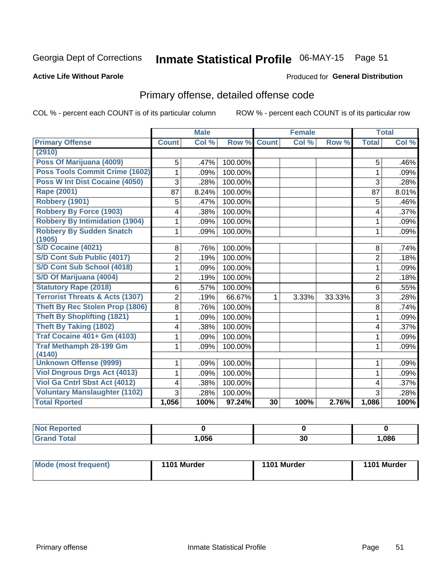## Inmate Statistical Profile 06-MAY-15 Page 51

#### **Active Life Without Parole**

#### Produced for General Distribution

## Primary offense, detailed offense code

COL % - percent each COUNT is of its particular column

|                                            |                | <b>Male</b> |         |              | <b>Female</b> |        |                | <b>Total</b> |
|--------------------------------------------|----------------|-------------|---------|--------------|---------------|--------|----------------|--------------|
| <b>Primary Offense</b>                     | <b>Count</b>   | Col %       | Row %   | <b>Count</b> | Col%          | Row %  | <b>Total</b>   | Col %        |
| (2910)                                     |                |             |         |              |               |        |                |              |
| Poss Of Marijuana (4009)                   | 5              | .47%        | 100.00% |              |               |        | 5              | .46%         |
| Poss Tools Commit Crime (1602)             | 1              | .09%        | 100.00% |              |               |        | 1              | .09%         |
| <b>Poss W Int Dist Cocaine (4050)</b>      | 3              | .28%        | 100.00% |              |               |        | 3              | .28%         |
| <b>Rape (2001)</b>                         | 87             | 8.24%       | 100.00% |              |               |        | 87             | 8.01%        |
| Robbery (1901)                             | 5              | .47%        | 100.00% |              |               |        | 5              | .46%         |
| <b>Robbery By Force (1903)</b>             | 4              | .38%        | 100.00% |              |               |        | 4              | .37%         |
| <b>Robbery By Intimidation (1904)</b>      | 1              | .09%        | 100.00% |              |               |        | 1              | .09%         |
| <b>Robbery By Sudden Snatch</b>            | 1              | .09%        | 100.00% |              |               |        | 1              | .09%         |
| (1905)                                     |                |             |         |              |               |        |                |              |
| <b>S/D Cocaine (4021)</b>                  | 8              | .76%        | 100.00% |              |               |        | 8              | .74%         |
| S/D Cont Sub Public (4017)                 | $\overline{2}$ | .19%        | 100.00% |              |               |        | $\overline{2}$ | .18%         |
| S/D Cont Sub School (4018)                 | 1              | .09%        | 100.00% |              |               |        | 1              | .09%         |
| S/D Of Marijuana (4004)                    | $\overline{2}$ | .19%        | 100.00% |              |               |        | $\overline{2}$ | .18%         |
| <b>Statutory Rape (2018)</b>               | $6\phantom{1}$ | .57%        | 100.00% |              |               |        | 6              | .55%         |
| <b>Terrorist Threats &amp; Acts (1307)</b> | $\overline{2}$ | .19%        | 66.67%  | 1            | 3.33%         | 33.33% | 3              | .28%         |
| <b>Theft By Rec Stolen Prop (1806)</b>     | 8              | .76%        | 100.00% |              |               |        | 8              | .74%         |
| <b>Theft By Shoplifting (1821)</b>         |                | .09%        | 100.00% |              |               |        | 1              | .09%         |
| <b>Theft By Taking (1802)</b>              | 4              | .38%        | 100.00% |              |               |        | 4              | .37%         |
| <b>Traf Cocaine 401+ Gm (4103)</b>         | 1              | .09%        | 100.00% |              |               |        | 1              | .09%         |
| <b>Traf Methamph 28-199 Gm</b><br>(4140)   | 1              | .09%        | 100.00% |              |               |        | 1              | .09%         |
| <b>Unknown Offense (9999)</b>              | 1              | .09%        | 100.00% |              |               |        | 1              | .09%         |
| <b>Viol Dngrous Drgs Act (4013)</b>        | 1              | .09%        | 100.00% |              |               |        | 1              | .09%         |
| Viol Ga Cntrl Sbst Act (4012)              | 4              | .38%        | 100.00% |              |               |        | 4              | .37%         |
| <b>Voluntary Manslaughter (1102)</b>       | 3              | .28%        | 100.00% |              |               |        | 3              | .28%         |
| <b>Total Rported</b>                       | 1,056          | 100%        | 97.24%  | 30           | 100%          | 2.76%  | 1,086          | 100%         |

| portea<br>N.    |      |    |      |
|-----------------|------|----|------|
| $\sim$<br>_____ | ,056 | 30 | ,086 |

| Mode (most frequent) | 1101 Murder | 1101 Murder | 1101 Murder |
|----------------------|-------------|-------------|-------------|
|                      |             |             |             |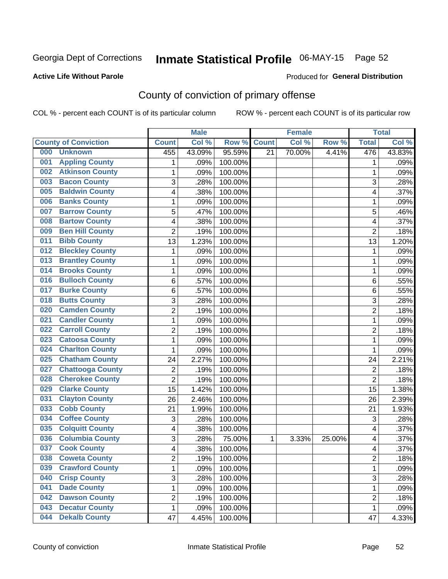## Inmate Statistical Profile 06-MAY-15 Page 52

#### **Active Life Without Parole**

#### Produced for General Distribution

## County of conviction of primary offense

COL % - percent each COUNT is of its particular column

|                                |                | <b>Male</b> |         |                 | <b>Female</b> |        |                           | <b>Total</b> |
|--------------------------------|----------------|-------------|---------|-----------------|---------------|--------|---------------------------|--------------|
| <b>County of Conviction</b>    | <b>Count</b>   | Col %       | Row %   | <b>Count</b>    | Col %         | Row %  | <b>Total</b>              | Col %        |
| 000<br><b>Unknown</b>          | 455            | 43.09%      | 95.59%  | $\overline{21}$ | 70.00%        | 4.41%  | 476                       | 43.83%       |
| <b>Appling County</b><br>001   | 1              | .09%        | 100.00% |                 |               |        | 1                         | .09%         |
| <b>Atkinson County</b><br>002  | $\mathbf{1}$   | .09%        | 100.00% |                 |               |        | 1                         | .09%         |
| <b>Bacon County</b><br>003     | 3              | .28%        | 100.00% |                 |               |        | 3                         | .28%         |
| <b>Baldwin County</b><br>005   | 4              | .38%        | 100.00% |                 |               |        | 4                         | .37%         |
| <b>Banks County</b><br>006     | 1              | .09%        | 100.00% |                 |               |        | $\mathbf 1$               | .09%         |
| <b>Barrow County</b><br>007    | 5              | .47%        | 100.00% |                 |               |        | 5                         | .46%         |
| <b>Bartow County</b><br>008    | 4              | .38%        | 100.00% |                 |               |        | 4                         | .37%         |
| <b>Ben Hill County</b><br>009  | $\overline{2}$ | .19%        | 100.00% |                 |               |        | $\overline{2}$            | .18%         |
| <b>Bibb County</b><br>011      | 13             | 1.23%       | 100.00% |                 |               |        | 13                        | 1.20%        |
| <b>Bleckley County</b><br>012  | 1              | .09%        | 100.00% |                 |               |        | 1                         | .09%         |
| <b>Brantley County</b><br>013  | $\mathbf{1}$   | .09%        | 100.00% |                 |               |        | $\mathbf 1$               | .09%         |
| <b>Brooks County</b><br>014    | 1              | .09%        | 100.00% |                 |               |        | 1                         | .09%         |
| <b>Bulloch County</b><br>016   | 6              | .57%        | 100.00% |                 |               |        | 6                         | .55%         |
| <b>Burke County</b><br>017     | 6              | .57%        | 100.00% |                 |               |        | 6                         | .55%         |
| <b>Butts County</b><br>018     | 3              | .28%        | 100.00% |                 |               |        | $\mathbf{3}$              | .28%         |
| <b>Camden County</b><br>020    | $\overline{2}$ | .19%        | 100.00% |                 |               |        | $\overline{2}$            | .18%         |
| <b>Candler County</b><br>021   | 1              | .09%        | 100.00% |                 |               |        | 1                         | .09%         |
| <b>Carroll County</b><br>022   | $\overline{2}$ | .19%        | 100.00% |                 |               |        | $\overline{2}$            | .18%         |
| <b>Catoosa County</b><br>023   | 1              | .09%        | 100.00% |                 |               |        | 1                         | .09%         |
| <b>Charlton County</b><br>024  | $\mathbf{1}$   | .09%        | 100.00% |                 |               |        | 1                         | .09%         |
| <b>Chatham County</b><br>025   | 24             | 2.27%       | 100.00% |                 |               |        | 24                        | 2.21%        |
| <b>Chattooga County</b><br>027 | $\overline{c}$ | .19%        | 100.00% |                 |               |        | $\overline{2}$            | .18%         |
| <b>Cherokee County</b><br>028  | $\overline{2}$ | .19%        | 100.00% |                 |               |        | $\overline{2}$            | .18%         |
| <b>Clarke County</b><br>029    | 15             | 1.42%       | 100.00% |                 |               |        | 15                        | 1.38%        |
| <b>Clayton County</b><br>031   | 26             | 2.46%       | 100.00% |                 |               |        | 26                        | 2.39%        |
| <b>Cobb County</b><br>033      | 21             | 1.99%       | 100.00% |                 |               |        | 21                        | 1.93%        |
| <b>Coffee County</b><br>034    | $\sqrt{3}$     | .28%        | 100.00% |                 |               |        | $\ensuremath{\mathsf{3}}$ | .28%         |
| <b>Colquitt County</b><br>035  | 4              | .38%        | 100.00% |                 |               |        | 4                         | .37%         |
| <b>Columbia County</b><br>036  | 3              | .28%        | 75.00%  | 1               | 3.33%         | 25.00% | 4                         | .37%         |
| <b>Cook County</b><br>037      | 4              | .38%        | 100.00% |                 |               |        | 4                         | .37%         |
| 038<br><b>Coweta County</b>    | 2              | .19%        | 100.00% |                 |               |        | 2                         | .18%         |
| <b>Crawford County</b><br>039  | 1              | .09%        | 100.00% |                 |               |        | $\mathbf{1}$              | .09%         |
| <b>Crisp County</b><br>040     | 3              | .28%        | 100.00% |                 |               |        | 3                         | .28%         |
| <b>Dade County</b><br>041      | 1              | .09%        | 100.00% |                 |               |        | $\mathbf{1}$              | .09%         |
| <b>Dawson County</b><br>042    | $\overline{c}$ | .19%        | 100.00% |                 |               |        | $\overline{c}$            | .18%         |
| <b>Decatur County</b><br>043   | $\mathbf{1}$   | .09%        | 100.00% |                 |               |        | 1                         | .09%         |
| <b>Dekalb County</b><br>044    | 47             | 4.45%       | 100.00% |                 |               |        | 47                        | 4.33%        |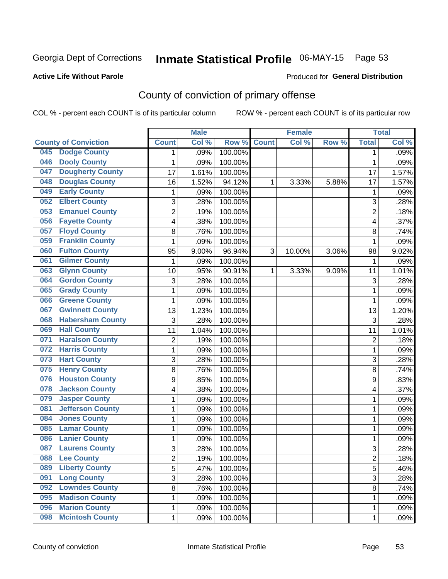## Inmate Statistical Profile 06-MAY-15 Page 53

#### **Active Life Without Parole**

#### Produced for General Distribution

## County of conviction of primary offense

COL % - percent each COUNT is of its particular column

|                                |                | <b>Male</b> |         |              | <b>Female</b> |       |                | <b>Total</b> |
|--------------------------------|----------------|-------------|---------|--------------|---------------|-------|----------------|--------------|
| <b>County of Conviction</b>    | <b>Count</b>   | Col %       | Row %   | <b>Count</b> | Col %         | Row % | <b>Total</b>   | Col %        |
| <b>Dodge County</b><br>045     | 1              | .09%        | 100.00% |              |               |       | 1              | .09%         |
| <b>Dooly County</b><br>046     | 1              | .09%        | 100.00% |              |               |       | 1              | .09%         |
| <b>Dougherty County</b><br>047 | 17             | 1.61%       | 100.00% |              |               |       | 17             | 1.57%        |
| <b>Douglas County</b><br>048   | 16             | 1.52%       | 94.12%  | 1            | 3.33%         | 5.88% | 17             | 1.57%        |
| <b>Early County</b><br>049     | 1              | .09%        | 100.00% |              |               |       | 1              | .09%         |
| <b>Elbert County</b><br>052    | 3              | .28%        | 100.00% |              |               |       | 3              | .28%         |
| <b>Emanuel County</b><br>053   | $\overline{2}$ | .19%        | 100.00% |              |               |       | $\overline{2}$ | .18%         |
| <b>Fayette County</b><br>056   | 4              | .38%        | 100.00% |              |               |       | 4              | .37%         |
| <b>Floyd County</b><br>057     | 8              | .76%        | 100.00% |              |               |       | 8              | .74%         |
| <b>Franklin County</b><br>059  | $\mathbf{1}$   | .09%        | 100.00% |              |               |       | 1              | .09%         |
| <b>Fulton County</b><br>060    | 95             | 9.00%       | 96.94%  | 3            | 10.00%        | 3.06% | 98             | 9.02%        |
| <b>Gilmer County</b><br>061    | 1              | .09%        | 100.00% |              |               |       | 1              | .09%         |
| <b>Glynn County</b><br>063     | 10             | .95%        | 90.91%  | 1            | 3.33%         | 9.09% | 11             | 1.01%        |
| <b>Gordon County</b><br>064    | 3              | .28%        | 100.00% |              |               |       | 3              | .28%         |
| <b>Grady County</b><br>065     | 1              | .09%        | 100.00% |              |               |       | $\mathbf 1$    | .09%         |
| <b>Greene County</b><br>066    | 1              | .09%        | 100.00% |              |               |       | 1              | .09%         |
| <b>Gwinnett County</b><br>067  | 13             | 1.23%       | 100.00% |              |               |       | 13             | 1.20%        |
| <b>Habersham County</b><br>068 | 3              | .28%        | 100.00% |              |               |       | 3              | .28%         |
| <b>Hall County</b><br>069      | 11             | 1.04%       | 100.00% |              |               |       | 11             | 1.01%        |
| <b>Haralson County</b><br>071  | $\mathbf 2$    | .19%        | 100.00% |              |               |       | $\overline{2}$ | .18%         |
| <b>Harris County</b><br>072    | 1              | .09%        | 100.00% |              |               |       | $\mathbf 1$    | .09%         |
| 073<br><b>Hart County</b>      | 3              | .28%        | 100.00% |              |               |       | 3              | .28%         |
| <b>Henry County</b><br>075     | 8              | .76%        | 100.00% |              |               |       | 8              | .74%         |
| <b>Houston County</b><br>076   | 9              | .85%        | 100.00% |              |               |       | 9              | .83%         |
| <b>Jackson County</b><br>078   | 4              | .38%        | 100.00% |              |               |       | 4              | .37%         |
| <b>Jasper County</b><br>079    | 1              | .09%        | 100.00% |              |               |       | 1              | .09%         |
| <b>Jefferson County</b><br>081 | 1              | .09%        | 100.00% |              |               |       | $\mathbf{1}$   | .09%         |
| <b>Jones County</b><br>084     | 1              | .09%        | 100.00% |              |               |       | $\mathbf 1$    | .09%         |
| <b>Lamar County</b><br>085     | 1              | .09%        | 100.00% |              |               |       | $\mathbf 1$    | .09%         |
| <b>Lanier County</b><br>086    | $\mathbf{1}$   | .09%        | 100.00% |              |               |       | $\mathbf 1$    | .09%         |
| <b>Laurens County</b><br>087   | 3              | .28%        | 100.00% |              |               |       | 3              | .28%         |
| 088<br><b>Lee County</b>       | 2              | .19%        | 100.00% |              |               |       | 2              | .18%         |
| <b>Liberty County</b><br>089   | 5              | .47%        | 100.00% |              |               |       | 5              | .46%         |
| <b>Long County</b><br>091      | 3              | .28%        | 100.00% |              |               |       | 3              | .28%         |
| <b>Lowndes County</b><br>092   | 8              | .76%        | 100.00% |              |               |       | 8              | .74%         |
| <b>Madison County</b><br>095   | 1              | .09%        | 100.00% |              |               |       | 1              | .09%         |
| <b>Marion County</b><br>096    | 1              | .09%        | 100.00% |              |               |       | 1              | .09%         |
| <b>Mcintosh County</b><br>098  | $\mathbf 1$    | .09%        | 100.00% |              |               |       | $\mathbf{1}$   | .09%         |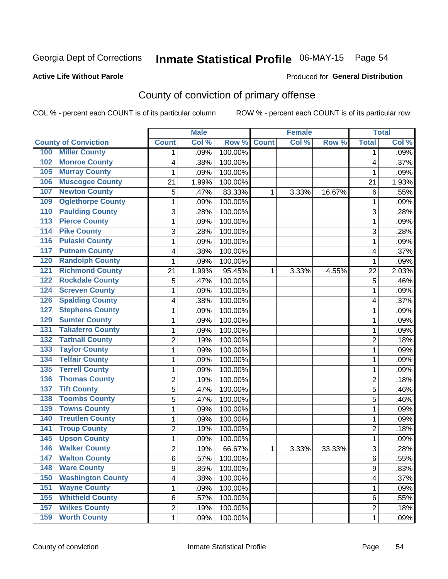## Inmate Statistical Profile 06-MAY-15 Page 54

#### **Active Life Without Parole**

#### **Produced for General Distribution**

## County of conviction of primary offense

COL % - percent each COUNT is of its particular column

|                                 |                | <b>Male</b> |         |              | <b>Female</b> |        |                | <b>Total</b> |
|---------------------------------|----------------|-------------|---------|--------------|---------------|--------|----------------|--------------|
| <b>County of Conviction</b>     | <b>Count</b>   | Col %       | Row %   | <b>Count</b> | Col%          | Row %  | <b>Total</b>   | Col %        |
| <b>Miller County</b><br>100     | 1              | .09%        | 100.00% |              |               |        | 1              | .09%         |
| <b>Monroe County</b><br>102     | 4              | .38%        | 100.00% |              |               |        | 4              | .37%         |
| <b>Murray County</b><br>105     | 1              | .09%        | 100.00% |              |               |        | 1              | .09%         |
| <b>Muscogee County</b><br>106   | 21             | 1.99%       | 100.00% |              |               |        | 21             | 1.93%        |
| <b>Newton County</b><br>107     | 5              | .47%        | 83.33%  | 1            | 3.33%         | 16.67% | 6              | .55%         |
| <b>Oglethorpe County</b><br>109 | 1              | .09%        | 100.00% |              |               |        | 1              | .09%         |
| <b>Paulding County</b><br>110   | 3              | .28%        | 100.00% |              |               |        | 3              | .28%         |
| <b>Pierce County</b><br>113     | 1              | .09%        | 100.00% |              |               |        | 1              | .09%         |
| <b>Pike County</b><br>114       | 3              | .28%        | 100.00% |              |               |        | 3              | .28%         |
| <b>Pulaski County</b><br>116    | 1              | .09%        | 100.00% |              |               |        | 1              | .09%         |
| <b>Putnam County</b><br>117     | 4              | .38%        | 100.00% |              |               |        | 4              | .37%         |
| <b>Randolph County</b><br>120   | 1              | .09%        | 100.00% |              |               |        | 1              | .09%         |
| <b>Richmond County</b><br>121   | 21             | 1.99%       | 95.45%  | 1            | 3.33%         | 4.55%  | 22             | 2.03%        |
| <b>Rockdale County</b><br>122   | 5              | .47%        | 100.00% |              |               |        | 5              | .46%         |
| <b>Screven County</b><br>124    | 1              | .09%        | 100.00% |              |               |        | 1              | .09%         |
| <b>Spalding County</b><br>126   | 4              | .38%        | 100.00% |              |               |        | 4              | .37%         |
| <b>Stephens County</b><br>127   | 1              | .09%        | 100.00% |              |               |        | 1              | .09%         |
| <b>Sumter County</b><br>129     | 1              | .09%        | 100.00% |              |               |        | 1              | .09%         |
| <b>Taliaferro County</b><br>131 | 1              | .09%        | 100.00% |              |               |        | 1              | .09%         |
| <b>Tattnall County</b><br>132   | $\overline{2}$ | .19%        | 100.00% |              |               |        | $\overline{2}$ | .18%         |
| <b>Taylor County</b><br>133     | 1              | .09%        | 100.00% |              |               |        | 1              | .09%         |
| <b>Telfair County</b><br>134    | 1              | .09%        | 100.00% |              |               |        | 1              | .09%         |
| <b>Terrell County</b><br>135    | 1              | .09%        | 100.00% |              |               |        | 1              | .09%         |
| <b>Thomas County</b><br>136     | $\overline{c}$ | .19%        | 100.00% |              |               |        | $\overline{2}$ | .18%         |
| <b>Tift County</b><br>137       | 5              | .47%        | 100.00% |              |               |        | 5              | .46%         |
| <b>Toombs County</b><br>138     | 5              | .47%        | 100.00% |              |               |        | 5              | .46%         |
| <b>Towns County</b><br>139      | 1              | .09%        | 100.00% |              |               |        | 1              | .09%         |
| <b>Treutlen County</b><br>140   | 1              | .09%        | 100.00% |              |               |        | 1              | .09%         |
| <b>Troup County</b><br>141      | $\overline{2}$ | .19%        | 100.00% |              |               |        | $\overline{2}$ | .18%         |
| <b>Upson County</b><br>145      | 1              | .09%        | 100.00% |              |               |        | 1              | .09%         |
| <b>Walker County</b><br>146     | $\overline{c}$ | .19%        | 66.67%  | 1            | 3.33%         | 33.33% | 3              | .28%         |
| 147<br><b>Walton County</b>     | 6              | .57%        | 100.00% |              |               |        | 6              | .55%         |
| <b>Ware County</b><br>148       | 9              | .85%        | 100.00% |              |               |        | 9              | .83%         |
| <b>Washington County</b><br>150 | 4              | .38%        | 100.00% |              |               |        | 4              | .37%         |
| <b>Wayne County</b><br>151      | 1              | .09%        | 100.00% |              |               |        | 1              | .09%         |
| <b>Whitfield County</b><br>155  | 6              | .57%        | 100.00% |              |               |        | 6              | .55%         |
| <b>Wilkes County</b><br>157     | $\overline{c}$ | .19%        | 100.00% |              |               |        | $\overline{2}$ | .18%         |
| <b>Worth County</b><br>159      | $\mathbf 1$    | .09%        | 100.00% |              |               |        | 1              | .09%         |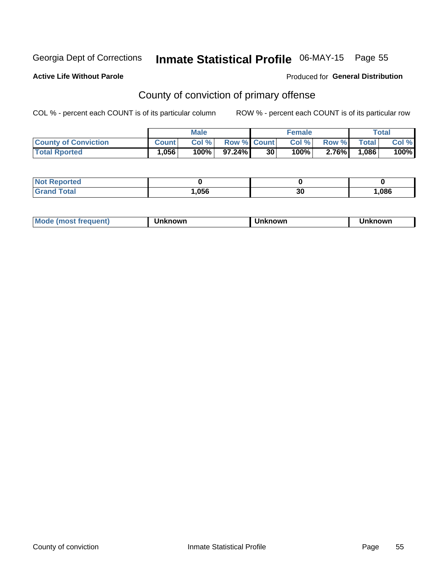## Inmate Statistical Profile 06-MAY-15 Page 55

#### **Active Life Without Parole**

#### Produced for General Distribution

## County of conviction of primary offense

COL % - percent each COUNT is of its particular column

|                             |              | <b>Male</b> |                    |    | <b>Female</b> |          |              | $\tau$ otal |
|-----------------------------|--------------|-------------|--------------------|----|---------------|----------|--------------|-------------|
| <b>County of Conviction</b> | <b>Count</b> | Col %       | <b>Row % Count</b> |    | Col %         | Row %    | <b>Total</b> | Col %       |
| <b>Total Rported</b>        | 1,056        | 100%        | 97.24%1            | 30 | $100\%$       | $2.76\%$ | .086         | 100%        |

| <b>Not Repo</b><br>aported? |      |    |       |
|-----------------------------|------|----|-------|
| <b>Total</b><br>Grar        | ,056 | 30 | 0.086 |

| <b>Mode</b><br>frequent)<br>. ו <b>MOST</b> ב | ∖known | Unknown | <b>nknown</b> |
|-----------------------------------------------|--------|---------|---------------|
|-----------------------------------------------|--------|---------|---------------|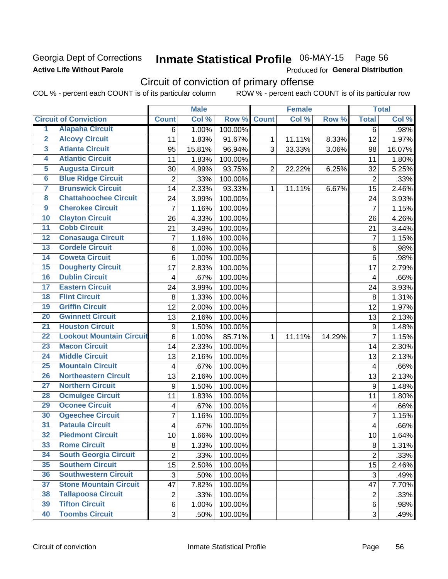### Georgia Dept of Corrections **Active Life Without Parole**

## Inmate Statistical Profile 06-MAY-15 Page 56

Produced for General Distribution

## Circuit of conviction of primary offense

COL % - percent each COUNT is of its particular column ROW % - percent each COUNT is of its particular row

|                         |                                 |                           | <b>Male</b> |         |                | <b>Female</b> |        |                | <b>Total</b> |
|-------------------------|---------------------------------|---------------------------|-------------|---------|----------------|---------------|--------|----------------|--------------|
|                         | <b>Circuit of Conviction</b>    | <b>Count</b>              | Col %       | Row %   | <b>Count</b>   | Col %         | Row %  | <b>Total</b>   | Col %        |
| 1                       | <b>Alapaha Circuit</b>          | 6                         | 1.00%       | 100.00% |                |               |        | 6              | .98%         |
| $\overline{2}$          | <b>Alcovy Circuit</b>           | 11                        | 1.83%       | 91.67%  | 1              | 11.11%        | 8.33%  | 12             | 1.97%        |
| $\overline{\mathbf{3}}$ | <b>Atlanta Circuit</b>          | 95                        | 15.81%      | 96.94%  | 3              | 33.33%        | 3.06%  | 98             | 16.07%       |
| 4                       | <b>Atlantic Circuit</b>         | 11                        | 1.83%       | 100.00% |                |               |        | 11             | 1.80%        |
| 5                       | <b>Augusta Circuit</b>          | 30                        | 4.99%       | 93.75%  | $\overline{2}$ | 22.22%        | 6.25%  | 32             | 5.25%        |
| $\overline{6}$          | <b>Blue Ridge Circuit</b>       | $\overline{2}$            | .33%        | 100.00% |                |               |        | $\overline{2}$ | .33%         |
| 7                       | <b>Brunswick Circuit</b>        | 14                        | 2.33%       | 93.33%  | $\mathbf{1}$   | 11.11%        | 6.67%  | 15             | 2.46%        |
| 8                       | <b>Chattahoochee Circuit</b>    | 24                        | 3.99%       | 100.00% |                |               |        | 24             | 3.93%        |
| 9                       | <b>Cherokee Circuit</b>         | $\overline{7}$            | 1.16%       | 100.00% |                |               |        | $\overline{7}$ | 1.15%        |
| 10                      | <b>Clayton Circuit</b>          | 26                        | 4.33%       | 100.00% |                |               |        | 26             | 4.26%        |
| $\overline{11}$         | <b>Cobb Circuit</b>             | 21                        | 3.49%       | 100.00% |                |               |        | 21             | 3.44%        |
| $\overline{12}$         | <b>Conasauga Circuit</b>        | $\overline{7}$            | 1.16%       | 100.00% |                |               |        | $\overline{7}$ | 1.15%        |
| $\overline{13}$         | <b>Cordele Circuit</b>          | 6                         | 1.00%       | 100.00% |                |               |        | 6              | .98%         |
| 14                      | <b>Coweta Circuit</b>           | 6                         | 1.00%       | 100.00% |                |               |        | 6              | .98%         |
| $\overline{15}$         | <b>Dougherty Circuit</b>        | 17                        | 2.83%       | 100.00% |                |               |        | 17             | 2.79%        |
| 16                      | <b>Dublin Circuit</b>           | 4                         | .67%        | 100.00% |                |               |        | 4              | .66%         |
| $\overline{17}$         | <b>Eastern Circuit</b>          | 24                        | 3.99%       | 100.00% |                |               |        | 24             | 3.93%        |
| $\overline{18}$         | <b>Flint Circuit</b>            | 8                         | 1.33%       | 100.00% |                |               |        | 8              | 1.31%        |
| 19                      | <b>Griffin Circuit</b>          | 12                        | 2.00%       | 100.00% |                |               |        | 12             | 1.97%        |
| 20                      | <b>Gwinnett Circuit</b>         | 13                        | 2.16%       | 100.00% |                |               |        | 13             | 2.13%        |
| $\overline{21}$         | <b>Houston Circuit</b>          | 9                         | 1.50%       | 100.00% |                |               |        | 9              | 1.48%        |
| $\overline{22}$         | <b>Lookout Mountain Circuit</b> | 6                         | 1.00%       | 85.71%  | $\mathbf{1}$   | 11.11%        | 14.29% | $\overline{7}$ | 1.15%        |
| 23                      | <b>Macon Circuit</b>            | 14                        | 2.33%       | 100.00% |                |               |        | 14             | 2.30%        |
| 24                      | <b>Middle Circuit</b>           | 13                        | 2.16%       | 100.00% |                |               |        | 13             | 2.13%        |
| $\overline{25}$         | <b>Mountain Circuit</b>         | $\overline{\mathbf{4}}$   | .67%        | 100.00% |                |               |        | $\overline{4}$ | .66%         |
| 26                      | <b>Northeastern Circuit</b>     | 13                        | 2.16%       | 100.00% |                |               |        | 13             | 2.13%        |
| $\overline{27}$         | <b>Northern Circuit</b>         | 9                         | 1.50%       | 100.00% |                |               |        | 9              | 1.48%        |
| 28                      | <b>Ocmulgee Circuit</b>         | 11                        | 1.83%       | 100.00% |                |               |        | 11             | 1.80%        |
| 29                      | <b>Oconee Circuit</b>           | 4                         | .67%        | 100.00% |                |               |        | 4              | .66%         |
| 30                      | <b>Ogeechee Circuit</b>         | $\overline{7}$            | 1.16%       | 100.00% |                |               |        | 7              | 1.15%        |
| $\overline{31}$         | <b>Pataula Circuit</b>          | 4                         | .67%        | 100.00% |                |               |        | 4              | .66%         |
| 32                      | <b>Piedmont Circuit</b>         | 10                        | 1.66%       | 100.00% |                |               |        | 10             | 1.64%        |
| 33                      | <b>Rome Circuit</b>             | 8                         | 1.33%       | 100.00% |                |               |        | 8              | 1.31%        |
| 34                      | <b>South Georgia Circuit</b>    | $\overline{2}$            | .33%        | 100.00% |                |               |        | $\overline{2}$ | .33%         |
| 35                      | <b>Southern Circuit</b>         | 15                        | 2.50%       | 100.00% |                |               |        | 15             | 2.46%        |
| 36                      | <b>Southwestern Circuit</b>     | $\ensuremath{\mathsf{3}}$ | .50%        | 100.00% |                |               |        | $\sqrt{3}$     | .49%         |
| 37                      | <b>Stone Mountain Circuit</b>   | 47                        | 7.82%       | 100.00% |                |               |        | 47             | 7.70%        |
| 38                      | <b>Tallapoosa Circuit</b>       | $\overline{2}$            | .33%        | 100.00% |                |               |        | $\overline{2}$ | .33%         |
| 39                      | <b>Tifton Circuit</b>           | 6                         | 1.00%       | 100.00% |                |               |        | 6              | .98%         |
| 40                      | <b>Toombs Circuit</b>           | $\overline{3}$            | .50%        | 100.00% |                |               |        | 3              | .49%         |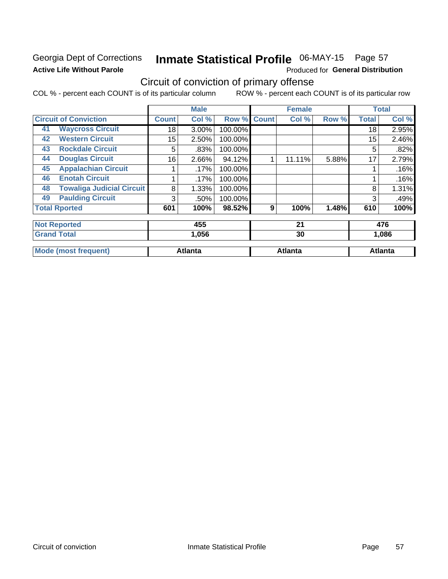### Georgia Dept of Corrections **Active Life Without Parole**

## Inmate Statistical Profile 06-MAY-15 Page 57

Produced for General Distribution

## Circuit of conviction of primary offense

COL % - percent each COUNT is of its particular column ROW % - percent each COUNT is of its particular row

|    |                                  |                 | <b>Male</b>    |         |              | <b>Female</b>  |       |              | <b>Total</b>   |
|----|----------------------------------|-----------------|----------------|---------|--------------|----------------|-------|--------------|----------------|
|    | <b>Circuit of Conviction</b>     | <b>Count</b>    | Col %          | Row %   | <b>Count</b> | Col%           | Row % | <b>Total</b> | Col %          |
| 41 | <b>Waycross Circuit</b>          | 18              | 3.00%          | 100.00% |              |                |       | 18           | 2.95%          |
| 42 | <b>Western Circuit</b>           | 15 <sub>2</sub> | 2.50%          | 100.00% |              |                |       | 15           | 2.46%          |
| 43 | <b>Rockdale Circuit</b>          | 5               | .83%           | 100.00% |              |                |       | 5            | .82%           |
| 44 | <b>Douglas Circuit</b>           | 16              | 2.66%          | 94.12%  | 1            | 11.11%         | 5.88% | 17           | 2.79%          |
| 45 | <b>Appalachian Circuit</b>       |                 | .17%           | 100.00% |              |                |       |              | .16%           |
| 46 | <b>Enotah Circuit</b>            |                 | .17%           | 100.00% |              |                |       |              | .16%           |
| 48 | <b>Towaliga Judicial Circuit</b> | 8               | 1.33%          | 100.00% |              |                |       | 8            | 1.31%          |
| 49 | <b>Paulding Circuit</b>          | 3               | .50%           | 100.00% |              |                |       | 3            | .49%           |
|    | <b>Total Rported</b>             | 601             | 100%           | 98.52%  | 9            | 100%           | 1.48% | 610          | 100%           |
|    | <b>Not Reported</b>              |                 | 455            |         |              | 21             |       |              | 476            |
|    | <b>Grand Total</b>               |                 | 1,056          |         |              | 30             |       |              | 1,086          |
|    |                                  |                 |                |         |              |                |       |              |                |
|    | <b>Mode (most frequent)</b>      |                 | <b>Atlanta</b> |         |              | <b>Atlanta</b> |       |              | <b>Atlanta</b> |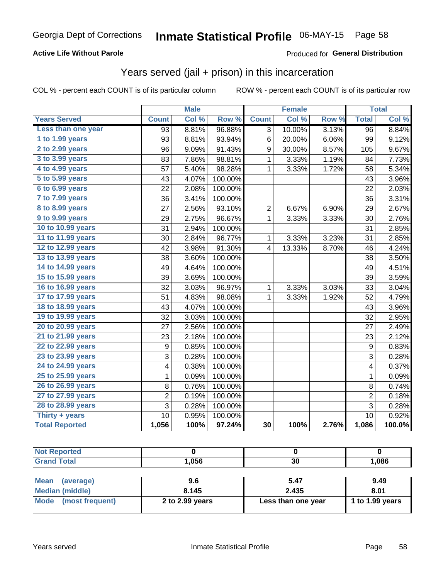#### **Active Life Without Parole**

#### **Produced for General Distribution**

### Years served (jail + prison) in this incarceration

COL % - percent each COUNT is of its particular column

|                       |                 | <b>Male</b> |         |                 | <b>Female</b> |       |                  | <b>Total</b> |
|-----------------------|-----------------|-------------|---------|-----------------|---------------|-------|------------------|--------------|
| <b>Years Served</b>   | <b>Count</b>    | Col %       | Row %   | <b>Count</b>    | Col %         | Row % | <b>Total</b>     | Col %        |
| Less than one year    | 93              | 8.81%       | 96.88%  | 3               | 10.00%        | 3.13% | $\overline{96}$  | 8.84%        |
| 1 to 1.99 years       | 93              | 8.81%       | 93.94%  | 6               | 20.00%        | 6.06% | 99               | 9.12%        |
| 2 to 2.99 years       | 96              | 9.09%       | 91.43%  | 9               | 30.00%        | 8.57% | 105              | 9.67%        |
| 3 to 3.99 years       | 83              | 7.86%       | 98.81%  | 1               | 3.33%         | 1.19% | 84               | 7.73%        |
| 4 to 4.99 years       | 57              | 5.40%       | 98.28%  | 1               | 3.33%         | 1.72% | 58               | 5.34%        |
| 5 to 5.99 years       | 43              | 4.07%       | 100.00% |                 |               |       | 43               | 3.96%        |
| 6 to 6.99 years       | $\overline{22}$ | 2.08%       | 100.00% |                 |               |       | 22               | 2.03%        |
| 7 to 7.99 years       | 36              | 3.41%       | 100.00% |                 |               |       | 36               | 3.31%        |
| 8 to 8.99 years       | 27              | 2.56%       | 93.10%  | 2               | 6.67%         | 6.90% | 29               | 2.67%        |
| 9 to 9.99 years       | 29              | 2.75%       | 96.67%  | 1               | 3.33%         | 3.33% | 30               | 2.76%        |
| 10 to 10.99 years     | 31              | 2.94%       | 100.00% |                 |               |       | 31               | 2.85%        |
| 11 to 11.99 years     | 30              | 2.84%       | 96.77%  | 1               | 3.33%         | 3.23% | 31               | 2.85%        |
| 12 to 12.99 years     | 42              | 3.98%       | 91.30%  | 4               | 13.33%        | 8.70% | 46               | 4.24%        |
| 13 to 13.99 years     | 38              | 3.60%       | 100.00% |                 |               |       | 38               | 3.50%        |
| 14 to 14.99 years     | 49              | 4.64%       | 100.00% |                 |               |       | 49               | 4.51%        |
| 15 to 15.99 years     | 39              | 3.69%       | 100.00% |                 |               |       | 39               | 3.59%        |
| 16 to 16.99 years     | 32              | 3.03%       | 96.97%  | 1               | 3.33%         | 3.03% | 33               | 3.04%        |
| 17 to 17.99 years     | 51              | 4.83%       | 98.08%  | 1               | 3.33%         | 1.92% | 52               | 4.79%        |
| 18 to 18.99 years     | 43              | 4.07%       | 100.00% |                 |               |       | 43               | 3.96%        |
| 19 to 19.99 years     | 32              | 3.03%       | 100.00% |                 |               |       | 32               | 2.95%        |
| 20 to 20.99 years     | 27              | 2.56%       | 100.00% |                 |               |       | 27               | 2.49%        |
| 21 to 21.99 years     | 23              | 2.18%       | 100.00% |                 |               |       | 23               | 2.12%        |
| 22 to 22.99 years     | 9               | 0.85%       | 100.00% |                 |               |       | $\boldsymbol{9}$ | 0.83%        |
| 23 to 23.99 years     | 3               | 0.28%       | 100.00% |                 |               |       | $\mathbf{3}$     | 0.28%        |
| 24 to 24.99 years     | 4               | 0.38%       | 100.00% |                 |               |       | 4                | 0.37%        |
| 25 to 25.99 years     | $\mathbf{1}$    | 0.09%       | 100.00% |                 |               |       | $\mathbf{1}$     | 0.09%        |
| 26 to 26.99 years     | 8               | 0.76%       | 100.00% |                 |               |       | 8                | 0.74%        |
| 27 to 27.99 years     | $\overline{c}$  | 0.19%       | 100.00% |                 |               |       | $\overline{c}$   | 0.18%        |
| 28 to 28.99 years     | 3               | 0.28%       | 100.00% |                 |               |       | 3                | 0.28%        |
| Thirty + years        | 10              | 0.95%       | 100.00% |                 |               |       | 10               | 0.92%        |
| <b>Total Reported</b> | 1,056           | 100%        | 97.24%  | $\overline{30}$ | 100%          | 2.76% | 1,086            | 100.0%       |

| <b>Not Reported</b>      |                 |                    |                 |
|--------------------------|-----------------|--------------------|-----------------|
| <b>Grand Total</b>       | 1,056           | 30                 | 1,086           |
|                          |                 |                    |                 |
| <b>Mean</b><br>(average) | 9.6             | 5.47               | 9.49            |
| <b>Median (middle)</b>   | 8.145           | 2.435              | 8.01            |
| Mode (most frequent)     | 2 to 2.99 years | Less than one year | 1 to 1.99 years |
|                          |                 |                    |                 |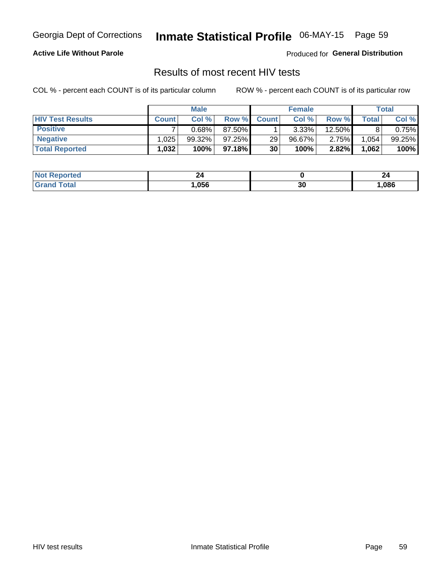## Inmate Statistical Profile 06-MAY-15 Page 59

#### **Active Life Without Parole**

Produced for General Distribution

### Results of most recent HIV tests

COL % - percent each COUNT is of its particular column

|                         |              | <b>Male</b> |         |              | <b>Female</b> |        |       | Total  |
|-------------------------|--------------|-------------|---------|--------------|---------------|--------|-------|--------|
| <b>HIV Test Results</b> | <b>Count</b> | Col%        | Row %   | <b>Count</b> | Col %         | Row %  | Total | Col %  |
| <b>Positive</b>         |              | 0.68%       | 87.50%  |              | $3.33\%$      | 12.50% |       | 0.75%  |
| <b>Negative</b>         | .025         | $99.32\%$   | 97.25%  | 29           | $96.67\%$     | 2.75%  | 1,054 | 99.25% |
| <b>Total Reported</b>   | ,032         | 100%        | 97.18%I | 30           | 100%          | 2.82%  | 1,062 | 100%   |

| <b>Not Reported</b> | 44   |          | - -  |
|---------------------|------|----------|------|
| <b>Total</b>        | .056 | ^^<br>ას | ,086 |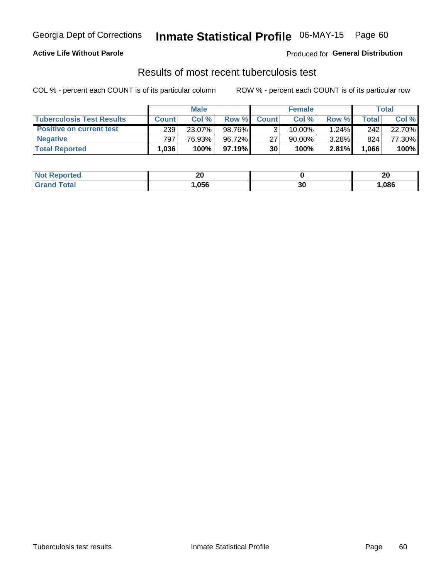#### **Active Life Without Parole**

Produced for General Distribution

### Results of most recent tuberculosis test

COL % - percent each COUNT is of its particular column

|                                  | <b>Male</b>  |        |           | <b>Female</b> |           |          | Total |        |
|----------------------------------|--------------|--------|-----------|---------------|-----------|----------|-------|--------|
| <b>Tuberculosis Test Results</b> | <b>Count</b> | Col%   | Row %I    | <b>Count</b>  | Col%      | Row %    | Total | Col %  |
| <b>Positive on current test</b>  | 239          | 23.07% | 98.76%    |               | $10.00\%$ | 1.24%    | 242   | 22.70% |
| <b>Negative</b>                  | 797          | 76.93% | 96.72%    | 27            | 90.00%    | $3.28\%$ | 824   | 77.30% |
| <b>Total Reported</b>            | .036         | 100%   | $97.19\%$ | 30            | 100%      | 2.81%    | 1,066 | 100%   |

| <b>Not Reported</b> | ኅለ<br>Zu |    | ኅለ<br>δW |
|---------------------|----------|----|----------|
| Total               | 056, ا   | 30 | ,086     |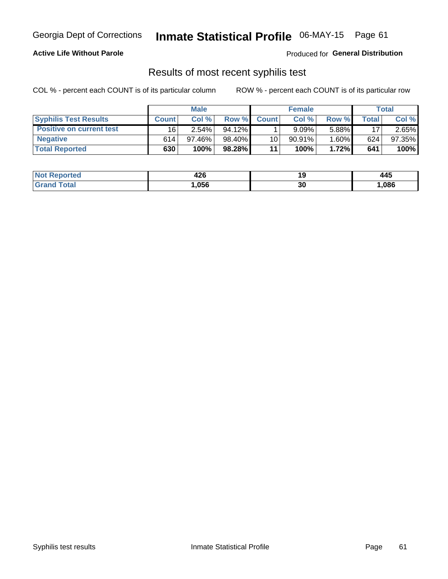## Georgia Dept of Corrections **Inmate Statistical Profile** 06-MAY-15 Page 61

#### **Active Life Without Parole**

Produced for **General Distribution**

### Results of most recent syphilis test

COL % - percent each COUNT is of its particular column ROW % - percent each COUNT is of its particular row

|                                 | <b>Male</b>  |           |           | <b>Female</b> |           |          | Total        |        |
|---------------------------------|--------------|-----------|-----------|---------------|-----------|----------|--------------|--------|
| <b>Syphilis Test Results</b>    | <b>Count</b> | Col%      | Row %     | <b>Count</b>  | Col %     | Row %    | <b>Total</b> | Col %  |
| <b>Positive on current test</b> | 16           | $2.54\%$  | $94.12\%$ |               | 9.09%     | $5.88\%$ | 17           | 2.65%  |
| <b>Negative</b>                 | 614          | $97.46\%$ | 98.40%    | 10            | $90.91\%$ | $1.60\%$ | 624          | 97.35% |
| <b>Total Reported</b>           | 630          | 100%      | 98.28%    | 11            | 100%      | 1.72%    | 641          | 100%   |

| <b>Not Reported</b> | 426  |    | 445  |
|---------------------|------|----|------|
| <b>Grand Total</b>  | ,056 | 30 | ,086 |